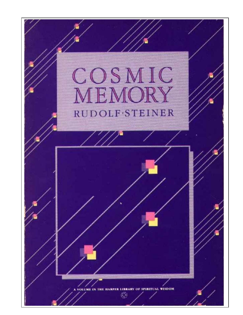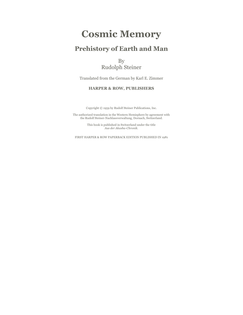# **Cosmic Memory**

## **Prehistory of Earth and Man**

### By Rudolph Steiner

Translated from the German by Karl E. Zimmer

#### **HARPER & ROW, PUBLISHERS**

Copyright © 1959 by Rudolf Steiner Publications, Inc.

The authorized translation in the Western Hemisphere by agreement with the Rudolf Steiner-Nachlassverwaltung, Dornach, Switzerland.

> This book is published in Switzerland under the title *Aus der Akasha-Chronik*.

FIRST HARPER & ROW PAPERBACK EDITION PUBLISHED IN 1981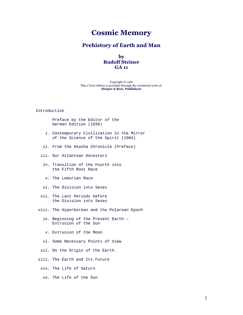# **Cosmic Memory**

### **Prehistory of Earth and Man**

**by Rudolf Steiner GA 11**

Copyright © 1981 This e.Text edition is provided through the wonderful work of: **Harper & Row, Publishers**

Introduction

 Preface by the Editor of the German Edition (1939)

- *i*. Contemporary Civilization in the Mirror of the Science of the Spirit (1904)
- *ii*. From the Akasha Chronicle (Preface)
- *iii*. Our Atlantean Ancestors
- *iv*. Transition of the Fourth into the Fifth Root Race
- *v*. The Lemurian Race
- *vi*. The Division into Sexes
- *vii*. The Last Periods before the Division into Sexes
- *viii*. The Hyperborean and the Polarean Epoch
	- *ix*. Beginning of the Present Earth Extrusion of the Sun
	- *x*. Extrusion of the Moon
	- *xi*. Some Necessary Points of View
- *xii*. On the Origin of the Earth
- *xiii*. The Earth and Its Future
- *xiv*. The Life of Saturn
- *xv*. The Life of the Sun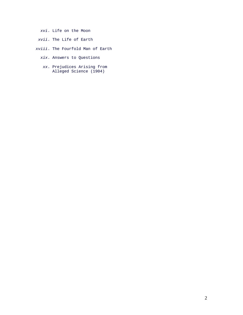- *xvi*. Life on the Moon
- *xvii*. The Life of Earth
- *xviii*. The Fourfold Man of Earth
	- *xix*. Answers to Questions
	- *xx*. Prejudices Arising from Alleged Science (1904)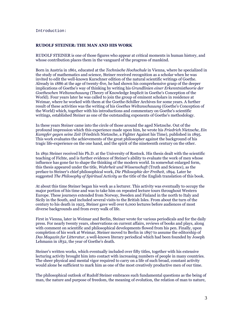#### **RUDOLF STEINER: THE MAN AND HIS WORK**

RUDOLF STEINER is one of those figures who appear at critical moments in human history, and whose contribution places them in the vanguard of the progress of mankind.

Born in Austria in 1861, educated at the *Technische Hochschule* in Vienna, where he specialized in the study of mathematics and science, Steiner received recognition as a scholar when he was invited to edit the well-known Kurschner edition of the natural scientific writings of Goethe. Already in 1886 at the age of twenty-five, he had shown his comprehensive grasp of the deeper implications of Goethe's way of thinking by writing his *Grundlinien einer Erkenntnistheorie der Goetheschen Weltanschauung* (Theory of Knowledge Implicit in Goethe's Conception of the World). Four years later he was called to join the group of eminent scholars in residence at Weimar, where he worked with them at the Goethe-Schiller Archives for some years. A further result of these activities was the writing of his *Goethes Weltanschauung* (Goethe's Conception of the World) which, together with his introductions and commentary on Goethe's scientific writings, established Steiner as one of the outstanding exponents of Goethe's methodology.

In these years Steiner came into the circle of those around the aged Nietzsche. Out of the profound impression which this experience made upon him, he wrote his *Friedrich Nietzsche, Ein Kampfer gegen seine Zeit* (Friedrich Nietzsche, a Fighter Against his Time), published in 1895. This work evaluates the achievements of the great philosopher against the background of his tragic life-experience on the one hand, and the spirit of the nineteenth century on the other.

In 1891 Steiner received his Ph.D. at the University of Rostock. His thesis dealt with the scientific teaching of Fichte, and is further evidence of Steiner's ability to evaluate the work of men whose influence has gone far to shape the thinking of the modern world. In somewhat enlarged form, this thesis appeared under the title, *Wahrheit und Wissenschaft* (Truth and Science), as the preface to Steiner's chief philosophical work, *Die Philosophie der Freiheit*, 1894. Later he suggested *The Philosophy of Spiritual Activity* as the title of the English translation of this book.

At about this time Steiner began his work as a lecturer. This activity was eventually to occupy the major portion of his time and was to take him on repeated lecture tours throughout Western Europe. These journeys extended from Norway, Sweden and Finland in the north to Italy and Sicily in the South, and included several visits to the British Isles. From about the turn of the century to his death in 1925, Steiner gave well over 6,000 lectures before audiences of most diverse backgrounds and from every walk of life.

First in Vienna, later in Weimar and Berlin, Steiner wrote for various periodicals and for the daily press. For nearly twenty years, observations on current affairs, reviews of books and plays, along with comment on scientific and philosophical developments flowed from his pen. Finally, upon completion of his work at Weimar, Steiner moved to Berlin in 1897 to assume the editorship of *Das Magazin fur Litteratur*, a well-known literary periodical which had been founded by Joseph Lehmann in 1832, the year of Goethe's death.

Steiner's written works, which eventually included over fifty titles, together with his extensive lecturing activity brought him into contact with increasing numbers of people in many countries. The sheer physical and mental vigor required to carry on a life of such broad, constant activity would alone be sufficient to mark him as one of the most creatively productive men of our time.

The philosophical outlook of Rudolf Steiner embraces such fundamental questions as the being of man, the nature and purpose of freedom, the meaning of evolution, the relation of man to nature,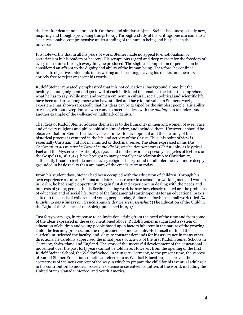the life after death and before birth. On these and similar subjects, Steiner had unexpectedly new, inspiring and thought-provoking things to say. Through a study of his writings one can come to a clear, reasonable, comprehensive understanding of the human being and his place in the universe.

It is noteworthy that in all his years of work, Steiner made no appeal to emotionalism or sectarianism in his readers or hearers. His scrupulous regard and deep respect for the freedom of every man shines through everything he produced. The slightest compulsion or persuasion he considered an affront to the dignity and ability of the human being. Therefore, he confined himself to objective statements in his writing and speaking, leaving his readers and hearers entirely free to reject or accept his words.

Rudolf Steiner repeatedly emphasized that it is not educational background alone, but the healthy, sound, judgment and good will of each individual that enables the latter to comprehend what he has to say. While men and women eminent in cultural, social, political and scientific life have been and are among those who have studied and have found value in Steiner's work, experience has shown repeatedly that his ideas can be grasped by the simplest people. His ability to reach, without exception, all who come to meet his ideas with the *willingness* to understand, is another example of the well-known hallmark of genius.

The ideas of Rudolf Steiner address themselves to the humanity in men and women of every race and of every religious and philosophical point of view, and included them. However, it should be observed that for Steiner the decisive event in world development and the meaning of the historical process is centered in the life and activity of the Christ. Thus, his point of view is essentially Christian, but not in a limited or doctrinal sense. The ideas expressed in his *Das Christentum als mystische Tatsache und die Mysterien des Altertums* (Christianity as Mystical Fact and the Mysteries of Antiquity), 1902, and in other works, especially his cycles of lectures on the Gospels (1908-1912), have brought to many a totally new relationship to Christianity, sufficiently broad to include men of every religious background in full tolerance, yet more deeply grounded in basic reality than are many of the creeds current today.

From his student days, Steiner had been occupied with the education of children. Through his own experience as tutor in Vienna and later as instructor in a school for working men and women in Berlin, he had ample opportunity to gain first-hand experience in dealing with the needs and interests of young people. In his Berlin teaching work he saw how closely related are the problems of education and of social life. Some of the fundamental starting-points for an educational praxis suited to the needs of children and young people today, Steiner set forth in a small work titled *Die Erziehung des Kindes vom Gesichtspunkte der Geisteswssenshaft* (The Education of the Child in the Light of the Science of the Spirit), published in 1907.

Just forty years ago, in response to an invitation arising from the need of the time and from some of the ideas expressed in the essay mentioned above, Rudolf Steiner inaugurated a system of education of children and young people based upon factors inherent in the nature of the growing child, the learning process, and the requirements of modern life. He himself outlined the curriculum, selected the faculty, and, despite constant demands for his assistance in many other directions, he carefully supervised the initial years of activity of the first Rudolf Steiner Schools in Germany, Switzerland and England. The story of the successful development of the educational movement over the past forty years cannot be told here. However, from the opening of the first Rudolf Steiner School, the Waldorf School in Stuttgart, Germany, to the present time, the success of Rudolf Steiner Education sometimes referred to as Waldorf Education) has proven the correctness of Steiner's concept of the way in which to prepare the child for his eventual adult role in his contribution to modern society, existence in seventeen countries of the world, including the United States, Canada, Mexico, and South America.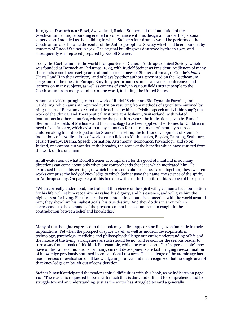In 1913, at Dornach near Basel, Switzerland, Rudolf Steiner laid the foundation of the Goetheanum, a unique building erected in consonance with his design and under his personal supervision. Intended as the building in which Steiner's four dramas would be performed, the Goetheanum also became the center of the Anthroposophical Society which had been founded by students of Rudolf Steiner in 1912. The original building was destroyed by fire in 1922, and subsequently was replaced prepared by Rudolf Steiner.

Today the Goetheanum is the world headquarters of General Anthroposophical Society, which was founded at Dornach at Christmas, 1923, with Rudolf Steiner as President. Audiences of many thousands come there each year to attend performances of Steiner's dramas, of Goethe's *Faust* (Parts I and II in their entirety), and of plays by other authors, presented on the Goetheanum stage, one of the finest in Europe. Eurythmy performances, musical events, conferences and lectures on many subjects, as well as courses of study in various fields attract people to the Goetheanum from many countries of the world, including the United States.

Among activities springing from the work of Rudolf Steiner are Bio-Dynamic Farming and Gardening, which aims at improved nutrition resulting from methods of agriculture outlined by him; the art of Eurythmy, created and described by him as "visible speech and visible song"; the work of the Clinical and Therapeutical Institute at Arlesheim, Switzerland, with related institutions in other countries, where for the past thirty years the indications given by Rudolf Steiner in the fields of Medicine and Pharmacology have been applied; the Homes for Children in need of special care, which exist in many countries for the treatment of mentally retarded children along lines developed under Steiner's direction; the further development of Steiner's indications of new directions of work in such fields as Mathematics, Physics, Painting, Sculpture, Music Therapy, Drama, Speech Formation, Astronomy, Economics, Psychology, and so on. Indeed, one cannot but wonder at the breadth, the scope of the benefits which have resulted from the work of this one man!

A full evaluation of what Rudolf Steiner accomplished for the good of mankind in so many directions can come about only when one comprehends the ideas which motivated him. He expressed these in his writings, of which the present volume is one. Taken together, these written works comprise the body of knowledge to which Steiner gave the name, the science of the spirit, or Anthroposophy. On page 249 of this book he writes of the benefits of this science of the spirit:

"When correctly understood, the truths of the science of the spirit will give man a true foundation for his life, will let him recognize his value, his dignity, and his essence, and will give him the highest zest for living. For these truths enlighten him about his connection with the world around him; they show him his highest goals, his true destiny. And they do this in a way which corresponds to the demands of the present, so that he need not remain caught in the contradiction between belief and knowledge."

Many of the thoughts expressed in this book may at first appear startling, even fantastic in their implications. Yet when the prospect of space travel, as well as modern developments in technology, psychology, medicine and philosophy challenge our entire understanding of life and the nature of the living, strangeness as such should be no valid reason for the serious reader to turn away from a book of this kind. For example, while the word "occult" or "supersensible" may have undesirable connotations for many, current developments are fast bringing re-examination of knowledge previously shunned by conventional research. The challenge of the atomic age has made serious re-evaluation of all knowledge imperative, and it is recognized that no single area of that knowledge can be left out of consideration.

Steiner himself anticipated the reader's initial difficulties with this book, as he indicates on page 112: "The reader is requested to bear with much that is dark and difficult to comprehend, and to struggle toward an understanding, just as the writer has struggled toward a generally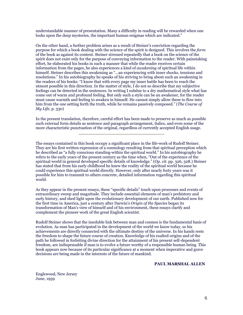understandable manner of presentation. Many a difficulty in reading will be rewarded when one looks upon the deep mysteries, the important human enigmas which are indicated."

On the other hand, a further problem arises as a result of Steiner's conviction regarding the purpose for which a book dealing with the science of the spirit is designed. This involves the *form* of the book as against its content. Steiner stressed repeatedly that a book on the science of the spirit does not exist only for the purpose of conveying information to the reader. With painstaking effort, he elaborated his books in such a manner that while the reader receives certain information from the pages, he also experiences a kind of *awakening* of spiritual life within himself. Steiner describes this awakening as "...an experiencing with inner shocks, tensions and resolutions." In his autobiography he speaks of his striving to bring about such an awakening in the readers of his books: "I know that with every page my inner battle has been to reach the utmost possible in this direction. In the matter of style, I do not so describe that my subjective feelings can be detected in the sentences. In writing I subdue to a dry mathematical style what has come out of warm and profound feeling. But only such a style can be an awakener, for the reader must cause warmth and feeling to awaken in himself. He cannot simply allow these to flow into him from the one setting forth the truth, while he remains passively composed." (*The Course of My Life*, p. 330)

In the present translation, therefore, careful effort has been made to preserve as much as possible such external form details as sentence and paragraph arrangement, italics, and even some of the more characteristic punctuation of the original, regardless of currently accepted English usage.

The essays contained in this book occupy a significant place in the life-work of Rudolf Steiner. They are his first written expression of a cosmology resulting from that spiritual perception which he described as "a fully conscious standing-within the spiritual world." In his autobiography he refers to the early years of the present century as the time when, "Out of the experience of the spiritual world in general developed specific details of knowledge." (*Op. cit.* pp. 326, 328.) Steiner has stated that from his early childhood he knew the reality of the spiritual world because he could experience this spiritual world directly. However, only after nearly forty years was it possible for him to transmit to others concrete, detailed information regarding this spiritual world.

As they appear in the present essays, these "specific details" touch upon processes and events of extraordinary sweep and magnitude. They include essential elements of man's prehistory and early history, and shed light upon the evolutionary development of our earth. Published now for the first time in America, just a century after Darwin's *Origin of the Species* began its transformation of Man's view of himself and of his environment, these essays clarify and complement the pioneer work of the great English scientist.

Rudolf Steiner shows that the insoluble link between man and cosmos is the fundamental basis of evolution. As man has participated in the development of the world we know today, so his achievements are directly connected with the ultimate destiny of the universe. In his hands rests the freedom to shape the future course of creation. Knowledge of his exalted origins and of the path he followed in forfeiting divine direction for the attainment of his present self-dependent freedom, are indispensable if man is to evolve a future worthy of a responsible human being. This book appears now because of its particular significance at a moment when imperative and grave decisions are being made in the interests of the future of mankind.

#### **PAUL MARSHAL ALLEN**

Englewood, New Jersey June, 1959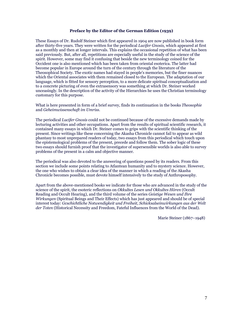#### **Preface by the Editor of the German Edition (1939)**

These Essays of Dr. Rudolf Steiner which first appeared in 1904 are now published in book form after thirty-five years. They were written for the periodical *Lucifer Gnosis,* which appeared at first as a monthly and then at longer intervals. This explains the occasional repetition of what has been said previously. But, after all, repetitions are especially useful in the study of the science of the spirit. However, some may find it confusing that beside the new terminology coined for the Occident one is also mentioned which has been taken from oriental esoterica. The latter had become popular in Europe around the turn of the century through the literature of the Theosophical Society. The exotic names had stayed in people's memories, but the finer nuances which the Oriental associates with them remained closed to the European. The adaptation of our language, which is fitted for sensory perception, to a more delicate spiritual conceptualization and to a concrete picturing of even the extrasensory was something at which Dr. Steiner worked unceasingly. In the description of the activity of the Hierarchies he uses the Christian terminology customary for this purpose.

What is here presented in form of a brief survey, finds its continuation in the books *Theosophie* and *Geheimwissenschaft im Umriss.*

The periodical *Lucifer Gnosis* could not be continued because of the excessive demands made by lecturing activities and other occupations. Apart from the results of spiritual scientific research, it contained many essays in which Dr. Steiner comes to grips with the scientific thinking of the present. Since writings like these concerning the Akasha Chronicle cannot fail to appear as wild phantasy to most unprepared readers of today, two essays from this periodical which touch upon the epistemological problems of the present, precede and follow them. The sober logic of these two essays should furnish proof that the investigator of supersensible worlds is also able to survey problems of the present in a calm and objective manner.

The periodical was also devoted to the answering of questions posed by its readers. From this section we include some points relating to Atlantean humanity and to mystery science. However, the one who wishes to obtain a clear idea of the manner in which a reading of the Akasha Chronicle becomes possible, must devote himself intensively to the study of Anthroposophy.

Apart from the above-mentioned books we indicate for those who are advanced in the study of the science of the spirit, the esoteric reflections on *Okkultes Lesen und Okkultes Hören* (Occult Reading and Occult Hearing), and the third volume of the series *Geistige Wesen und Ihre Wirkungen* (Spiritual Beings and Their Effects) which has just appeared and should be of special interest today: *Gcschichtliche Notwendigkeit und Freiheit, Schicksalseinwirkungen aus der Welt der Toten* (Historical Necessity and Freedom, Fateful Influences from the World of the Dead).

Marie Steiner (1867–1948)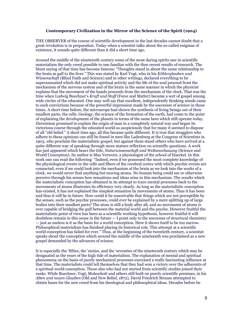#### **Contemporary Civilization in the Mirror of the Science of the Spirit (1904)**

THE OBSERVER of the course of scientific development in the last decades cannot doubt that a great revolution is in preparation. Today when a scientist talks about the so-called enigmas of existence, it sounds quite different than it did a short time ago.

Around the middle of the nineteenth century some of the most daring spirits saw in scientific materialism the only creed possible to one familiar with the then recent results of research. The blunt saying of that time has become famous: "Thoughts stand in about the same relationship to the brain as gall to the liver." This was stated by Karl Vogt, who in his *Köhlerglauben und Wissenschaft* (Blind Faith and Science) and in other writings, declared everything to be superannuated which did not make spiritual activity and the life of the soul proceed from the mechanism of the nervous system and of the brain in the same manner in which the physicist explains that the movement of the hands proceeds from the mechanism of the clock. That was the time when Ludwig Buechner's *Kraft und Stoff* (Force and Matter) became a sort of gospel among wide circles of the educated. One may well say that excellent, independently thinking minds came to such convictions because of the powerful impression made by the successes of science in those times. A short time before, the microscope had shown the synthesis of living beings out of their smallest parts, the cells. Geology, the science of the formation of the earth, had come to the point of explaining the development of the planets in terms of the same laws which still operate today. Darwinism promised to explain the origin of man in a completely natural way and began its victorious course through the educated world so auspiciously that for many it seemed to dispose of all "old belief." A short time ago, all this became quite different. It is true that stragglers who adhere to these opinions can still be found in men like Ladenburg at the Congress of Scientists in 1903, who proclaim the materialistic gospel; but against them stand others who have arrived at a quite different way of speaking through more mature reflection on scientific questions. A work has just appeared which bears the title, *Naturwissenschaft und Weltanschauung* (Science and World Conception). Its author is Max Verworn, a physiologist of the school of Haeckel. In this work one can read the following: "Indeed, even if we possessed the most complete knowledge of the physiological events in the cells and fibers of the cerebral cortex with which psychic events are connected, even if we could look into the mechanism of the brain as we look into the works of a clock, we would never find anything but moving atoms. No human being could see or otherwise perceive through his senses how sensations and ideas arise in this mechanism. The results which the materialistic conception has obtained in its attempt to trace mental processes back to the movements of atoms illustrates its efficiency very clearly. As long as the materialistic conception has existed, it has not explained the simplest sensation by movements of atoms. Thus it has been and thus it will be in future. How could it be conceivable that things which are not perceptible by the senses, such as the psychic processes, could ever be explained by a mere splitting up of large bodies into their smallest parts? The atom is still a body after all, and no movement of atoms is ever capable of bridging the gulf between the material world and the psyche. However fruitful the materialistic point of view has been as a scientific working hypothesis, however fruitful it will doubtless remain in this sense in the future — I point only to the successes of structural chemistry — just as useless is it as the basis for a world conception. Here it shows itself to be too narrow. Philosophical materialism has finished playing its historical role. This attempt at a scientific world conception has failed for ever." Thus, at the beginning of the twentieth century, a scientist speaks about the conception which around the middle of the nineteenth was proclaimed as a new gospel demanded by the advances of science.

It is especially the 'fifties, the 'sixties, and the 'seventies of the nineteenth century which may be designated as the years of the high tide of materialism. The explanation of mental and spiritual phenomena on the basis of purely mechanical processes exercised a really fascinating influence at that time. The materialists could tell themselves that they had won a victory over the adherents of a spiritual world conception. Those also who had not started from scientific studies joined their ranks. While Buechner, Vogt, Moleschott and others still built on purely scientific premises, in his *Alten und neuen Glauben* (Old and New Belief, 1872), David Friedrich Strauss attempted to obtain bases for the new creed from his theological and philosophical ideas. Decades before he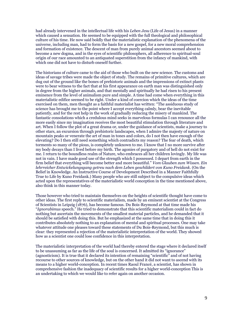had already intervened in the intellectual life with his *Leben Jesu* (Life of Jesus) in a manner which caused a sensation. He seemed to be equipped with the full theological and philosophical culture of his time. He now said boldly that the materialistic explanation of the phenomena of the universe, including man, had to form the basis for a new gospel, for a new moral comprehension and formation of existence. The descent of man from purely animal ancestors seemed about to become a new dogma, and in the eyes of scientific philosophers, all adherence to spiritual-soul origin of our race amounted to an antiquated superstition from the infancy of mankind, with which one did not have to disturb oneself further.

The historians of culture came to the aid of those who built on the new science. The customs and ideas of savage tribes were made the object of study. The remains of primitive cultures, which are dug out of the ground like the bones of prehistoric animals and the impressions of extinct plants were to bear witness to the fact that at his first appearance on earth man was distinguished only in degree from the higher animals, and that mentally and spiritually he had risen to his present eminence from the level of animalism pure and simple. A time had come when everything in this materialistic edifice seemed to be right. Under a kind of coercion which the ideas of the time exercised on them, men thought as a faithful materialist has written: "The assiduous study of science has brought me to the point where I accept everything calmly, bear the inevitable patiently, and for the rest help in the work of gradually reducing the misery of mankind. The fantastic consolations which a credulous mind seeks in marvelous formulas I can renounce all the more easily since my imagination receives the most beautiful stimulation through literature and art. When I follow the plot of a great drama or, under the guidance of scientists, make a journey to other stars, an excursion through prehistoric landscapes, when I admire the majesty of nature on mountain peaks or venerate the art of man in tones and colors, do I not then have enough of the elevating? Do I then still need something which contradicts my reason? The fear of death, which torments so many of the pious, is completely unknown to me. I know that I no more survive after my body decays than I lived before my birth. The agonies of purgatory and of hell do not exist for me. I return to the boundless realm of Nature, who embraces all her children lovingly. My life was not in vain. I have made good use of the strength which I possessed. I depart from earth in the firm belief that everything will become better and more beautiful." *Vom Glauben zum Wissen. Ein lehrreicher Entwickelungsgang getreu nach dem Leben geschildert von Kuno Freidank.* (On the Belief in Knowledge. An Instructive Course of Development Described in a Manner Faithfully True to Life by Kuno Freidank.) Many people who are still subject to the compulsive ideas which acted upon the representatives of the materialistic world conception in the time mentioned above, also think in this manner today.

Those however who tried to maintain themselves on the heights of scientific thought have come to other ideas. The first reply to scientific materialism, made by an eminent scientist at the Congress of Scientists in Leipzig (1876), has become famous. Du Bois-Reymond at that time made his "*Ignorabimus* speech." He tried to demonstrate that this scientific materialism could in fact do nothing but ascertain the movements of the smallest material particles, and he demanded that it should be satisfied with doing this. But he emphasized at the same time that in doing this it contributes absolutely nothing to an explanation of mental and spiritual processes. One may take whatever attitude one pleases toward these statements of Du Bois-Reymond, but this much is clear: they represented a rejection of the materialistic interpretation of the world. They showed how as a scientist one could lose confidence in this interpretation.

The materialistic interpretation of the world had thereby entered the stage where it declared itself to be unassuming as far as the life of the soul is concerned. It admitted its "ignorance" (agnosticism). It is true that it declared its intention of remaining "scientific" and of not having recourse to other sources of knowledge, but on the other hand it did not want to ascend with its means to a higher world-conception. In recent times Raoul Francé, a scientist, has shown in comprehensive fashion the inadequacy of scientific results for a higher world-conception This is an undertaking to which we would like to refer again on another occasion.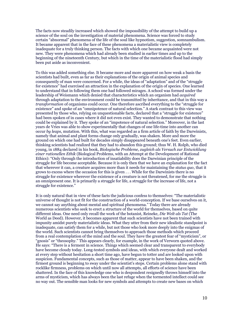The facts now steadily increased which showed the impossibility of the attempt to build up a science of the soul on the investigation of material phenomena. Science was forced to study certain "abnormal" phenomena of the life of the soul like hypnotism, suggestion, somnambulism. It became apparent that in the face of these phenomena a materialistic view is completely inadequate for a truly thinking person. The facts with which one became acquainted were not new. They were phenomena which had already been studied in earlier times and up to the beginning of the nineteenth Century, but which in the time of the materialistic flood had simply been put aside as inconvenient.

To this was added something else. It became more and more apparent on how weak a basis the scientists had built, even as far as their explanations of the origin of animal species and consequently of man were concerned. For a while, the ideas of "adaptation" and of the "struggle for existence" had exercised an attraction in the explanation of the origin of species. One learned to understand that in following them one had followed mirages. A school was formed under the leadership of Weismann which denied that characteristics which an organism had *acquired* through adaptation to the environment could be transmitted by inheritance, and that in this way a *transformation* of organisms could occur. One therefore ascribed everything to the "struggle for existence" and spoke of an "omnipotence of natural selection." A stark contrast to this view was presented by those who, relying on unquestionable facts, declared that a "struggle for existence" had been spoken of in cases where it did not even exist. They wanted to demonstrate that nothing could be explained by it. They spoke of an "impotence of natural selection." Moreover, in the last years de Vries was able to show experimentally that changes of one life-time into another can occur *by leaps*, mutation. With this, what was regarded as a firm article of faith by the Darwinists, namely that animal and plant forms change only gradually, was shaken. More and more the ground on which one had built for decades simply disappeared beneath one's feet. Even earlier, thinking scientists had realized that they had to abandon this ground; thus W. H. Rolph, who died young, in 1884 declared in his book, *Biologische Probleme, zugleich als Versuch zur Entwicklung einer rationellen Ethik* (Biological Problems, with an Attempt at the Development of Rational Ethics): "Only through the introduction of insatiability does the Darwinian principle of the struggle for life become acceptable. Because it is only then that we have an explanation for the fact that wherever it can, a creature acquires more than it needs for maintaining the *status quo*, that it grows to excess where the occasion for this is given . . . While for the Darwinists there is no struggle for existence wherever the existence of a creature is not threatened, for me the struggle is an omnipresent one. It is primarily a struggle for life, a struggle for the increase of life, not a struggle for existence."

It is only natural that in view of these facts the judicious confess to themselves: "The materialistic universe of thought is not fit for the construction of a world-conception. If we base ourselves on it, we cannot say anything about mental and spiritual phenomena." Today there are already numerous scientists who seek to erect a structure of the world for themselves, based on quite different ideas. One need only recall the work of the botanist, Reineke, *Die Welt als Tat* (The World as Deed). However, it becomes apparent that such scientists have not been trained with impunity amidst purely materialistic ideas. What they utter from their new idealistic standpoint is inadequate, can satisfy them for a while, but not those who look more deeply into the enigmas of the world. Such scientists cannot bring themselves to approach those methods which proceed from a real contemplation of the mind and the soul. They have the greatest fear of "mysticism", or "gnosis" or "theosophy." This appears clearly, for example, in the work of Verworn quoted above. He says: "There is a ferment in science. Things which seemed clear and transparent to everybody have become cloudy today. Long-tested symbols and ideas, with which everyone dealt and worked at every step without hesitation a short time ago, have begun to totter and are looked upon with suspicion. Fundamental concepts, such as those of matter, appear to have been shaken, and the firmest ground is beginning to sway under the scientist's steps. Certain problems alone stand with rocklike firmness, problems on which until now all attempts, all efforts of science have been shattered. In the face of this knowledge one who is despondent resignedly throws himself into the arms of mysticism, which has always been the last refuge when the tormented intellect could see no way out. The sensible man looks for new symbols and attempts to create new bases on which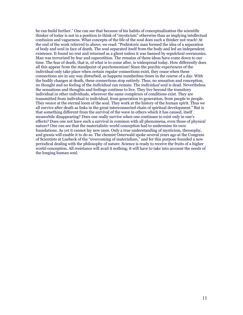he can build further." One can see that because of his habits of conceptualization the scientific thinker of today is not in a position to think of "mysticism" otherwise than as implying intellectual confusion and vagueness. What concepts of the life of the soul does such a thinker not reach! At the end of the work referred to above, we read: "Prehistoric man formed the idea of a separation of body and soul in face of death. The soul separated itself from the body and led an independent existence. It found no rest and returned as a ghost unless it was banned by sepulchral ceremonies. Man was terrorized by fear and superstition. The remains of these ideas have come down to our time. The fear of death, that is, of what is to come after, is widespread today. How differently does all this appear from the standpoint of psychomonism! Since the psychic experiences of the individual only take place when certain regular connections exist, they cease when these connections are in any way disturbed, as happens numberless times in the course of a day. With the bodily changes at death, these connections stop entirely. Thus, no sensation and conception, no thought and no feeling of the *individual* can remain. The *individual* soul is dead. Nevertheless the sensations and thoughts and feelings continue to live. They live beyond the transitory individual in other individuals, wherever the same complexes of conditions exist. They are transmitted from individual to individual, from generation to generation, from people to people. They weave at the eternal loom of the soul. They work at the history of the human spirit. Thus we all survive after death as links in the great interconnected chain of spiritual development." But is that something different from the survival of the wave in others which it has caused, itself meanwhile disappearing? Does one really survive when one continues to exist only in one's effects? Does one not have such a survival in common with all phenomena, even those of physical nature? One can see that the materialistic world conception had to undermine its own foundations. As yet it cannot lay new ones. Only a true understanding of mysticism, theosophy, and gnosis will enable it to do so. The chemist Osterwald spoke several years ago at the Congress of Scientists at Luebeck of the "overcoming of materialism," and for this purpose founded a new periodical dealing with the philosophy of nature. Science is ready to receive the fruits of a higher world-conception. All resistance will avail it nothing; it will have to take into account the needs of the longing human soul.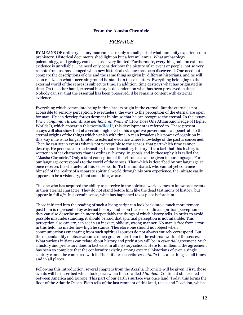#### **From the Akasha Chronicle**

#### *PREFACE*

BY MEANS OF ordinary history man can learn only a small part of what humanity experienced in prehistory. Historical documents shed light on but a few millennia. What archaeology, paleontology, and geology can teach us is very limited. Furthermore, everything built on external evidence is unreliable. One need only consider how the picture of an event or people, not so very remote from us, has changed when new historical evidence has been discovered. One need but compare the descriptions of one and the same thing as given by different historians, and he will soon realize on what uncertain ground he stands in these matters. Everything belonging to the external world of the senses is subject to time. In addition, time destroys what has originated in time. On the other hand, external history is dependent on what has been preserved in time. Nobody can say that the essential has been preserved, if he remains content with external evidence.

Everything which comes into being in time has its origin in the eternal. But the eternal is not accessible to sensory perception. Nevertheless, the ways to the perception of the eternal are open for man. He can develop forces dormant in him so that he can recognize the eternal. In the essays, *Wie erlangt man Erkenntnisse der hoheren Welten?* (How Does One Attain Knowledge of Higher Worlds?), which appear in this **periodical\***, this development is referred to. These present essays will also show that at a certain high level of his cognitive power, man can penetrate to the eternal origins of the things which vanish with time. A man broadens his power of cognition in this way if he is no longer limited to external evidence where knowledge of the past is concerned. Then he can *see* in events what is not perceptible to the senses, that part which time cannot destroy. He penetrates from transitory to non-transitory history. It is a fact that this history is written in other characters than is ordinary history. In gnosis and in theosophy it is called the "Akasha Chronicle." Only a faint conception of this chronicle can be given in our language. For our language corresponds to the world of the senses. That which is described by our language at once receives the character of this sense world. To the uninitiated, who cannot yet convince himself of the reality of a separate spiritual world through his own experience, the initiate easily appears to be a visionary, if not something worse.

The one who has acquired the ability to perceive in the spiritual world comes to know past events in their eternal character. They do not stand before him like the dead testimony of history, but appear in full *life*. In a certain sense, what has happened takes place before him.

Those initiated into the reading of such a living script can look back into a much more remote past than is represented by external history; and — on the basis of direct spiritual perception they can also describe much more dependably the things of which history tells. In order to avoid possible misunderstanding, it should be said that spiritual perception is not infallible. This perception also can err, can see in an inexact, oblique, wrong manner. No man is free from error in this field, no matter how high he stands. Therefore one should not object when communications emanating from such spiritual sources do not always entirely correspond. But the dependability of observation is much greater here than in the external world of the senses. What various initiates can relate about history and prehistory will be in *essential* agreement. Such a history and prehistory does in fact exist in all mystery schools. Here for millennia the agreement has been so complete that the conformity existing among external historians of even a single century cannot be compared with it. The initiates describe *essentially* the same things at all times and in all places.

Following this introduction, several chapters from the Akasha Chronicle will be given. First, those events will be described which took place when the so-called *Atlantean* Continent still existed between America and Europe. This part of our earth's surface was once land. Today this forms the floor of the Atlantic Ocean. Plato tells of the last remnant of this land, the island Poseidon, which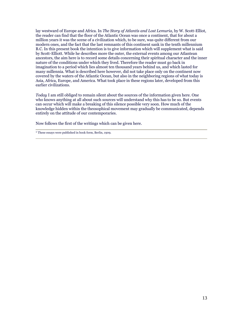lay westward of Europe and Africa. In *The Story of Atlantis and Lost Lemuria*, by W. Scott-Elliot, the reader can find that the floor of the Atlantic Ocean was once a continent, that for about a million years it was the scene of a civilization which, to be sure, was quite different from our modern ones, and the fact that the last remnants of this continent sank in the tenth millennium B.C. In this present book the intention is to give information which will supplement what is said by Scott-Elliott. While he describes more the outer, the external events among our Atlantean ancestors, the aim here is to record some details concerning their spiritual character and the inner nature of the conditions under which they lived. Therefore the reader must go back in imagination to a period which lies almost ten thousand years behind us, and which lasted for many millennia. What is described here however, did not take place only on the continent now covered by the waters of the Atlantic Ocean, but also in the neighboring regions of what today is Asia, Africa, Europe, and America. What took place in these regions later, developed from this earlier civilizations.

*Today* I am still obliged to remain silent about the sources of the information given here. One who knows anything at all about such sources will understand why this has to be so. But events can occur which will make a breaking of this silence possible very soon. How much of the knowledge hidden within the theosophical movement may gradually be communicated, depends entirely on the attitude of our contemporaries.

Now follows the first of the writings which can be given here.

<sup>\*</sup> These essays were published in book form, Berlin, 1909.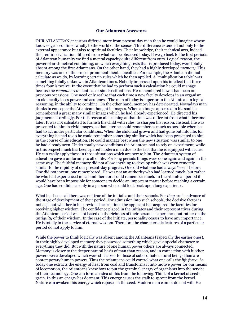#### **Our Atlantean Ancestors**

OUR ATLANTEAN ancestors differed more from present-day man than he would imagine whose knowledge is confined wholly to the world of the senses. This difference extended not only to the external appearance but also to spiritual faculties. Their knowledge, their technical arts, indeed their entire civilization differed from what can be observed today. If we go back to the first periods of Atlantean humanity we find a mental capacity quite different from ours. Logical reason, the power of arithmetical combining, on which everything rests that is produced today, were totally absent among the first Atlanteans. On the other hand, they had a highly developed *memory*. This memory was one of their most prominent mental faculties. For example, the Atlantean did not calculate as we do, by learning certain rules which he then applied. A "multiplication table" was something totally unknown in Atlantean times. Nobody impressed upon his intellect that three times four is twelve. In the event that he had to perform such a calculation he could manage because he *remembered* identical or similar situations. He remembered how it had been on previous occasions. One need only realize that each time a new faculty develops in an organism, an old faculty loses power and acuteness. The man of today is superior to the Atlantean in logical reasoning, in the ability to combine. On the other hand, memory has deteriorated. Nowadays man thinks in concepts; the Atlantean thought in images. When an image appeared in his soul he remembered a great many similar images which he had already experienced. He directed his judgment accordingly. For this reason all teaching at that time was different from what it became later. It was not calculated to furnish the child with rules, to sharpen his reason. Instead, life was presented to him in vivid images, so that later he could remember as much as possible when he had to act under particular conditions. When the child had grown and had gone out into life, for everything he had to do he could remember something similar which had been presented to him in the course of his education. He could manage best when the new situation was similar to one he had already seen. Under totally new conditions the Atlantean had to rely on experiment, while in this respect much has been spared modern man due to the fact that he is equipped with rules. He can easily apply these in those situations which are new to him. The Atlantean system of education gave a uniformity to all of life. For long periods things were done again and again in the same way. The faithful memory did not allow anything to develop which was even remotely similar to the rapidity of our present-day progress. One did what one had always "seen" before. One did not invent; one remembered. He was not an authority who had learned much, but rather he who had experienced much and therefore could remember much. In the Atlantean period it would have been impossible for someone to decide an important matter before reaching a certain age. One had confidence only in a person who could look back upon long experience.

What has been said here was not true of the initiates and their schools. For *they* are in advance of the stage of development of their period. For admission into such schools, the decisive factor is not age, but whether in his previous incarnations the applicant has acquired the faculties for receiving higher wisdom. The confidence placed in the initiates and their representatives during the Atlantean period was not based on the richness of their personal experience, but rather on the *antiquity* of their wisdom. In the case of the initiate, personality ceases to have any importance. He is totally in the service of eternal wisdom. Therefore the characteristic features of a particular period do not apply to him.

While the power to think logically was absent among the Atlanteans (especially the earlier ones), in their highly developed memory they possessed something which gave a special character to everything they did. But with the nature of one human power others are always connected. Memory is closer to the deeper natural basis of man than reason, and in connection with it other powers were developed which were still closer to those of subordinate natural beings than are contemporary human powers. Thus the Atlanteans could control what one calls the *life force*. As today one extracts the energy of heat from coal and transforms it into motive power for our means of locomotion, the Atlanteans knew how to put the germinal energy of organisms into the service of their technology. One can form an idea of this from the following. Think of a kernel of seedgrain. In this an energy lies dormant. This energy causes the stalk to sprout from the kernel. Nature can awaken this energy which reposes in the seed. Modern man cannot do it at will. He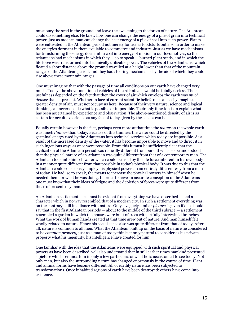must bury the seed in the ground and leave the awakening to the forces of nature. The Atlantean could do something else. He knew how one can change the energy of a pile of grain into technical power, just as modern man can change the heat energy of a pile of coal into such power. Plants were cultivated in the Atlantean period not merely for use as foodstuffs but also in order to make the energies dormant in them available to commerce and industry. Just as we have mechanisms for transforming the energy dormant in coal into energy of motion in our locomotives, so the Atlanteans had mechanisms in which they  $-$  so to speak  $-$  burned plant seeds, and in which the life force was transformed into technically utilizable power. The vehicles of the Atlanteans, which floated a short distance above the ground travelled at a height lower than that of the mountain ranges of the Atlantean period, and they had steering mechanisms by the aid of which they could rise above these mountain ranges.

One must imagine that with the passage of time all conditions on our earth have changed very much. Today, the above-mentioned vehicles of the Atlanteans would be totally useless. Their usefulness depended on the fact that then the cover of air which envelops the earth was *much denser* than at present. Whether in face of current scientific beliefs one can easily imagine such greater density of air, must not occupy us here. Because of their very nature, science and logical thinking can never decide what is possible or impossible. Their only function is to explain what has been ascertained by experience and observation. The above-mentioned density of air is as certain for occult experience as any fact of today given by the senses can be.

Equally certain however is the fact, perhaps even more at that time the *water* on the whole earth was much *thinner* than today. Because of this thinness the water could be directed by the germinal energy used by the Atlanteans into technical services which today are impossible. As a result of the increased density of the water, it has become impossible to move and to direct it in such ingenious ways as once were possible. From this it must be sufficiently clear that the civilization of the Atlantean period was radically different from ours. It will also be understood that the physical nature of an Atlantean was quite different from that of a contemporary man. The Atlantean took into himself water which could be used by the life force inherent in his own body in a manner quite different from that possible in today's physical body. It was due to this that the Atlantean could consciously employ his physical powers in an entirely different way from a man of today. He had, so to speak, the means to increase the physical powers in himself when he needed them for what he was doing. In order to have an accurate conception of the Atlanteans one must know that their ideas of fatigue and the depletion of forces were quite different from those of present-day man.

An Atlantean settlement — as must be evident from everything we have described — had a character which in no way resembled that of a modern city. In such a settlement everything was, on the contrary, still in alliance with nature. Only a vaguely similar *picture* is given if one should say that in the first Atlantean periods — about to the middle of the third subrace — a settlement resembled a garden in which the houses were built of trees with artfully intertwined branches. What the work of human hands created at that time grew out of nature. And man himself felt wholly related to nature. Hence his social sense also was quite different from that of today. After all, nature is common to all men. What the Atlantean built up on the basis of nature he considered to be *common property* just as a man of today thinks it only natural to consider as his private property what his ingenuity, his intelligence have created for him.

One familiar with the idea that the Atlanteans were equipped with such spiritual and physical powers as have been described, will also understand that in still earlier times mankind presented a picture which reminds him in only a few particulars of what he is accustomed to see today. Not only men, but also the surrounding nature has changed enormously in the course of time. Plant and animal forms have become different. All of earthly nature has been subjected to transformations. Once inhabited regions of earth have been destroyed; others have come into existence.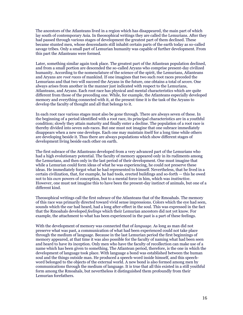The ancestors of the Atlanteans lived in a region which has disappeared, the main part of which lay south of contemporary Asia. In theosophical writings they are called the Lemurians. After they had passed through various stages of development the greatest part of them declined. These became stunted men, whose descendants still inhabit certain parts of the earth today as so-called savage tribes. Only a small part of Lemurian humanity was capable of further development. From this part the Atlanteans were formed.

Later, something similar again took place. The greatest part of the Atlantean population declined, and from a small portion are descended the so-called Aryans who comprise present-day civilized humanity. According to the nomenclature of the science of the spirit, the Lemurians, Atlanteans and Aryans are *root races* of mankind. If one imagines that two such root races preceded the Lemurians and that two will succeed the Aryans in the future, one obtains a total of *seven*. One always arises from another in the manner just indicated with respect to the Lemurians, Atlanteans, and Aryans. Each root race has physical and mental characteristics which are quite different from those of the preceding one. While, for example, the Atlanteans especially developed memory and everything connected with it, at the present time it is the task of the Aryans to develop the faculty of thought and all that belongs to it.

In each root race various stages must also be gone through. There are always seven of these. In the beginning of a period identified with a root race, its principal characteristics are in a youthful condition; slowly they attain maturity and finally enter a decline. The population of a root race is thereby divided into seven sub-races. But one must not imagine that one subrace immediately disappears when a new one develops. Each one may maintain itself for a long time while others are developing beside it. Thus there are always populations which show different stages of development living beside each other on earth.

The first subrace of the Atlanteans developed from a very advanced part of the Lemurians who had a high evolutionary potential. The faculty of memory appeared only in its rudiments among the Lemurians, and then only in the last period of their development. One must imagine that while a Lemurian could form ideas of what he was experiencing, he could not preserve these ideas. He immediately forgot what he had represented to himself. Nevertheless, that he lived in a certain civilization, that, for example, he had tools, erected buildings and so-forth — this he owed not to his *own* powers of conception, but to a mental force in him, which was *instinctive*. However, one must not imagine this to have been the present-day instinct of animals, but one of a different kind.

Theosophical writings call the first subrace of the Atlanteans that of the Rmoahals. The memory of this race was primarily directed toward vivid sense impressions. Colors which the eye had seen, sounds which the ear had heard, had a long after-effect in the soul. This was expressed in the fact that the Rmoahals developed *feelings* which their Lemurian ancestors did not yet know. For example, the attachment to what has been experienced in the past is a part of these feelings.

With the development of memory was connected that of *language*. As long as man did not preserve what was past, a communication of what had been experienced could not take place through the medium of language. Because in the last Lemurian period the first beginnings of memory appeared, at that time it was also possible for the faculty of naming what had been seen and heard to have its inception. Only men who have the faculty of recollection can make use of a name which has been given to something. The Atlantean period, therefore, is the one in which the development of language took place. With language a bond was established between the human soul and the things outside man. He produced a speech-word inside himself, and this speechword belonged to the objects of the external world. A new bond is also formed among men by communications through the medium of language. It is true that all this existed in a still youthful form among the Rmoahals, but nevertheless it distinguished them profoundly from their Lemurian forefathers.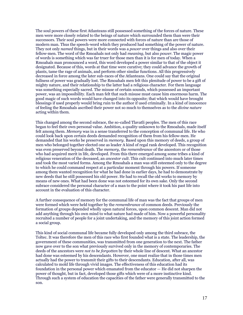The soul powers of these first Atlanteans still possessed something of the forces of nature. These men were more closely related to the beings of nature which surrounded them than were their successors. Their soul powers were more connected with forces of nature than are those of modern man. Thus the speech-word which they produced had something of the power of nature. They not only *named* things, but in their words was a *power* over things and also over their fellow-men. The word of the Rmoahals not only had *meaning*, but also *power*. The magic power of words is something which was far truer for those men than it is for men of today. When a Rmoahals man pronounced a word, this word developed a power similar to that of the object it designated. Because of this, words at that time were curative; they could advance the growth of plants, tame the rage of animals, and perform other similar functions. All this progressively decreased in force among the later sub-races of the Atlanteans. One could say that the original fullness of power was gradually lost. The Rmoahals men felt this plenitude of power to be a gift of mighty nature, and their relationship to the latter had a religious character. For them language was something especially sacred. The misuse of certain sounds, which possessed an important power, was an impossibility. Each man felt that such misuse must cause him enormous harm. The good magic of such words would have changed into its opposite; that which would have brought blessings if used properly would bring ruin to the author if used criminally. In a kind of innocence of feeling the Rmoahals ascribed their power not so much to themselves as to the *divine nature* acting within them.

This changed among the second subrace, the so-called Tlavatli peoples. The men of this race began to feel their own personal value. Ambition, a quality unknown to the Rmoahals, made itself felt among them. *Memory* was in a sense transferred to the conception of communal life. He who could look back upon certain deeds demanded recognition of them from his fellow-men. He demanded that his works be preserved in *memory*. Based upon this memory of deeds, a group of men who belonged together elected one as leader A kind of regal rank developed. This recognition was even preserved beyond death. The *memory*, the *remembrance* of the ancestors or of those who had acquired merit in life, developed. From this there emerged among some tribes a kind of religious veneration of the deceased, an *ancestor cult*. This cult continued into much later times and took the most varied forms. Among the Rmoahals a man was still esteemed only to the degree to which he could command respect at a particular moment through his powers. If someone among them wanted recognition for what he had done in earlier days, he had to demonstrate by new deeds that he still possessed his old power. He had to recall the old works to memory by means of new ones. What had been done was not esteemed for its own sake. Only the second subrace considered the personal character of a man to the point where it took his past life into account in the evaluation of this character.

A further consequence of memory for the communal life of man was the fact that groups of men were formed which were held together by the *remembrance* of common deeds. Previously the formation of groups depended wholly upon natural forces, upon common descent. Man did not add anything through his own mind to what nature had made of him. Now a powerful personality recruited a number of people for a joint undertaking, and the memory of this joint action formed a social group.

This kind of social communal life became fully developed only among the third subrace, the Toltec. It was therefore the men of this race who first founded what is a state. The leadership, the government of these communities, was transmitted from one generation to the next. The father now gave over to the son what previously survived only in the memory of contemporaries. The deeds of the ancestors were *not to be forgotten* by their whole line of descent. What an ancestor had done was esteemed by his descendants. However, one must realize that in those times men actually had the power to transmit their gifts to their descendants. Education, after all, was calculated to mold life through vivid images. The effectiveness of this education had its foundation in the personal power which emanated from the educator — He did not sharpen the power of thought, but in fact, developed those gifts which were of a more instinctive kind. Through such a system of education the capacities of the father were generally transmitted to the son.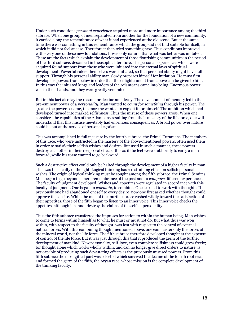Under such conditions *personal experience* acquired more and more importance among the third subrace. When one group of men separated from another for the foundation of a new community, it carried along the remembrance of what it had experienced at the old scene. But at the same time there was something in this remembrance which the group did not find suitable for itself, in which it did not feel at ease. Therefore it then tried something new. Thus conditions improved with every one of these new foundations. It was only natural that what was better was imitated. These are the facts which explain the development of those flourishing communities in the period of the third subrace, described in theosophic literature. The personal experiences which were acquired found support from those who were initiated into the eternal laws of spiritual development. Powerful rulers themselves were initiated, so that personal ability might have full support. Through his personal ability man slowly prepares himself for initiation. He must first develop his powers from below in order that the enlightenment from above can be given to him. In this way the initiated kings and leaders of the Atlanteans came into being. Enormous power was in their hands, and they were greatly venerated.

But in this fact also lay the reason for decline and decay. The development of memory led to the pre-eminent power of a *personality*. Man wanted to *count for something* through his power. The greater the power became, the more he wanted to exploit it for himself. The ambition which had developed turned into marked selfishness. Thus the misuse of these powers arose. When one considers the capabilities of the Atlanteans resulting from their mastery of the life force, one will understand that this misuse inevitably had enormous consequences. A broad power over nature could be put at the service of personal egotism.

This was accomplished in full measure by the fourth subrace, the Primal Turanians. The members of this race, who were instructed in the mastery of the above-mentioned powers, often used them in order to satisfy their selfish wishes and desires. But used in such a manner, these powers destroy each other in their reciprocal effects. It is as if the feet were stubbornly to carry a man forward, while his torso wanted to go backward.

Such a destructive effect could only be halted through the development of a higher faculty in man. This was the faculty of thought. Logical thinking has a restraining effect on selfish personal wishes. The origin of logical thinking must be sought among the fifth subrace, the Primal Semites. Men began to go beyond a mere remembrance of the past and to *compare* different experiences. The faculty of judgment developed. Wishes and appetites were regulated in accordance with this faculty of judgment. One began to *calculate*, to combine. One learned to work with thoughts. If previously one had abandoned oneself to every desire, now one first asked whether thought could approve this desire. While the men of the fourth subrace rushed wildly toward the satisfaction of their appetites, those of the fifth began to listen to an inner voice. This inner voice checks the appetites, although it cannot destroy the claims of the selfish personality.

Thus the fifth subrace transferred the impulses for action to within the human being. Man wishes to come to terms within himself as to what he must or must not do. But what thus was won within, with respect to the faculty of thought, was lost with respect to the control of external natural forces. With this combining thought mentioned above, one can master only the forces of the mineral world, not the life force. The fifth subrace therefore developed thought at the expense of control of the life force. But it was just through this that it produced the germ of the further development of mankind. New personality, self-love, even complete selfishness could grow freely; for thought alone which works wholly within, and can no longer give direct orders to nature, is not capable of producing such devastating effects as the previously misused powers. From this fifth subrace the most gifted part was selected which survived the decline of the fourth root race and formed the germ of the fifth, the Aryan race, whose mission is the complete development of the thinking faculty.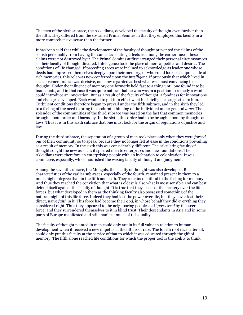The men of the sixth subrace, the Akkadians, developed the faculty of thought even further than the fifth. They differed from the so-called Primal Semites in that they employed this faculty in a more comprehensive sense than the former.

It has been said that while the development of the faculty of thought prevented the claims of the selfish personality from having the same devastating effects as among the earlier races, these claims were not destroyed by it. The Primal Semites at first arranged their personal circumstances as their faculty of thought directed. Intelligence took the place of mere appetites and desires. The conditions of life changed. If preceding races were inclined to acknowledge as leader one whose deeds had impressed themselves deeply upon their memory, or who could look back upon a life of rich memories, this role was now conferred upon the *intelligent*. If previously that which lived in a clear remembrance was decisive, one now regarded as best what was most convincing to thought. Under the influence of memory one formerly held fast to a thing until one found it to be inadequate, and in that case it was quite natural that he who was in a position to remedy a want could introduce an innovation. But as a result of the faculty of thought, a fondness for innovations and changes developed. Each wanted to put into effect what his intelligence suggested to him. Turbulent conditions therefore began to prevail under the fifth subrace, and in the sixth they led to a feeling of the need to bring the obdurate thinking of the individual under general *laws*. The splendor of the communities of the third subrace was based on the fact that common memories brought about order and harmony. In the sixth, this order had to be brought about by thought-out laws. Thus it is in this sixth subrace that one must look for the origin of regulations of justice and law.

During the third subrace, the separation of a group of men took place only when they were *forced out* of their community so to speak, because they no longer felt at ease in the conditions prevailing as a result of memory. In the sixth this was considerably different. The calculating faculty of thought sought the new as such; it spurred men to enterprises and new foundations. The Akkadians were therefore an enterprising people with an inclination to colonization. It was commerce, especially, which nourished the waxing faculty of thought and judgment.

Among the seventh subrace, the Mongols, the faculty of thought was also developed. But characteristics of the earlier sub-races, especially of the fourth, remained present in them to a much higher degree than in the fifth and sixth. They remained faithful to the feeling for memory. And thus they reached the conviction that what is oldest is also what is most sensible and can best defend itself against the faculty of thought. It is true that they also lost the mastery over the life forces, but what developed in them as the thinking faculty also possessed something of the natural might of this life force. Indeed they had lost the power over life, but they never lost their direct, naive *faith* in it. This force had become their *god*, in whose behalf they did everything they considered right. Thus they appeared to the neighboring peoples as if *possessed* by this secret force, and they surrendered themselves to it in blind trust. Their descendants in Asia and in some parts of Europe manifested and still manifest much of this quality.

The faculty of thought planted in men could only attain its full value in relation to human development when it received a new impetus in the fifth root race. The fourth root race, after all, could only put this faculty at the service of that to which it was educated through the gift of memory. The fifth alone reached life conditions for which the proper tool is the ability to think.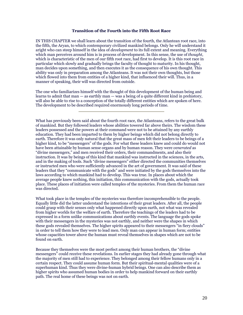#### **Transition of the Fourth into the Fifth Root Race**

IN THIS CHAPTER we shall learn about the transition of the fourth, the Atlantean root race, into the fifth, the Aryan, to which contemporary civilized mankind belongs. Only he will understand it aright who can steep himself in the idea of *development* to its full extent and meaning. Everything which man perceives around him is in process of development. In this sense, the use of *thought*, which is characteristic of the men of our fifth root race, had first to develop. It is this root race in particular which slowly and gradually brings the faculty of thought to maturity. In his thought, man decides upon something, and then executes it as the consequence of his own thought. This ability was only in preparation among the Atlanteans. It was not their own thoughts, but those which flowed into them from entities of a higher kind, that influenced their will. Thus, in a manner of speaking, their will was directed from outside.

The one who familiarizes himself with the thought of this development of the human being and learns to admit that man — as earthly man — was a being of a quite different kind in prehistory, will also be able to rise to a conception of the totally different entities which are spoken of here. The development to be described required enormously long periods of time.

What has previously been said about the fourth root race, the Atlanteans, refers to the great bulk of mankind. But they followed leaders whose abilities towered far above theirs. The wisdom these leaders possessed and the powers at their command were not to be attained by any earthly education. They had been imparted to them by higher beings which did not belong directly to earth. Therefore it was only natural that the great mass of men felt their leaders to be beings of a higher kind, to be "messengers" of the gods. For what these leaders knew and could do would not have been attainable by human sense organs and by human reason. They were *venerated* as "divine messengers," and men received their orders, their commandments, and also their instruction. It was by beings of this kind that mankind was instructed in the sciences, in the arts, and in the making of tools. Such "divine messengers" either directed the communities themselves or instructed men who were sufficiently advanced in the art of government. It was said of these leaders that they "communicate with the gods" and were initiated by the gods themselves into the laws according to which mankind had to develop. This was true. In places about which the average people knew nothing, this initiation, this communication with the gods, actually took place. These places of initiation were called temples of the mysteries. From them the human race was directed.

What took place in the temples of the mysteries was therefore incomprehensible to the people. Equally little did the latter understand the intentions of their great leaders. After all, the people could grasp with their senses only what happened directly upon earth, not what was revealed from higher worlds for the welfare of earth. Therefore the teachings of the leaders had to be expressed in a form unlike communications about earthly events. The language the gods spoke with their messengers in the mysteries was not earthly, and neither were the shapes in which these gods revealed themselves. The higher spirits appeared to their messengers "in fiery clouds" in order to tell them how they were to lead men. Only man can appear in human form; entities whose capacities tower above the human must reveal themselves in shapes which are not to be found on earth.

Because they themselves were the most perfect among their human brothers, the "divine messengers" could receive these revelations. In earlier stages they had already gone through what the majority of men still had to experience. They belonged among their fellow humans only in a certain respect. They could assume human form. But their spiritual-mental qualities were of a superhuman kind. Thus they were divine-human hybrid beings. One can also describe them as higher spirits who assumed human bodies in order to help mankind forward on their earthly path. The real home of these beings was not on earth.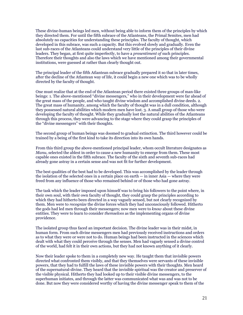These divine-human beings led men, without being able to inform them of the principles by which they directed them. For until the fifth subrace of the Atlanteans, the Primal Semites, men had absolutely no capacities for understanding these principles. The faculty of thought, which developed in this subrace, was such a capacity. But this evolved slowly and gradually. Even the last sub-races of the Atlanteans could understand very little of the principles of their divine leaders. They began, at first quite imperfectly, to have a *presentiment of* such principles. Therefore their thoughts and also the laws which we have mentioned among their governmental institutions, were guessed at rather than clearly thought out.

The principal leader of the fifth Atlantean subrace gradually prepared it so that in later times, after the decline of the Atlantean way of life, it could begin a new one which was to be wholly directed by the faculty of thought.

One must realize that at the end of the Atlantean period there existed three groups of man-like beings: 1. The above-mentioned "divine messengers," who in their development were far ahead of the great mass of the people, and who taught divine wisdom and accomplished divine deeds. 2. The great mass of humanity, among which the faculty of thought was in a dull condition, although they possessed natural abilities which modern men have lost. 3. A small group of those who were developing the faculty of thought. While they gradually lost the natural abilities of the Atlanteans through this process, they were advancing to the stage where they could grasp the principles of the "divine messengers" with their thoughts.

The second group of human beings was doomed to gradual extinction. The third however could be trained by a being of the first kind to take its direction into its own hands.

From this third group the above-mentioned principal leader, whom occult literature designates as *Manu*, selected the ablest in order to cause a new humanity to emerge from them. These most capable ones existed in the fifth subrace. The faculty of the sixth and seventh sub-races had already gone astray in a certain sense and was not fit for further development.

The best qualities of the best had to be developed. This was accomplished by the leader through the isolation of the selected ones in a certain place on earth — in inner Asia — where they were freed from any influence of those who remained behind or of those who had gone astray.

The task which the leader imposed upon himself was to bring his followers to the point where, in their own soul, with their own faculty of thought, they could grasp the principles according to which they had hitherto been directed in a way vaguely sensed, but not clearly recognized by them. Men were to *recognize* the divine forces which they had unconsciously followed. Hitherto the gods had led men through their messengers; now men were to *know* about these divine entities. They were to learn to consider *themselves* as the implementing organs of divine providence.

The isolated group thus faced an important decision. The divine leader was in their midst, in human form. From such divine messengers men had previously received instructions and orders as to what they were or were not to do. Human beings had been instructed in the sciences which dealt with what they could perceive through the senses. Men had vaguely sensed a divine control of the world, had felt it in their own actions, but they had not known anything of it clearly.

Now their leader spoke to them in a completely new way. He taught them that invisible powers directed what confronted them visibly, and that they themselves were servants of these invisible powers, that they had to fulfill the laws of these invisible powers with their thoughts. Men heard of the supernatural-divine. They heard that the invisible spiritual was the creator and preserver of the visible physical. Hitherto they had looked up to their visible divine messengers, to the superhuman initiates, and through the latter was communicated what was and was not to be done. But now they were considered worthy of having the divine messenger speak to them of the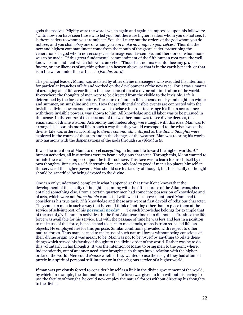gods themselves. Mighty were the words which again and again he impressed upon his followers: "Until now you have seen those who led you: but there are higher leaders whom you do not see. It is *these* leaders to whom you are subject. You shall carry out the orders of the god whom you do not see; and you shall *obey* one of whom you *can make no image to yourselves*." Thus did the new and highest commandment come from the mouth of the great leader, prescribing the veneration of a god whom no sensory-visible image could resemble, and therefore of whom none was to be made. Of this great fundamental commandment of the fifth human root race, the wellknown commandment which follows is an echo: "Thou shalt not make unto thee any *graven image*, or any likeness of any thing that is in heaven above, or that is in the earth beneath, or that is in the water under the earth . . . " (*Exodus* 20:4).

The principal leader, Manu, was assisted by other divine messengers who executed his intentions for particular branches of life and worked on the development of the new race. For it was a matter of arranging all of life according to the new conception of a divine administration of the world. Everywhere the thoughts of men were to be directed from the visible to the invisible. Life is determined by the forces of nature. The course of human life depends on day and night, on winter and summer, on sunshine and rain. How these influential visible events are connected with the invisible, divine powers and how man was to behave in order to arrange his life in accordance with these invisible powers, was shown to him. All knowledge and all labor was to be pursued in this sense. In the course of the stars and of the weather, man was to see divine decrees, the emanation of divine wisdom. Astronomy and meteorology were taught with this idea. Man was to arrange his labor, his moral life in such a way that they would correspond to the wise laws of the divine. Life was ordered according to *divine commandments*, just as the *divine thoughts* were explored in the course of the stars and in the changes of the weather. Man was to bring his works into harmony with the dispensations of the gods through *sacrificial acts*.

It was the intention of Manu to direct *everything* in human life toward the higher worlds. *All* human activities, all institutions were to bear a religious character. Through this, Manu wanted to initiate the real task imposed upon the fifth root race. This race was to learn to direct itself by its own thoughts. But such a self-determination can only lead to good if man also places himself at the service of the higher powers. Man should use his faculty of thought, but this faculty of thought should be sanctified by being devoted to the divine.

One can only understand completely what happened at that time if one knows that the development of the faculty of thought, beginning with the fifth subrace of the Atlanteans, also entailed something else. From a certain quarter men had come into possession of knowledge and of arts, which were not *immediately* connected with what the above-mentioned Manu had to consider as his true task. *This* knowledge and these arts were at first devoid of religious character. They came to man in such a way that he could think of nothing other than to place them at the service of self-interest, of his **personal needs\*** . . . To such knowledge belongs for example that of the use of *fire* in human activities. In the first Atlantean time man did not use fire since the life force was available for his service. But with the passage of time he was less and less in a position to make use of this force, hence he had to learn to make tools, utensils from so-called lifeless objects. He employed fire for this purpose. Similar conditions prevailed with respect to other natural forces. Thus man learned to make use of such natural forces without being conscious of their divine origin. So it was meant to be. Man was not to be *forced* by anything to relate these things which served his faculty of thought to the divine order of the world. Rather was he to do this voluntarily in his thoughts. It was the intention of Manu to bring men to the point where, independently, out of an inner need, they brought such things into a relation with the higher order of the world. Men could *choose* whether they wanted to use the insight they had attained purely in a spirit of personal self-interest or in the religious service of a higher world.

If man was previously forced to consider himself as a link in the divine government of the world, by which for example, the domination over the life force was given to him without his having to use the faculty of thought, he could now employ the natural forces without directing his thoughts to the divine.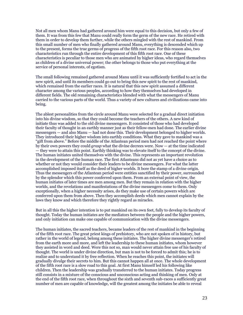Not all men whom Manu had gathered around him were equal to this decision, but only a few of them. It was from this few that Manu could really form the germ of the new race. He retired with them in order to develop them further, while the others mingled with the rest of mankind. From this small number of men who finally gathered around Manu, everything is descended which up to the present, forms the true germs of progress of the fifth root race. For this reason also, two characteristics run through the entire development of this fifth root race. One of these characteristics is peculiar to those men who are animated by higher ideas, who regard themselves as children of a divine universal power; the other belongs to those who put everything at the service of personal interests, of egotism.

The small following remained gathered around Manu until it was sufficiently fortified to act in the new spirit, and until its members could go out to bring this new spirit to the rest of mankind, which remained from the earlier races. It is natural that this new spirit assumed a different character among the various peoples, according to how they themselves had developed in different fields. The old remaining characteristics blended with what the messengers of Manu carried to the various parts of the world. Thus a variety of new cultures and civilizations came into being.

The ablest personalities from the circle around Manu were selected for a gradual direct initiation into his divine wisdom, so that they could become the teachers of the others. A new kind of initiate thus was added to the old divine messengers. It consisted of those who had developed their faculty of thought in an earthly manner just as their fellow-men had done. The earlier divine messengers — and also Manu — had not done this. Their development belonged to higher worlds. They introduced their higher wisdom into earthly conditions. What they gave to mankind was a "gift from above." Before the middle of the Atlantean period men had not reached the point where by their own powers they could *grasp* what the divine decrees were. Now — at the time indicated — they were to attain this point. Earthly thinking was to elevate itself to the concept of the divine. The human initiates united themselves with the divine. This represents an important revolution in the development of the human race. The first Atlanteans did not as yet have a choice as to whether or not they would consider their leaders to be divine messengers. For what the latter accomplished imposed itself as the deed of higher worlds. It bore the stamp of a divine origin. Thus the messengers of the Atlantean period were entities sanctified by their power, surrounded by the splendor which this power conferred upon them. From an external point of view, the human initiates of later times are men among men. But they remain in relation with the higher worlds, and the revelations and manifestations of the divine messengers come to them. Only exceptionally, when a higher necessity arises, do they make use of certain powers which are conferred upon them from above. Then they accomplish deeds which men cannot explain by the laws they know and which therefore they rightly regard as miracles.

But in all this the higher intention is to put mankind on its own feet, fully to develop its faculty of thought. Today the human initiates are the mediators between the people and the higher powers, and only initiation can make one capable of communication with the divine messengers.

The human initiates, the sacred teachers, became leaders of the rest of mankind in the beginning of the fifth root race. The great priest kings of prehistory, who are not spoken of in history, but rather in the world of legend, belong among these initiates. The higher divine messenger's retired from the earth more and more, and left the leadership to these human initiates, whom however they assisted in word and deed. Were this not so, man would never attain free use of his faculty of thought. The world is under divine direction, but man is not to be forced to admit this; he is to realize and to understand it by free reflection. When he reaches this point, the initiates will gradually divulge their secrets to him. But this cannot happen all at once. The whole development of the fifth root race is a slow road to this goal. At first Manu himself led his following like children. Then the leadership was gradually transferred to the human initiates. Today progress still consists in a mixture of the conscious and unconscious acting and thinking of men. Only at the end of the fifth root race, when throughout the sixth and seventh sub-races a sufficiently great number of men are capable of knowledge, will the greatest among the initiates be able to reveal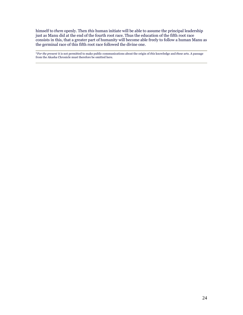himself to *them* openly. Then *this* human initiate will be able to assume the principal leadership just as Manu did at the end of the fourth root race. Thus the education of the fifth root race consists in this, that a greater part of humanity will become able freely to follow a human Manu as the germinal race of this fifth root race followed the divine one.

\**For the present* it is not permitted to make public communications about the origin of *this* knowledge and *these* arts. A passage from the Akasha Chronicle must therefore be omitted here.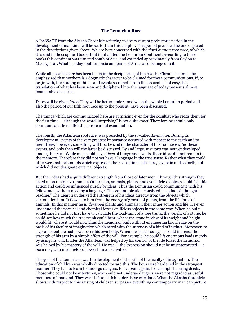#### **The Lemurian Race**

A PASSAGE from the Akasha Chronicle referring to a very distant prehistoric period in the development of mankind, will be set forth in this chapter. This period precedes the one depicted in the descriptions given above. We are here concerned with the *third human root race*, of which it is said in theosophical books that it inhabited the Lemurian Continent. According to these books this continent was situated south of Asia, and extended approximately from Ceylon to Madagascar. What is today southern Asia and parts of Africa also belonged to it.

While all possible care has been taken in the deciphering of the Akasha Chronicle it must be emphasized that nowhere is a dogmatic character to be claimed for these communications. If, to begin with, the reading of things and events so remote from the present is not easy, the translation of what has been seen and deciphered into the language of today presents almost insuperable obstacles.

Dates will be given *later*. They will be better understood when the whole Lemurian period and also the period of our fifth root race up to the present, have been discussed.

The things which are communicated here are surprising even for the occultist who reads them for the first time — although the word "surprising" is not quite exact. Therefore he should only communicate them after the most careful examination.

The fourth, the Atlantean root race, was preceded by the so-called *Lemurian*. During its development, events of the very greatest importance occurred with respect to the earth and to men. Here, however, something will first be said of the character of this root race *after* these events, and only then will the latter be discussed. By and large, *memory* was not yet developed among this race. While men could have *ideas* of things and events, these ideas did not remain in the memory. Therefore they did not yet have a language in the true sense. Rather what they could utter were natural sounds which expressed their sensations, pleasure, joy, pain and so forth, but which did not designate external objects.

But their ideas had a quite different strength from those of later men. Through this strength they acted upon their environment. Other men, animals, plants, and even lifeless objects could feel this action and could be influenced purely by ideas. Thus the Lemurian could communicate with his fellow-men without needing a language. This communication consisted in a kind of "thought reading." The Lemurian derived the strength of his ideas directly from the objects which surrounded him. It flowed to him from the energy of growth of plants, from the life force of animals. In this manner he *understood* plants and animals in their inner action and life. He even understood the physical and chemical forces of lifeless objects in the same way. When he built something he did not first have to calculate the load-limit of a tree trunk, the weight of a stone; he could see how much the tree trunk could bear, where the stone in view of its weight and height would fit, where it would not. Thus the Lemurian built without engineering knowledge on the basis of his faculty of imagination which acted with the sureness of a kind of instinct. Moreover, to a great extent, he had power over his own body. When it was necessary, he could increase the strength of his arm by a simple effort of the will. For example, he could lift enormous loads merely by using his will. If later the Atlantean was helped by his control of the life force, the Lemurian was helped by his mastery of the will. He was  $-$  the expression should not be misinterpreted  $-$  a born magician in all fields of lower human activities.

The goal of the Lemurians was the development of the will, of the faculty of imagination. The education of children was wholly directed toward this. The boys were hardened in the strongest manner. They had to learn to undergo dangers, to overcome pain, to accomplish daring deeds. Those who could not bear tortures, who could not undergo dangers, were not regarded as useful members of mankind. They were left to perish under these exertions. What the Akasha Chronicle shows with respect to this raising of children surpasses everything contemporary man can picture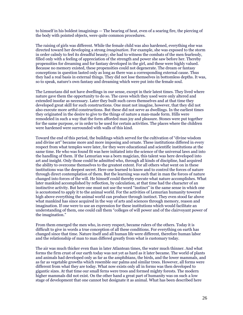to himself in his boldest imaginings — The bearing of heat, even of a searing fire, the piercing of the body with pointed objects, were quite common procedures.

The raising of girls was different. While the female child was also hardened, everything else was directed toward her developing a strong *imagination*. For example, she was exposed to the storm in order calmly to feel its dreadful beauty; she had to witness the combats of the men fearlessly, filled only with a feeling of appreciation of the strength and power she saw before her. Thereby propensities for dreaming and for fantasy developed in the girl, and these were highly valued. Because no memory existed, these propensities could not degenerate. The dream or fantasy conceptions in question lasted only as long as there was a corresponding external cause. Thus they had a real basis in external things. They did not lose themselves in bottomless depths. It was, so to speak, nature's own fantasy and dreaming which were put into the female soul.

The Lemurians did not have dwellings in our sense, except in their latest times. They lived where nature gave them the opportunity to do so. The caves which they used were only altered and extended insofar as necessary. Later they built such caves themselves and at that time they developed great skill for such constructions. One must not imagine, however, that they did not also execute more artful constructions. But these did not serve as dwellings. In the earliest times they originated in the desire to give to the things of nature a man-made form. Hills were remodeled in such a way that the form afforded man joy and pleasure. Stones were put together for the same purpose, or in order to be used for certain activities. The places where the children were hardened were surrounded with walls of this kind.

Toward the end of this period, the buildings which served for the cultivation of "divine wisdom and divine art" became more and more imposing and ornate. These institutions differed in every respect from what temples were later, for they were educational and scientific institutions at the same time. He who was found fit was here initiated into the science of the universal laws and into the handling of them. If the Lemurian was a born magician, this talent was here developed into art and insight. Only those could be admitted who, through all kinds of discipline, had acquired the ability to overcome themselves to the greatest extent. For all others what went on in these institutions was the deepest secret. Here one learned to know and to control the forces of nature through direct contemplation of them. But the learning was such that in man the forces of nature changed into forces of the will. He himself could thereby execute what nature accomplishes. What later mankind accomplished by reflection, by calculation, at that time had the character of an instinctive activity. But here one must not use the word "instinct" in the same sense in which one is accustomed to apply it to the animal world. For the activities of Lemurian humanity towered high above everything the animal world can produce through instinct. They even stood far above what mankind has since acquired in the way of arts and sciences through memory, reason and imagination. If one were to use an expression for these institutions which would facilitate an understanding of them, one could call them "colleges of will power and of the clairvoyant power of the imagination."

From them emerged the men who, in every respect, became rulers of the others. Today it is difficult to give in words a true conception of all these conditions. For everything on earth has changed since that time. Nature itself and all human life were different, therefore human labor and the relationship of man to man differed greatly from what is customary today.

The air was much thicker even than in later Atlantean times, the water much thinner. And what forms the firm crust of our earth today was not yet as hard as it later became. The world of plants and animals had developed only as far as the amphibians, the birds, and the lower mammals, and as far as vegetable growths which resemble our palms and similar trees. However, all forms were different from what they are today. What now exists only all in forms was then developed to gigantic sizes. At that time our small ferns were trees and formed mighty forests. The modern higher mammals did not exist. On the other hand a great part of humanity was on such a low stage of development that one cannot but designate it as animal. What has been described here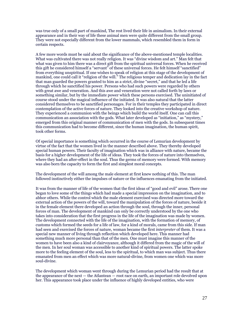was true only of a small part of mankind, The rest lived their life in animalism. In their external appearance and in their way of life these animal men were quite different from the small group. They were not especially different from the lower mammals, which resembled them in form in certain respects.

A few more words must be said about the significance of the above-mentioned temple localities. What was cultivated there was not really religion. It was "divine wisdom and art." Man felt that what was given to him there was a direct gift from the spiritual universal forces. When he received this gift he considered himself a "servant" of these universal forces. He felt himself "sanctified" from everything unspiritual. If one wishes to speak of religion at this stage of the development of mankind, one could call it "religion of the will." The religious temper and dedication lay in the fact that man guarded the powers granted to him as a strict, divine "secret," and that he led a life through which he sanctified his power. Persons who had such powers were regarded by others with great awe and veneration. And this awe and veneration were not called forth by laws or something similar, but by the immediate power which these persons exercised. The uninitiated of course stood under the magical influence of the initiated. It was also natural that the latter considered themselves to be sanctified personages. For in their temples they participated in direct contemplation of the active forces of nature. They looked into the creative workshop of nature. They experienced a communion with the beings which build the world itself. One can call this communication an association with the gods. What later developed as "initiation," as "mystery," emerged from this original manner of communication of men with the gods. In subsequent times this communication had to become different, since the human imagination, the human spirit, took other forms.

Of special importance is something which occurred in the course of Lemurian development by virtue of the fact that the women lived in the manner described above. They thereby developed special human powers. Their faculty of imagination which was in alliance with nature, became the basis for a higher development of the life of ideas. They took the forces of nature into themselves, where they had an after-effect in the soul. Thus the germs of memory were formed. With memory was also born the capacity to form the first and simplest moral concepts.

The development of the will among the male element at first knew nothing of this. The man followed instinctively either the impulses of nature or the influences emanating from the initiated.

It was from the manner of life of the women that the first ideas of "good and evil" arose. There one began to love some of the things which had made a special impression on the imagination, and to abhor others. While the control which the male element exercised was directed more toward the external action of the powers of the will, toward the manipulation of the forces of nature, beside it in the female element there developed an action through the soul, through the inner, personal forces of man. The development of mankind can only be correctly understood by the one who takes into consideration that the first progress in the life of the imagination was made by women. The development connected with the life of the imagination, with the formation of memory, of customs which formed the seeds for a life of law, for a kind of morals, came from this side. If man had seen and exercised the forces of nature, woman became the first *interpreter* of them. It was a special new manner of living through reflection which developed here. This manner had something much more personal than that of the men. One must imagine this manner of the women to have been also a kind of clairvoyance, although it differed from the magic of the will of the men. In her soul woman was accessible to another kind of spiritual powers. The latter spoke more to the feeling element of the soul, less to the spiritual, to which man was subject. Thus there emanated from men an effect which was more natural-divine, from women one which was more soul-divine.

The development which woman went through during the Lemurian period had the result that at the appearance of the next — the Atlantean — root race on earth, an important role devolved upon her. This appearance took place under the influence of highly developed entities, who were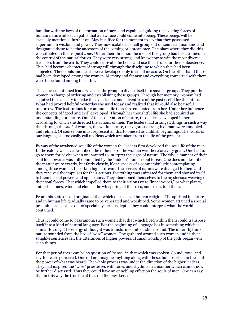familiar with the laws of the formation of races and capable of guiding the existing forces of human nature into such paths that a new race could come into being. These beings will be specially mentioned further on. May it suffice for the moment to say that they possessed superhuman wisdom and power. They now isolated a small group out of Lemurian mankind and designated these to be the ancestors of the coming Atlantean race. The place where they did this was situated in the tropical zone. Under their direction the men of this group had been trained in the control of the natural forces. They were very strong, and knew how to win the most diverse treasures from the earth. They could cultivate the fields and use their fruits for their subsistence. They had become characters of strong will through the discipline to which they had been subjected. Their souls and hearts were developed only in small measure. On the other hand these had been developed among the women. Memory and fantasy and everything connected with them were to be found among the latter.

The above-mentioned leaders caused the group to divide itself into smaller groups. They put the women in charge of ordering and establishing these groups. Through her memory, woman had acquired the capacity to make the experiences and adventures of the past useful for the future. What had proved helpful yesterday she used today and realized that it would also be useful tomorrow. The institutions for communal life therefore emanated from her. Under her influence the concepts of "good and evil" developed. Through her thoughtful life she had acquired an understanding for nature. Out of the observation of nature, those ideas developed in her according to which she directed the actions of men. The leaders had arranged things in such a way that through the *soul* of woman, the willful nature, the vigorous strength of man were ennobled and refined. Of course one must represent all this to oneself as childish beginnings. The words of our language all too easily call up ideas which are taken from the life of the present.

By way of the awakened soul life of the women the leaders first developed the soul life of the men. In the colony we have described, the influence of the women was therefore very great. One had to go to them for advice when one wanted to interpret the signs of nature. The whole manner of their soul life however was still dominated by the "hidden" human soul forces. One does not describe the matter quite exactly, but fairly closely, if one speaks of a somnambulistic contemplating among these women. In certain higher dreams the secrets of nature were divulged to them and they received the impulses for their actions. Everything was animated for them and showed itself to them in soul powers and apparitions. They abandoned themselves to the mysterious weaving of their soul forces. That which impelled them to their actions were "inner voices," or what plants, animals, stones, wind and clouds, the whispering of the trees, and so on, told them.

From this state of soul originated that which one can call human religion. The spiritual in nature and in human life gradually came to be venerated and worshiped. Some women attained a special preeminence because out of special mysterious depths they could interpret what the world contained.

Thus it could come to pass among such women that that which lived within them could transpose itself into a kind of natural language. For the beginning of language lies in something which is similar to song. The energy of thought was transformed into audible sound. The inner rhythm of nature sounded from the lips of "wise" women. One gathered around such women and in their songlike sentences felt the utterances of higher powers. Human worship of the gods began with such things.

For that period there can be no question of "sense" in that which was spoken. Sound, tone, and rhythm were perceived. One did not imagine anything along with these, but absorbed in the soul the power of what was heard. The whole process was under the direction of the higher leaders. They had inspired the "wise" priestesses with tones and rhythms in a manner which cannot now be further discussed. Thus they could have an ennobling effect on the souls of men. One can say that in this way the true life of the soul first awakened.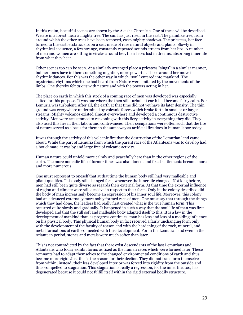In this realm, beautiful scenes are shown by the Akasha Chronicle. One of these will be described. We are in a forest, near a mighty tree. The sun has just risen in the east. The palmlike tree, from around which the other trees have been removed, casts mighty shadows. The priestess, her face turned to the east, ecstatic, sits on a seat made of rare natural objects and plants. Slowly in rhythmical sequence, a few strange, constantly repeated sounds stream from her lips. A number of men and women are sitting in circles around her, their faces lost in dreams, absorbing inner life from what they hear.

Other scenes too can be seen. At a similarly arranged place a priestess "sings" in a similar manner, but her tones have in them something mightier, more powerful. Those around her move in rhythmic dances. For this was the other way in which "soul" entered into mankind. The mysterious rhythms which one had heard from Nature were imitated by the movements of the limbs. One thereby felt *at one* with nature and with the powers acting in her.

The place on earth in which this stock of a coming race of men was developed was especially suited for this purpose. It was one where the then still turbulent earth had become fairly calm. For Lemuria was turbulent. After all, the earth at that time did not yet have its later density. The thin ground was everywhere undermined by volcanic forces which broke forth in smaller or larger streams. Mighty volcanos existed almost everywhere and developed a continuous destructive activity. Men were accustomed to reckoning with this fiery activity in everything they did. They also used this fire in their labors and contrivances. Their occupations were often such that the fire of nature served as a basis for them in the same way as artificial fire does in human labor today.

It was through the activity of this volcanic fire that the destruction of the Lemurian land came about. While the part of Lemuria from which the parent race of the Atlanteans was to develop had a hot climate, it was by and large free of volcanic activity.

Human nature could unfold more calmly and peacefully here than in the other regions of the earth. The more nomadic life of former times was abandoned, and fixed settlements became more and more numerous.

One must represent to oneself that at that time the human body still had very malleable and pliant qualities. This body still changed form whenever the inner life changed. Not long before, men had still been quite diverse as regards their external form. At that time the external influence of region and climate were still decisive in respect to their form. Only in the colony described did the body of man increasingly become an expression of his inner soul life. Moreover, this colony had an advanced externally more nobly formed race of men. One must say that through the things which they had done, the leaders had really first created what is the true human form. This occurred quite slowly and gradually. It happened in such a way that the soul life of man was first developed and that the still soft and malleable body adapted itself to this. It is a law in the development of mankind that, as progress continues, man has less and less of a molding influence on his physical body. This physical human body in fact received a fairly unchanging form only with the development of the faculty of reason and with the hardening of the rock, mineral, and metal formations of earth connected with this development. For in the Lemurian and even in the Atlantean period, stones and metals were much softer than later.

This is not contradicted by the fact that there exist descendants of the last Lemurians and Atlanteans who today exhibit forms as fixed as the human races which were formed later. These remnants had to adapt themselves to the changed environmental conditions of earth and thus became more rigid. Just this is the reason for their decline. They did not transform themselves from within; instead, their less developed interior was forced into rigidity from the outside and thus compelled to stagnation. This stagnation is really a regression, for the inner life, too, has degenerated because it could not fulfill itself within the rigid external bodily structure.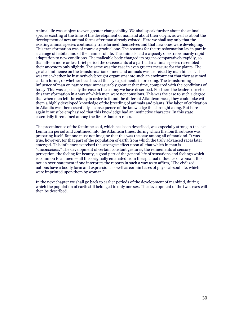Animal life was subject to even greater changeability. We shall speak further about the animal species existing at the time of the development of man and about their origin, as well as about the development of new animal forms after man already existed. Here we shall say only that the existing animal species continually transformed themselves and that new ones were developing. This transformation was of course a gradual one. The reasons for the transformation lay in part in a change of habitat and of the manner of life. The animals had a capacity of extraordinarily rapid adaptation to new conditions. The malleable body changed its organs comparatively rapidly, so that after a more or less brief period the descendants of a particular animal species resembled their ancestors only slightly. The same was the case in even greater measure for the plants. The greatest influence on the transformation of men and animals was exercised by man himself. This was true whether he instinctively brought organisms into such an environment that they assumed certain forms, or whether he achieved this by experiments in breeding. The transforming influence of man on nature was immeasurably great at that time, compared with the conditions of today. This was especially the case in the colony we have described. For there the leaders directed this transformation in a way of which men were not conscious. This was the case to such a degree that when men left the colony in order to found the different Atlantean races, they could take with them a highly developed knowledge of the breeding of animals and plants. The labor of cultivation in Atlantis was then essentially a consequence of the knowledge thus brought along. But here again it must be emphasized that this knowledge had an instinctive character. In this state essentially it remained among the first Atlantean races.

The preeminence of the feminine soul, which has been described, was especially strong in the last Lemurian period and continued into the Atlantean times, during which the fourth subrace was preparing itself. But one must not imagine that this was the case among all of mankind. It was true, however, for that part of the population of earth from which the truly advanced races later emerged. This influence exercised the strongest effect upon all that which in man is "unconscious." The development of certain constant gestures, the refinements of sensory perception, the feeling for beauty, a good part of the general life of sensations and feelings which is common to all men — all this originally emanated from the spiritual influence of woman. It is not an over-statement if one interprets the reports in such a way as to affirm, "The civilized nations have a bodily form and expression, as well as certain bases of physical-soul life, which were imprinted upon them by woman."

In the next chapter we shall go back to earlier periods of the development of mankind, during which the population of earth still belonged to only one sex. The development of the two sexes will then be described.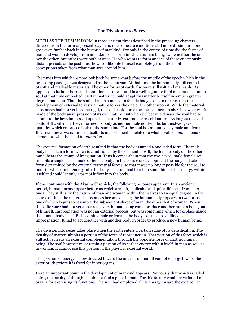#### **The Division into Sexes**

MUCH AS THE HUMAN FORM in those ancient times described in the preceding chapters differed from the form of present-day man, one comes to conditions still more dissimilar if one goes even further back in the history of mankind. For only in the course of time did the forms of man and woman develop from an older, basic form in which human beings were neither the one nor the other, but rather were both at once. He who wants to form an idea of these enormously distant periods of the past must however liberate himself completely from the habitual conceptions taken from what man sees around him.

The times into which we now look back lie somewhat before the middle of the epoch which in the preceding passages was designated as the Lemurian. At that time the human body still consisted of soft and malleable materials. The other forms of earth also were still soft and malleable. As opposed to its later hardened condition, earth was still in a welling, more fluid one. As the human soul at that time embodied itself in matter, it could adapt this matter to itself in a much greater degree than later. That the soul takes on a male or a female body is due to the fact that the development of external terrestrial nature forces the one or the other upon it. While the material substances had not yet become rigid, the soul could force these substances to obey its own laws. It made of the body an impression of its own nature. But when [it] became denser the soul had to submit to the laws impressed upon this matter by external terrestrial nature. As long as the soul could still control matter, it formed its body as neither male nor female, but, instead gave it qualities which embraced both at the same time. For the soul is simultaneously male and female. It carries these two natures in itself. Its male element is related to what is called *will*, its female element to what is called *imagination*.

The external formation of earth resulted in that the body assumed a one-sided form. The male body has taken a form which is conditioned by the element of will; the female body on the other hand, bears the stamp of imagination. Thus it comes about that the two-sexed, male-female soul inhabits a single-sexed, male or female body. In the course of development the body had taken a form determined by the external terrestrial forces, so that it was no longer possible for the soul to pour its whole inner energy into this body. The soul had to retain something of this energy within itself and could let only a part of it flow into the body.

If one continues with the Akasha Chronicle, the following becomes apparent. In an ancient period, human forms appear before us which are soft, malleable and quite different from later ones. They still carry the nature of man and woman within themselves to an equal degree. In the course of time, the material substances become denser; the human body appears in two forms, one of which begins to resemble the subsequent shape of man, the other that of woman. When this difference had not yet appeared, every human being could produce another human being out of himself. Impregnation was not an external process, but was something which took, place inside the human body itself. By becoming male or female, the body lost this possibility of selfimpregnation. It had to act together with another body in order to produce a new human being.

The division into sexes takes place when the earth enters a certain stage of its densification. The density of matter inhibits a portion of the force of reproduction. That portion of this force which is still active needs an external complementation through the opposite force of another human being. The soul however must retain a portion of its earlier energy within itself, in man as well as in woman. It cannot use this portion in the physical external world.

This portion of energy is now directed toward the interior of man. It cannot emerge toward the exterior; therefore it is freed for inner organs.

Here an important point in the development of mankind appears. Previously that which is called spirit, the faculty of thought, could not find a place in man. For this faculty would have found no organs for exercising its functions. The soul had employed all its energy toward the exterior, in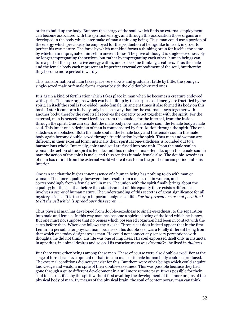order to build up the body. But now the energy of the soul, which finds no external employment, can become associated with the spiritual energy, and through this association those organs are developed in the body which later make of man a thinking being. Thus man could use a portion of the energy which previously he employed for the production of beings like himself, in order to perfect his own nature. The force by which mankind forms a thinking brain for itself is the same by which man impregnated himself in ancient times. The price of thought is single-sexedness. By no longer impregnating themselves, but rather by impregnating each other, human beings can turn a part of their productive energy within, and so become thinking creatures. Thus the male and the female body each represent an imperfect external embodiment of the soul, but thereby they become more perfect inwardly.

This transformation of man takes place very slowly and gradually. Little by little, the younger, single-sexed male or female forms appear beside the old double-sexed ones.

It is again a kind of fertilization which takes place in man when he becomes a creature endowed with spirit. The inner organs which can be built up by the surplus soul energy are fructified by the spirit. In itself the soul is two-sided: male-female. In ancient times it also formed its body on this basis. Later it can form its body only in such a way that for the external it acts together with another body; thereby the soul itself receives the capacity to act together with the spirit. For the external, man is henceforward fertilized from the outside, for the internal, from the inside, through the spirit. One can say that the male body now has a female soul, the female body a male soul. This inner one-sidedness of man is compensated by fertilization through the spirit. The onesidedness is abolished. Both the male soul in the female body and the female soul in the male body again become double-sexed through fructification by the spirit. Thus man and woman are different in their external form; internally their spiritual one-sidedness is rounded out to a harmonious whole. Internally, spirit and soul are fused into one unit. Upon the male soul in woman the action of the spirit is female, and thus renders it male-female; upon the female soul in man the action of the spirit is male, and thus renders it male-female also. The double-sexedness of man has retired from the external world where it existed in the pre-Lemurian period, into his interior.

One can see that the higher inner essence of a human being has nothing to do with man or woman. The inner equality, however, does result from a male soul in woman, and correspondingly from a female soul in man. The union with the spirit finally brings about the equality; but the fact that before the establishment of this equality there exists a difference involves a *secret* of human nature. The understanding of this secret is of great significance for all mystery science. It is the key to important enigmas of life. *For the present we are not permitted to lift the veil which is spread over this secret* . . .

Thus physical man has developed from double-sexedness to single-sexedness, to the separation into male and female. In this way man has become a spiritual being of the kind which he is now. But one must not suppose that no beings which possessed cognition had been in contact with the earth before then. When one follows the Akasha Chronicle it does indeed appear that in the first Lemurian period, later physical man, because of his double sex, was a totally different being from that which one today designates as man. He could not connect any sensory perceptions with thoughts; he did not think. His life was one of impulses. His soul expressed itself only in instincts, in appetites, in animal desires and so on. His consciousness was *dreamlike*; he lived in *dullness*.

But there were other beings among these men. These of course were also double-sexed. For at the stage of terrestrial development of that time no male or female human body could be produced. The external conditions did not yet exist for this. But there were other beings which could acquire knowledge and wisdom in spite of their double-sexedness. This was possible because they had gone through a quite different development in a still more remote past. It was possible for their soul to be fructified by the spirit without first awaiting the development of the inner organs of the physical body of man. By means of the physical brain, the soul of contemporary man can think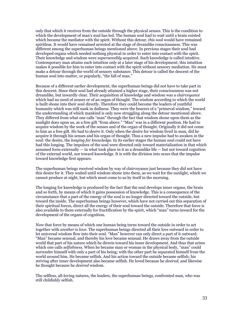only that which it receives from the outside through the physical senses. This is the condition to which the development of man's soul has led. The human soul had to wait until a brain existed which became the mediator with the spirit. Without this detour, *this* soul would have remained spiritless. It would have remained arrested at the stage of dreamlike consciousness. This was different among the superhuman beings mentioned above. In previous stages their soul had developed organs which needed nothing physical in order to enter into contact with the spirit. Their knowledge and wisdom were *supersensibly* acquired. Such knowledge is called intuitive. Contemporary man attains such intuition only at a later stage of his development; this intuition makes it possible for him to enter into contact with the spirit without sensory mediation. He must make a detour through the world of sensory substance. This detour is called the descent of the human soul into matter, or popularly, "the fall of man."

Because of a different earlier development, the superhuman beings did not have to take part in this descent. Since their soul had already attained a higher stage, their consciousness was not dreamlike, but inwardly clear. Their acquisition of knowledge and wisdom was a *clairvoyance* which had no need of senses or of an organ of thought. The wisdom according to which the world is built shone into their soul directly. Therefore they could become the leaders of youthful humanity which was still sunk in dullness. They were the bearers of a "primeval wisdom," toward the understanding of which mankind is only now struggling along the detour mentioned above. They differed from what one calls "man" through the fact that wisdom shone upon them as the sunlight does upon us, as a free gift "from above." "Man" was in a different position. He had to acquire wisdom by the work of the senses and of the organ of thought. Originally it did not come to him as a free gift. He had to *desire* it. Only when the *desire* for wisdom lived in man, did he acquire it through his senses and his organ of thought. Thus a new impulse had to awaken in the soul: the desire, the *longing for knowledge*. In its earlier stages the human soul could not have had this longing. The impulses of the soul were directed only toward materialization in that which assumed form externally — in what took place in it as a dreamlike life — but not toward cognition of the external world, nor toward knowledge. It is with the division into sexes that the impulse toward knowledge first appears.

The superhuman beings received wisdom by way of clairvoyance just because they did not have this desire for it. They waited until wisdom shone into them, as we wait for the sunlight, which we cannot produce at night, but which must come to us by itself in the morning.

The longing for knowledge is produced by the fact that the soul develops inner organs, the brain and so forth, by means of which it gains possession of knowledge. This is a consequence of the circumstance that a part of the energy of the soul is no longer directed toward the outside, but toward the inside. The superhuman beings however, which have not carried out this separation of their spiritual forces, direct all the energy of their soul toward the outside. Therefore that force is also available to them externally for fructification by the spirit, which "man" turns inward for the development of the organs of cognition.

Now that force by means of which one human being turns toward the outside in order to act together with *another* is *love*. The superhuman beings directed all their love outward in order to let universal wisdom flow into their soul. "Man" however can only direct a part of it outward. "Man" became sensual, and thereby his love became sensual. He draws away from the outside world that part of his nature which he directs toward his inner development. And thus that arises which one calls *selfishness*. When he became man or woman in the physical body, "man" could surrender himself with only a part of his being; with the other part he separated himself from the world around him. He became selfish. And his action toward the outside became selfish; his striving after inner development also became selfish. He loved because he *desired*, and likewise he thought because he *desired* wisdom.

The selfless, all-loving natures, the leaders, the superhuman beings, confronted man, who was still childishly selfish.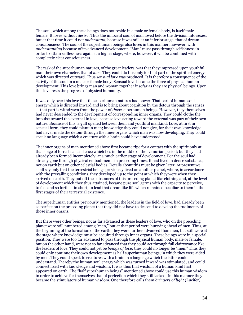The soul, which among these beings does not reside in a male or female body, is itself malefemale. It loves without *desire*. Thus the innocent soul of man loved before the division into sexes, but at that time it could not *understand*, because it was still at an inferior stage, that of dream consciousness. The soul of the superhuman beings also loves in this manner, however, with *understanding* because of its advanced development. "Man" must pass through selfishness in order to attain selflessness again at a higher stage, where, however, it will be combined with completely clear consciousness.

The task of the superhuman natures, of the great leaders, was that they impressed upon youthful man their own character, that of *love*. They could do this only for that part of the spiritual energy which was directed outward. Thus *sensual love* was produced. It is therefore a consequence of the activity of the soul in a male or female body. Sensual love became the force of physical human development. This love brings man and woman together insofar as they are physical beings. Upon this love rests the progress of physical humanity.

It was only over this love that the superhuman natures had power. That part of human soul energy which is directed inward and is to bring about cognition by the detour through the senses — that part is withdrawn from the power of *those* superhuman beings. However, they themselves had never descended to the development of corresponding inner organs. They could clothe the impulse toward the external in love, because love acting toward the external was part of their own nature. Because of this, a gulf opened between them and youthful mankind. Love, at first in sensual form, they could plant in man; knowledge they could not give, for their own knowledge had never made the detour through the inner organs which man was now developing. They could speak no language which a creature with a brain could have understood.

The inner organs of man mentioned above first became ripe for a contact with the spirit only at that stage of terrestrial existence which lies in the middle of the Lemurian period; but they had already been formed incompletely, at a much earlier stage of development. For the soul had already gone through physical embodiments in preceding times. It had lived in dense substance, not on earth but on other celestial bodies. Details about this must be given later. At present we shall say only that the terrestrial beings previously lived on another planet, where, in accordance with the prevailing conditions, they developed up to the point at which they were when they arrived on earth. They put off the substances of this preceding planet like clothing and, at the level of development which they thus attained, became pure soul germs with the capacity to perceive, to feel and so forth — in short, to lead that dreamlike life which remained peculiar to them in the first stages of their terrestrial existence.

The superhuman entities previously mentioned, the leaders in the field of love, had already been so perfect on the preceding planet that they did not have to descend to develop the rudiments of those inner organs.

But there were other beings, not as far advanced as these leaders of love, who on the preceding planet were still numbered among "men," but at that period were hurrying ahead of men. Thus, at the beginning of the formation of the earth, they were further advanced than men, but still were at the stage where knowledge must be acquired through inner organs. These beings were in a special position. They were too far advanced to pass through the physical human body, male or female, but on the other hand, were not so far advanced that they could act through full clairvoyance like the leaders of love. They could not yet be *beings of love*; they could no longer be "men." Thus they could only continue their own development as half superhuman beings, in which they were aided by men. They could speak to creatures with a brain in a language which the latter could understand. Thereby the human soul energy which was turned inward was stimulated, and could connect itself with knowledge and wisdom. It was thus that wisdom of a human kind first appeared on earth. The "half superhuman beings" mentioned above could use this human wisdom in order to achieve for themselves that of perfection which they still lacked. In this manner they became the stimulators of human wisdom. One therefore calls them *bringers of light* (Lucifer).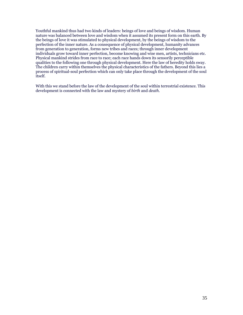Youthful mankind thus had two kinds of leaders: beings of love and beings of wisdom. Human nature was balanced between love and wisdom when it assumed its present form on this earth. By the beings of love it was stimulated to physical development, by the beings of wisdom to the perfection of the inner nature. As a consequence of physical development, humanity advances from generation to generation, forms new tribes and races; through inner development individuals grow toward inner perfection, become knowing and wise men, artists, technicians etc. Physical mankind strides from race to race; each race hands down its sensorily perceptible qualities to the following one through physical development. Here the law of heredity holds sway. The children carry within themselves the physical characteristics of the fathers. Beyond this lies a process of spiritual-soul perfection which can only take place through the development of the soul itself.

With this we stand before the law of the development of the soul within terrestrial existence. This development is connected with the law and mystery of *birth* and *death*.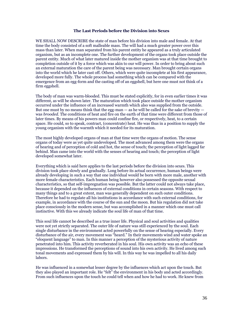# **The Last Periods before the Division into Sexes**

WE SHALL NOW DESCRIBE the state of man before his division into male and female. At that time the body consisted of a soft malleable mass. The will had a much greater power over this mass than later. When man separated from his parent entity he appeared as a truly articulated organism, but as an incomplete one. The further development of the organs took place outside the parent entity. Much of what later matured inside the mother organism was at that time brought to completion outside of it by a force which was akin to our will power. In order to bring about such an external maturation the care of the parent being was necessary. Man brought certain organs into the world which he later cast off. Others, which were quite incomplete at his first appearance, developed more fully. The whole process had something which can be compared with the emergence from an egg-form and the casting off of an eggshell, but here one must not think of a firm eggshell.

The body of man was warm-blooded. This must be stated explicitly, for in even earlier times it was different, as will be shown later. The maturation which took place outside the mother organism occurred under the influence of an increased warmth which also was supplied from the outside. But one must by no means think that the egg-man  $-$  as he will be called for the sake of brevity  $$ was *brooded*. The conditions of heat and fire on the earth of that time were different from those of later times. By means of his powers man could confine fire, or respectively, heat, to a certain space. He could, so to speak, contract, (concentrate) heat. He was thus in a position to supply the young organism with the warmth which it needed for its maturation.

The most highly developed organs of man at that time were the organs of motion. The sense organs of today were as yet quite undeveloped. The most advanced among them were the organs of hearing and of perception of cold and hot, the sense of touch; the perception of light lagged far behind. Man came into the world with the senses of hearing and touch; the perception of light developed somewhat later.

Everything which is said here applies to the last periods before the division into sexes. This division took place slowly and gradually. Long before its actual occurrence, human beings were already developing in such a way that one individual would be born with more male, another with more female characteristics. Each human being however also possessed the opposite sexual characteristics, so that self-impregnation was possible. But the latter could not always take place, because it depended on the influences of external conditions in certain seasons. With respect to many things and to a great extent, man was generally dependent on such outer conditions. Therefore he had to regulate all his institutions in accordance with such external conditions, for example, in accordance with the course of the sun and the moon. But his regulation did not take place consciously in the modern sense, but was accomplished in a manner which one must call instinctive. With this we already indicate the soul life of man of that time.

This soul life cannot be described as a true inner life. Physical and soul activities and qualities were not yet strictly separated. The outer life of nature was still experienced by the soul. Each single disturbance in the environment acted powerfully on the sense of hearing especially. Every disturbance of the air, every movement was "heard." In their movements wind and water spoke an "eloquent language" to man. In this manner a perception of the mysterious activity of nature penetrated into him. This activity reverberated in his soul. His own activity was an echo of these impressions. He transformed the perceptions of sound into his own activity. He lived among such tonal movements and expressed them by his will. In this way he was impelled to all his daily labors.

He was influenced in a somewhat lesser degree by the influences which act upon the touch. But they also played an important role. He "felt" the environment in his body and acted accordingly. From such influences upon the touch he could tell when and how he had to work. He knew from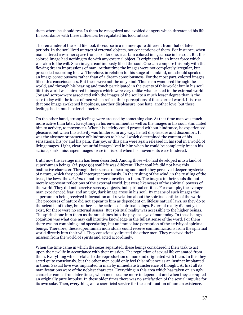them where he should rest. In them he recognized and avoided dangers which threatened his life. In accordance with these influences he regulated his food intake.

The remainder of the soul life took its course in a manner quite different from that of later periods. In the soul lived *images* of external objects, not conceptions of them. For instance, when man entered a warmer space from a colder one, a certain colored image arose in his soul. But this colored image had nothing to do with any external object. It originated in an inner force which was akin to the will. Such images continuously filled the soul. One can compare this only with the flowing dream impressions of man. At that time the images were not completely irregular, but proceeded according to law. Therefore, in relation to this stage of mankind, one should speak of an image consciousness rather than of a dream consciousness. For the most part, colored images filled this consciousness. But these were not the only kind. Thus man wandered through the world, and through his hearing and touch participated in the events of this world: but in his soul life this world was mirrored in images which were very unlike what existed in the external world. Joy and sorrow were associated with the images of the soul to a much lesser degree than is the case today with the ideas of men which reflect their perceptions of the external world. It is true that one image awakened happiness, another displeasure, one hate, another love; but these feelings had a much paler character.

On the other hand, strong feelings were aroused by something else. At that time man was much more active than later. Everything in his environment as well as the images in his soul, stimulated him to activity, to movement. When his activity could proceed without hindrance, he experienced pleasure, but when this activity was hindered in any way, he felt displeasure and discomfort. It was the absence or presence of hindrances to his will which determined the content of his sensations, his joy and his pain. This joy, or this pain were again released in his soul in a world of living images. Light, clear, beautiful images lived in him when he could be completely free in his actions; dark, misshapen images arose in his soul when his movements were hindered.

Until now the average man has been described. Among those who had developed into a kind of superhuman beings, (cf. page 96) soul life was different. Their soul life did not have this instinctive character. Through their senses of hearing and touch they perceived deeper mysteries of nature, which they could interpret consciously. In the rushing of the wind, in the rustling of the trees, the laws, the *wisdom* of nature were unveiled to them. The images in their souls did not merely represent reflections of the external world, but were likenesses of the spiritual powers of the world. They did not perceive sensory objects, but spiritual entities. For example, the average man experienced fear, and an ugly, dark image arose in his soul. By means of such images the superhuman being received information and revelation about the spiritual entities of the world. The processes of nature did not appear to him as dependent on lifeless natural laws, as they do to the scientist of today, but rather as the actions of spiritual beings. External reality did not yet exist, for there were no external senses. But spiritual reality was accessible to the higher beings. The spirit shone into them as the sun shines into the physical eye of man today. In these beings, cognition was what one may call intuitive knowledge in the fullest sense of the word. For them there was no combining and speculating, but an immediate perception of the activity of spiritual beings. Therefore, these superhuman individuals could receive communications from the spiritual world directly into their will. They consciously directed the other men. They received their mission from the world of spirits and acted accordingly.

When the time came in which the sexes separated, these beings considered it their task to act upon the new life in accordance with their mission. The regulation of sexual life emanated from them. Everything which relates to the reproduction of mankind originated with them. In this they acted quite consciously, but the other men could only feel this influence as an instinct implanted in them. Sexual love was implanted in man by immediate transference of thought. At first all its manifestations were of the noblest character. Everything in this area which has taken on an ugly character comes from later times, when men became more independent and when they corrupted an originally pure impulse. In these older times there was no satisfaction of the sexual impulse for its own sake. Then, everything was a sacrificial service for the continuation of human existence.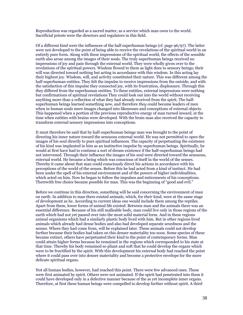Reproduction was regarded as a sacred matter, as a service which man owes to the world. Sacrificial priests were the directors and regulators in this field.

Of a different kind were the influences of the half superhuman beings (cf. page 96/97). The latter were not developed to the point of being able to receive the revelations of the spiritual world in an entirely pure form. Along with these impressions of the spiritual world, the effects of the sensible earth also arose among the images of their souls. The truly superhuman beings received no impressions of joy and pain through the external world. They were wholly given over to the revelations of the spiritual powers. Wisdom flowed to them as light does to sensory beings; their will was directed toward nothing but acting in accordance with this wisdom. In this acting lay their highest joy. Wisdom, will, and activity constituted their nature. This was different among the half superhuman entities. They felt the impulse to receive impressions from the outside, and with the satisfaction of this impulse they connected joy, with its frustration, displeasure. Through this they differed from the superhuman entities. To these entities, external impressions were nothing but confirmations of spiritual revelations They could look out into the world without receiving anything more than a reflection of what they had already received from the spirit. The halfsuperhuman beings learned something new, and therefore *they* could become leaders of men when in human souls mere images changed into likenesses and conceptions of external objects. This happened when a portion of the previous reproductive energy of man turned inward, at the time when entities with brains were developed. With the brain man also received the capacity to transform external sensory impressions into conceptions.

It must therefore be said that by half-superhuman beings man was brought to the point of directing his inner nature toward the sensuous external world. He was not permitted to open the images of his soul directly to pure spiritual influences. The capacity of perpetuating the existence of his kind was implanted in him as an instinctive impulse by superhuman beings. Spiritually, he would at first have had to continue a sort of dream existence if the half-superhuman beings had not intervened. Through their influence the images of his soul were directed toward the sensuous, external world. He became a being which was conscious of itself in the world of the senses. Thereby it came about that man could consciously direct his actions in accordance with his perceptions of the world of the senses. Before this he had acted from a kind of instinct. He had been under the spell of his external environment and of the powers of higher individualities, which acted on him. Now he began to follow the impulses and enticements of his conceptions. Therewith free choice became possible for man. This was the beginning of "good and evil."

Before we continue in this direction, something will be said concerning the environment of man on earth. In addition to man there existed animals, which, for *their* kind, were at the same stage of development as he. According to current ideas one would include them among the reptiles. Apart from them, lower forms of animal life existed. Between man and the animals there was an essential difference. Because of his still malleable body, man could live only in those regions of the earth which had not yet passed over into the most solid material form. And in these regions animal organisms which had a similarly plastic body lived with him. But in other regions lived animals which already had dense bodies and also had developed separate sexedness and the senses. Where they had come from, will be explained later. These animals could not develop further because their bodies had taken on this denser materiality too soon. Some species of these became extinct, others have perpetuated their kind to the point of contemporary forms. Man could attain higher forms because he remained in the regions which corresponded to his state at that time. Thereby his body remained so pliant and soft that he could develop the organs which were to be fructified by the spirit. With this development his external body had reached the point where it could pass over into denser materiality and become a protective envelope for the more delicate spiritual organs.

Not all human bodies, however, had reached this point. There were few advanced ones. These were first animated by spirit. Others were not animated. If the spirit had penetrated into them it could have developed only in a defective manner because of the as yet incomplete inner organs. Therefore, at first these human beings were compelled to develop further without spirit. A third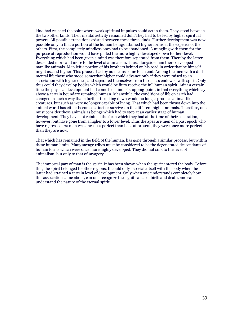kind had reached the point where weak spiritual impulses could act in them. They stood between the two other kinds. Their mental activity remained dull. They had to be led by higher spiritual powers. All possible transitions existed between these three kinds. Further development was now possible only in that a portion of the human beings attained higher forms at the expense of the others. First, the completely mindless ones had to be abandoned. A mingling with them for the purpose of reproduction would have pulled the more highly developed down to their level. Everything which had been given a mind was therefore separated from them. Thereby the latter descended more and more to the level of animalism. Thus, alongside man there developed manlike animals. Man left a portion of his brothers behind on his road in order that he himself might ascend higher. This process had by no means come to an end. Among the men with a dull mental life those who stood somewhat higher could advance only if they were raised to an association with higher ones, and separated themselves from those less endowed with spirit. Only thus could they develop bodies which would be fit to receive the full human spirit. After a certain time the physical development had come to a kind of stopping-point, in that everything which lay above a certain boundary remained human. Meanwhile, the conditions of life on earth had changed in such a way that a further thrusting down would no longer produce animal-like creatures, but such as were no longer capable of living. That which had been thrust down into the animal world has either become extinct or survives in the different higher animals. Therefore, one must consider these animals as beings which had to stop at an earlier stage of human development. They have not retained the form which they had at the time of their separation, however, but have gone from a higher to a lower level. Thus the apes are men of a past epoch who have regressed. As man was once less perfect than he is at present, they were once more perfect than they are now.

That which has remained in the field of the human, has gone through a similar process, but within these human limits. Many savage tribes must be considered to be the degenerated descendants of human forms which were once more highly developed. They did not sink to the level of animalism, but only to that of savagery.

The immortal part of man is the spirit. It has been shown when the spirit entered the body. Before this, the spirit belonged to other regions. It could only associate itself with the body when the latter had attained a certain level of development. Only when one understands completely how this association came about, can one recognize the significance of birth and death, and can understand the nature of the eternal spirit.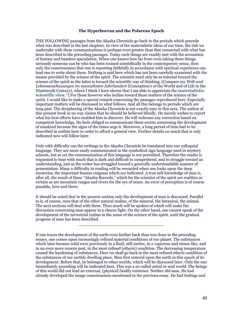## **The Hyperborean and the Polarean Epoch**

THE FOLLOWING passages from the Akasha Chronicle go back to the periods which precede what was described in the last chapters. In view of the materialistic ideas of our time, the risk we undertake with *these* communications is perhaps even greater than that connected with what has been described in the preceding passages. Today such things are readily met with the accusation of fantasy and baseless speculation. When one knows how far from even taking these things seriously someone can be who has been trained scientifically in the contemporary sense, then only the consciousness that one is reporting faithfully in accordance with spiritual experience can lead one to write about them. Nothing is said here which has not been carefully examined with the means provided by the science of the spirit. The scientist need only be as tolerant toward the science of the spirit as the latter is toward the scientific way of thinking. [Compare my *Welt-und Lebensanschauungen im neunzehnten Jahrhundert* (Conception's of the World and of Life in the Nineteenth Century), where I think I have shown that I am able to appreciate the **materialisticscientific view.\***] For those however who incline toward these matters of the science of the spirit, I would like to make a special remark concerning the passages reproduced here. Especially important matters will be discussed in what follows. And all this belongs to periods which are long past. The deciphering of the Akasha Chronicle is not exactly easy in this area. The author of this present book in no way claims that he should be believed blindly. He merely wishes to report what his best efforts have enabled him to discover. He will welcome any correction based on competent knowledge. He feels obliged to communicate these events concerning the development of mankind because the signs of the times urge it. Moreover, a long period of time had to be described in outline here in order to afford a general view. Further details on much that is only indicated now will follow later.

Only with difficulty can the writings in the Akasha Chronicle be translated into our colloquial language. They are more easily communicated in the symbolical sign language used in mystery schools, but as yet the communication of this language is not permitted. Therefore the reader is requested to bear with much that is dark and difficult to comprehend, and to struggle toward an understanding, just as the writer has struggled toward a generally understandable manner of presentation. Many a difficulty in reading will be rewarded when one looks upon the deep mysteries, the important human enigmas which are indicated. A true self-knowledge of man is, after all, the result of these "Akasha Records," which for the scientist of the spirit are realities as certain as are mountain ranges and rivers for the eye of sense. An error of perception is of course possible, here and there.

It should be noted that in the present section only the development of man is discussed. Parallel to it, of course, runs that of the other natural realms, of the mineral, the botanical, the animal. The next sections will deal with these. Then much will be spoken of which will make the discussion concerning man appear in a clearer light. On the other hand, one cannot speak of the development of the terrestrial realms in the sense of the science of the spirit, until the gradual progress of man has been described.

If one traces the development of the earth even further back than was done in the preceding essays, one comes upon increasingly refined material conditions of our planet. The substances which later became solid were previously in a fluid, still earlier, in a vaporous and steam-like, and in an even more remote past, in the most refined (etheric) condition. The decreasing temperature caused the hardening of substances. Here we shall go back to the most refined etheric condition of the substances of our earthly dwelling place. Man first entered upon the earth in this epoch of its development. Before that, he belonged to other worlds, which will be discussed later. Only the one immediately preceding will be indicated here. This was a so-called astral or soul world. The beings of this world did not lead an external, (physical) bodily existence. Neither did man. He had already developed the image consciousness mentioned in the previous essay. He had feelings and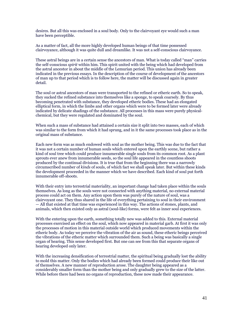desires. But all this was enclosed in a soul body. Only to the clairvoyant eye would such a man have been perceptible.

As a matter of fact, all the more highly developed human beings of that time possessed clairvoyance, although it was quite dull and dreamlike. It was not a self-conscious clairvoyance.

These astral beings are in a certain sense the ancestors of man. What is today called "man" carries the self-conscious *spirit* within him. This spirit united with the being which had developed from the astral ancestor in about the middle of the Lemurian period. This union has already been indicated in the previous essays. In the description of the course of development of the ancestors of man up to that period which is to follow here, the matter will be discussed again in greater detail.

The soul or astral ancestors of man were transported to the refined or etheric earth. So to speak, they sucked the refined substance into themselves like a sponge, to speak coarsely. By thus becoming penetrated with substance, they developed etheric bodies. These had an elongated elliptical form, in which the limbs and other organs which were to be formed later were already indicated by delicate shadings of the substance. All processes in this mass were purely physicalchemical, but they were regulated and dominated by the soul.

When such a mass of substance had attained a certain size it split into two masses, each of which was similar to the form from which it had sprung, and in it the same processes took place as in the original mass of substance.

Each new form was as much endowed with soul as the mother being. This was due to the fact that it was not a certain number of human souls which entered upon the earthly scene, but rather a kind of soul tree which could produce innumerable single souls from its common root. As a plant sprouts ever anew from innumerable seeds, so the soul life appeared in the countless shoots produced by the continual divisions. It is true that from the beginning there was a narrowly circumscribed number of *kinds* of souls, of which fact we shall speak later. But within these kinds the development proceeded in the manner which we have described. Each kind of soul put forth innumerable off-shoots.

With their entry into terrestrial materiality, an important change had taken place within the souls themselves. As long as the souls were not connected with anything material, no external material process could act on them. Any action upon them was purely of the nature of soul, was a clairvoyant one. They thus shared in the life of everything pertaining to soul in their environment — All that existed at that time was experienced in this way. The actions of stones, plants, and animals, which then existed only as astral (soul-like) forms, were felt as inner soul experiences.

With the entering upon the earth, something totally new was added to this. External material processes exercised an effect on the soul, which now appeared in material garb. At first it was only the processes of motion in this material outside world which produced movements within the etheric body. As today we perceive the vibration of the air as sound, these etheric beings perceived the vibrations of the etheric matter which surrounded them. Such a being was basically a single organ of hearing. This sense developed first. But one can see from this that separate organs of hearing developed only later.

With the increasing densification of terrestrial matter, the spiritual being gradually lost the ability to mold this matter. Only the bodies which had already been formed could produce their like out of themselves. A new manner of reproduction arose. The daughter being appeared as a considerably smaller form than the mother being and only gradually grew to the size of the latter. While before there had been no organs of reproduction, these now made their appearance.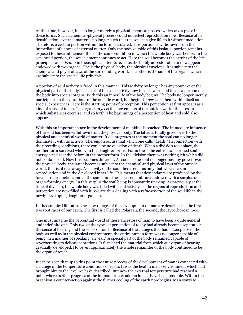At this time, however, it is no longer merely a physical-chemical process which takes place in these forms. Such a chemical-physical process could not effect reproduction now. Because of its densification, external matter is no longer such that the soul can give life to it without mediation. Therefore, a certain portion within the form is isolated. This portion is withdrawn from the immediate influences of external matter. Only the body outside of this isolated portion remains exposed to these influences. It is in the same condition in which the whole body was before. In the separated portion, the soul element continues to act. Here the soul becomes the carrier of the life principle, called *Prana* in theosophical literature. Thus the bodily ancestor of man now appears endowed with two organs. One is the physical body, the physical envelope. It is subject to the chemical and physical laws of the surrounding world. The other is the sum of the organs which are subject to the special life principle.

A portion of soul activity is freed in this manner. This activity no longer has any power over the physical part of the body. This part of the soul activity now turns inward and forms a portion of the body into special organs. With this an inner life of the body begins. The body no longer merely participates in the vibrations of the outside world, but begins to *perceive* them within itself as special experiences. Here is the starting point of perception. This perception at first appears as a kind of sense of touch. The organism *feels* the movements of the outside world; the pressure which substances exercise, and so forth. The beginnings of a perception of heat and cold also appear.

With this an important stage in the development of mankind is reached. The immediate influence of the soul has been withdrawn from the physical body. The latter is totally given over to the physical and chemical world of matter. It disintegrates at the moment the soul can no longer dominate it with its activity. Thereupon occurs that which one calls "death." In connection with the preceding conditions, there could be no question of death. When a division took place, the mother form survived wholly in the daughter forms. For in these the entire transformed soul energy acted as it did before in the mother form. In the division there was nothing left which did not contain soul. Now this becomes different. As soon as the soul no longer has any power over the physical body, the latter becomes subject to the chemical and physical laws of the outside world, that is, it dies away. As activity of the soul there remains only that which acts in reproduction and in the developed inner life. This means that descendants are produced by the force of reproduction, and at the same time these descendants are endowed with a surplus of organ-forming energy. In this surplus the soul being is constantly reviving. As previously at the time of division, the whole body was filled with soul activity, so the organs of reproduction and perception are now filled with it. We are thus dealing with a *reincarnation* of the soul life in the newly-developing daughter organism.

In theosophical literature these two stages of the development of man are described as the first two root races of our earth. The first is called the Polarean, the second, the Hyperborean race.

One must imagine the perceptual world of these ancestors of man to have been a quite general and indefinite one. Only two of the types of perception of today had already become separated: the sense of hearing and the sense of touch. Because of the changes that had taken place in the body as well as in the physical environment, the entire human form was no longer capable of being, in a manner of speaking, an "ear." A special part of the body remained capable of reverberating to delicate vibrations. It furnished the material from which *our* organ of hearing gradually developed. However, approximately the whole remainder of the body continued to be the organ of touch.

It can be seen that up to this point the entire process of the development of man is connected with a change in the temperature conditions of earth. It was the heat in man's environment which had brought him to the level we have described. But now the external temperature had reached a point where further progress of the human form would no longer have been possible. Within the organism a counter-action against the further cooling of the earth now begins. Man starts to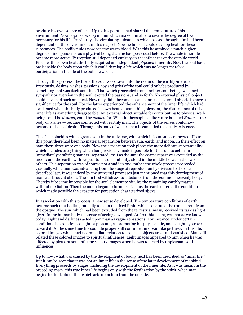produce his own source of heat. Up to this point he had shared the temperature of his environment. Now organs develop in him which make him able to create the degree of heat necessary for his life. Previously, the circulating substances which passed through him had been dependent on the environment in this respect. Now he himself could develop heat for these substances. The bodily fluids now became warm blood. With this he attained a much higher degree of independence as a physical being than he had possessed before. The whole inner life became more active. Perception still depended entirely on the influences of the outside world. Filled with its own heat, the body acquired an independent *physical* inner life. Now the soul had a basis inside the body upon which it could develop a life which was no longer merely a participation in the life of the outside world.

Through this process, the life of the soul was drawn into the realm of the earthly-material. Previously, desires, wishes, passions, joy and grief of the soul could only be produced by something that was itself soul-like. That which proceeded from another soul-being awakened sympathy or aversion in the soul, excited the passions, and so forth. No external physical object could have had such an effect. Now only did it become possible for such external objects to have a significance for the soul. For the latter experienced the enhancement of the inner life, which had awakened when the body produced its own heat, as something pleasant, the disturbance of this inner life as something disagreeable. An external object suitable for contributing to physical wellbeing could be *desired*, could be *wished* for. What in theosophical literature is called *Kama* — the body of wishes — became connected with earthly man. The objects of the senses could now become objects of desire. Through his body of wishes man became tied to earthly existence.

This fact coincides with a great event in the universe, with which it is causally connected. Up to this point there had been no material separation between sun, earth, and moon. In their effect on man these three were one body. Now the separation took place; the more delicate substantiality, which includes everything which had previously made it possible for the soul to act in an immediately vitalizing manner, separated itself as the sun; the coarsest part was extruded as the moon; and the earth, with respect to its substantiality, stood in the middle between the two others. This separation was of course not a sudden one; rather the whole process proceeded gradually while man was advancing from the stage of reproduction by division to the one described last. It was indeed by the universal processes just mentioned that this development of man was brought about. The sun first withdrew its substance from the common heavenly body. Thereby it became impossible for the soul element to vitalize the remaining earthly matter without mediation. Then the moon began to form itself. Thus the earth entered the condition which made possible the capacity for perception characterized above.

In association with this process, a new sense developed. The temperature conditions of earth became such that bodies gradually took on the fixed limits which separated the transparent from the opaque. The sun, which had been extruded from the terrestrial mass, received its task as light giver. In the human body the sense of seeing developed. At first this seeing was not as we know it today. Light and darkness acted upon man as vague sensations. For instance, under certain conditions he experienced light as pleasant, as promoting his physical life, and sought it, strove toward it. At the same time his soul life proper still continued in dreamlike pictures. In this life, colored images which had no immediate relation to external objects arose and vanished. Man still related these colored images to spiritual influences. Light images appeared to him when he was affected by pleasant soul influences, dark images when he was touched by unpleasant soul influences.

Up to now, what was caused by the development of bodily heat has been described as "inner life." But it can be seen that it was not an inner life in the sense of the later development of mankind. Everything proceeds by stages, including the development of the inner life. As it was meant in the preceding essay, this true inner life begins only with the fertilization by the spirit, when man begins to think about that which acts upon him from the outside.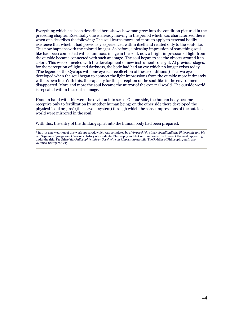Everything which has been described here shows how man grew into the condition pictured in the preceding chapter. Essentially one is already moving in the period which was characterized there when one describes the following: The soul learns more and more to apply to external bodily existence that which it had previously experienced within itself and related only to the soul-like. This now happens with the colored images. As before, a pleasing impression of something soullike had been connected with a luminous image in the soul, now a bright impression of light from the outside became connected with such an image. The soul began to see the objects around it in colors. This was connected with the development of new instruments of sight. At previous stages, for the perception of light and darkness, the body had had an eye which no longer exists today. (The legend of the Cyclops with one eye is a recollection of these conditions-) The two eyes developed when the soul began to connect the light impressions from the outside more intimately with its own life. With this, the capacity for the perception of the soul-like in the environment disappeared. More and more the soul became the mirror of the external world. The outside world is repeated within the soul as image.

Hand in hand with this went the division into sexes. On one side, the human body became receptive only to fertilization by another human being; on the other side there developed the physical "soul organs" (the nervous system) through which the sense impressions of the outside world were mirrored in the soul.

With this, the entry of the thinking spirit into the human body had been prepared.

\* In 1914 a new edition of this work appeared, which was completed by a *Vorgeschichte über abendländische Philosophie und bis zur Gegenwart fortgesetst* (Previous History of Occidental Philosophy and its Continuation to the Present), the work appearing under the title, *Die Rätsel der Philosophie inihrer Geschichte als Umriss dargestellt* (The Riddles of Philosophy, etc.), two volumes, Stuttgart, 1955.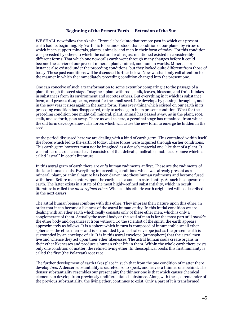# **Beginning of the Present Earth — Extrusion of the Sun**

WE SHALL now follow the Akasha Chronicle back into that remote past in which our present earth had its beginning. By "earth" is to be understood that condition of our planet by virtue of which it can support minerals, plants, animals, and men in their form of today. For this condition was preceded by others in which the natural realms just mentioned existed in considerably different forms. That which one now calls earth went through many changes before it could become the carrier of our present mineral, plant, animal, and human worlds. Minerals for instance also existed under the preceding conditions, but they looked quite different from those of today. These past conditions will be discussed further below. Now we shall only call attention to the manner in which the immediately preceding condition changed into the present one.

One can conceive of such a transformation to some extent by comparing it to the passage of a plant through the seed stage. Imagine a plant with root, stalk, leaves, blossom, and fruit. It takes in substances from its environment and secretes others. But everything in it which is substance, form, and process disappears, except for the small seed. Life develops by passing through it, and in the new year it rises again in the same form. Thus everything which existed on our earth in its preceding condition has disappeared, only to arise again in its present condition. What for the preceding condition one might call mineral, plant, animal has passed away, as in the plant, root, stalk, and so forth, pass away. There as well as here, a germinal stage has remained, from which the old form develops anew. The forces which will cause the new form to emerge lie hidden in the seed.

At the period discussed here we are dealing with a kind of earth germ. This contained within itself the forces which led to the earth of today. These forces were acquired through earlier conditions. This earth germ however must *not* be imagined as a densely material one, like that of a plant. It was rather of a soul character. It consisted of that delicate, malleable, mobile substance which is called "astral" in occult literature.

In this astral germ of earth there are *only* human rudiments at first. These are the rudiments of the later human souls. Everything in preceding conditions which was already present as a mineral; plant, or animal nature has been drawn into these human rudiments and become fused with them. Before man enters upon the earth he is a soul, an astral entity. As such he appears on earth. The latter exists in a state of the most highly-refined substantiality, which in occult literature is called the *most refined ether*. Whence this etheric earth originated will be described in the next essays.

The astral human beings combine with this ether. They impress their nature upon this ether, in order that it can become a likeness of the astral human entity. In this initial condition we are dealing with an ether earth which really consists only of these ether men, which is only a conglomerate of them. Actually the astral body or the soul of man is for the most part still *outside* the ether body and organizes it from without. To the scientist of the spirit, the earth appears approximately as follows. It is a sphere which in turn is composed of innumerable small ether spheres — the ether men — and is surrounded by an astral envelope just as the present earth is surrounded by an envelope of air. It is in this astral envelope (atmosphere) that the astral men live and whence they act upon their ether likenesses. The astral human souls create organs in their ether likenesses and produce a human ether life in them. Within the whole earth there exists only one condition of matter, the refined living ether. In theosophical books this first humanity is called the first (the Polarean) root race.

The further development of earth takes place in such that from the *one* condition of matter there develop *two*. A denser substantiality is secreted, so to speak, and leaves a thinner one behind. The denser substantiality resembles our present air; the thinner one is that which causes chemical elements to develop from previously undifferentiated substance. Along with these, a remainder of the previous substantiality, the living ether, continues to exist. Only a part of it is transformed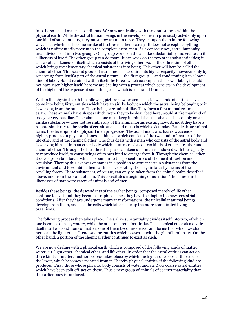into the so-called material conditions. We now are dealing with three substances within the physical earth. While the astral human beings in the envelope of earth previously acted only upon one kind of substantiality, they must now act upon three. They act upon them in the following way: That which has become airlike at first resists their activity. It does not accept everything which is rudimentarily present in the complete astral men. As a consequence, astral humanity must divide itself into two groups. One group works on the air-like substantiality and creates in it a likeness of itself. The other group can do more. It can work on the two other substantialities; it can create a likeness of itself which consists of the living ether *and* of the other kind of ether which brings the elementary chemical substances into being. This ether will here be called the chemical ether. This second group of astral men has acquired its higher capacity, however, only by separating from itself a part of the astral nature — the first group — and condemning it to a lower kind of labor. Had it retained within itself the forces which accomplish this lower labor, it could not have risen higher itself. here we are dealing with a process which consists in the development of the higher at the expense of something else, which is separated from it.

Within the physical earth the following picture now presents itself. Two kinds of entities have come into being First, entities which have an airlike body on which the astral being belonging to it is working from the outside. These beings are animal-like. They form a first animal realm on earth. These animals have shapes which, were they to be described here, would strike mankind of today as very peculiar. Their shape — one must keep in mind that this shape is based only on an airlike substance — does not resemble any of the animal forms existing now. At most they have a remote similarity to the shells of certain snails and mussels which exist today. Beside these animal forms the development of physical man progresses. The astral man, who has now ascended higher, produces a physical likeness of himself which consists of the two kinds of matter, of the life ether and of the chemical ether. One thus deals with a man who consists of the astral body and is working himself into an ether body which in turn consists of two kinds of ether: life ether and chemical ether. Through the life ether this physical likeness of man is endowed with the capacity to reproduce itself, to cause beings of its own kind to emerge from it. Through the chemical ether it develops certain forces which are similar to the present forces of chemical attraction and repulsion. Thereby this likeness of man is in a position to attract certain substances from the environment and to combine them with itself, secreting them again later by means of the repelling forces. These substances, of course, can only be taken from the animal realm described above, and from the realm of man. This constitutes a beginning of nutrition. Thus these first likenesses of man were eaters of animals and of men.

Besides these beings, the descendants of the earlier beings, composed merely of life ether, continue to exist, but they become atrophied, since they have to adapt to the new terrestrial conditions. After they have undergone many transformations, the unicellular animal beings develop from them, and also the cells which later make up the more complicated living organisms.

The following process then takes place. The airlike substantiality divides itself into two, of which one becomes denser, watery, while the other one remains airlike. The chemical ether also divides itself into two conditions of matter; one of them becomes denser and forms that which we shall here call the light ether. It endows the entities which possess it with the gilt of luminosity. On the other hand, a portion of the chemical ether continues to exist as such.

We are now dealing with a physical earth which is composed of the following kinds of matter: water, air, light ether, chemical ether. and life ether. In order that the astral entities can act on these kinds of matter, another process takes place by which the higher develops at the expense of the lower, which becomes separated from it. Thereby physical entities of the following kind are produced. First, those whose physical body consists of water and air. Now coarse astral entities which have been split off, act on these. Thus a new group of animals of coarser materiality than the earlier ones is produced.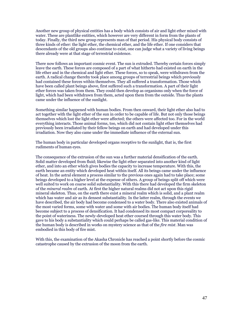Another new group of physical entities has a body which consists of air and light ether mixed with water. These are plantlike entities, which however are very different in form from the plants of today. Finally, the third new group represents man of that period. His physical body consists of three kinds of ether: the light ether, the chemical ether, and the life ether. If one considers that descendants of the old groups also continue to exist, one can judge what a variety of living beings there already were at that stage of terrestrial existence.

There now follows an important cosmic event. The sun is extruded. Thereby certain forces simply leave the earth. These forces are composed of a part of what hitherto had existed on earth in the life ether and in the chemical and light ether. These forces, so to speak, were withdrawn from the earth. A radical change thereby took place among groups of terrestrial beings which previously had contained these forces within themselves. They all suffered a transformation. Those which have been called plant beings above, first suffered such a transformation. A part of their light ether forces was taken from them. They could then develop as organisms only when the force of light, which had been withdrawn from them, acted upon them from the outside. Thus the plants came under the influence of the sunlight.

Something similar happened with human bodies. From then onward, their light ether also had to act together with the light ether of the sun in order to be capable of life. But not only those beings themselves which lost the light ether were affected; the others were affected too. For in the world everything interacts. Those animal forms, too, which did not contain light ether themselves had previously been irradiated by their fellow beings on earth and had developed under this irradiation. Now they also came under the immediate influence of the external sun.

The human body in particular developed organs receptive to the sunlight, that is, the first rudiments of human eyes.

The consequence of the extrusion of the sun was a further material densification of the earth. Solid matter developed from fluid; likewise the light ether separated into another kind of light ether, and into an ether which gives bodies the capacity to increase temperature. With this, the earth became an entity which developed heat within itself. All its beings came under the influence of heat. In the astral element a process similar to the previous ones again had to take place; some beings developed to a higher level at the expense of others. A group of beings split off which were well suited to work on coarse solid substantiality. With this there had developed the firm skeleton of the *mineral realm* of earth. At first the higher natural realms did not act upon this rigid mineral skeleton. Thus, on the earth there exist a mineral realm which is solid, and a plant realm which has water and air as its densest substantiality. In the latter realm, through the events we have described, the air body had become condensed to a water body. There also existed animals of the most varied forms, some with water and some with air bodies. The human body itself had become subject to a process of densification. It had condensed its most compact corporeality to the point of wateriness. The newly-developed heat ether coursed through this water body. This gave to his body a substantiality which could perhaps be called gas-like. This material condition of the human body is described in works on mystery science as that of the *fire mist*. Man was embodied in this body of fire mist.

With this, the examination of the Akasha Chronicle has reached a point shortly before the cosmic catastrophe caused by the extrusion of the moon from the earth.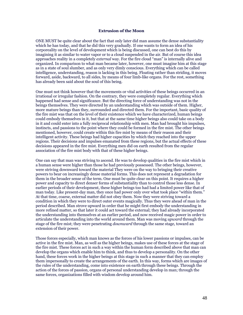## **Extrusion of the Moon**

ONE MUST be quite clear about the fact that only later did man assume the dense substantiality which he has today, and that he did this very gradually. If one wants to form an idea of his corporeality on the level of development which is being discussed, one can best do this by imagining it as similar to water vapor or to a cloud suspended in the air. But of course this idea approaches reality in a completely *external* way. For the fire cloud "man" is internally alive and organized. In comparison to what man became later, however, one must imagine him at this stage as in a state of soul slumber, and as only very dimly conscious. Everything which can be called intelligence, understanding, reason is lacking in this being. Floating rather than striding, it moves forward, aside, backward, to all sides, by means of four limb-like organs. For the rest, something has already been said about the soul of this being.

One must not think however that the movements or vital activities of these beings occurred in an irrational or irregular fashion. On the contrary, they were completely regular. Everything which happened had sense and significance. But the directing force of understanding was not in the beings themselves. They were directed by an understanding which was outside of them. Higher, more mature beings than they, surrounded and directed them. For the important, basic quality of the fire mist was that on the level of their existence which we have characterized, human beings could embody themselves in it, but that at the same time higher beings also could take on a body in it and could enter into a fully reciprocal relationship with men. Man had brought his impulses, instincts, and passions to the point where they could be formed in the fire mist. The other beings mentioned, however, could create within this fire mist by means of their reason and their intelligent activity. These beings had higher capacities by which they reached into the upper regions. Their decisions and impulses emanated from these regions, but the actual effects of these decisions appeared in the fire mist. Everything men did on earth resulted from the regular association of the fire mist body with that of these higher beings.

One can say that man was striving to ascend. He was to develop qualities in the fire mist which in a human sense were higher than those he had previously possessed. The other beings, however, were striving downward toward the material They were on the way to bringing their creative powers to bear on increasingly dense material forms. This does not represent a degradation for them in the broader sense of the term. One must be quite clear on this point. It requires a higher power and capacity to direct denser forms of substantiality than to control those less dense. In earlier periods of their development, these higher beings too had had a limited power like that of man today. Like present-day man, they once had power only over what took place "within them." At that time, coarse, external matter did not obey them. Now they were striving toward a condition in which they were to direct outer events magically. Thus they were ahead of man in the period described. Man strove upward in order that he might first embody the understanding in more refined matter, so that later it could act toward the external; they had already incorporated the understanding into themselves at an earlier period, and now received magic power in order to articulate the understanding into the world around them. Man was moving *upward* through the stage of the fire mist; they were penetrating *downward* through the same stage, toward an extension of their power.

Those forces especially, which man knows as the forces of his lower passions or impulses, can be active in the fire mist. Man, as well as the higher beings, makes use of these forces at the stage of the fire mist. These forces act in such a way within the human form described above that man can develop the organs which enable him to think, and thus to develop a personality. On the other hand, these forces work in the higher beings at this stage in such a manner that they can employ them impersonally to create the arrangements of the earth. In this way, forms which are images of the rules of the understanding, come into existence on earth through these beings. Through the action of the forces of passion, organs of personal understanding develop in man; through the same forces, organizations filled with wisdom develop around him.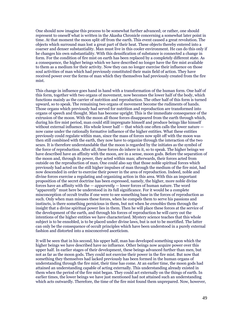One should now imagine this process to be somewhat further advanced; or rather, one should represent to oneself what is written in the Akasha Chronicle concerning a somewhat later point in time. At that moment the moon split off from the earth. This event caused a great revolution. The objects which surround man lost a great part of their heat. These objects thereby entered into a coarser and denser substantiality. Man must live in this cooler environment. He can do this only if he changes his own substantiality. With this densification of substance is connected a change in form. For the condition of fire mist on earth has been replaced by a completely different state. As a consequence, the higher beings which we have described no longer have the fire mist available to them as a medium for their activity. Now they can no longer exercise their influence on those soul activities of man which had previously constituted their main field of action. They have received power over the forms of man which they themselves had previously created from the fire mist.

This change in influence goes hand in hand with a transformation of the human form. One half of this form, together with two organs of movement, now becomes the lower half of the body, which functions mainly as the carrier of nutrition and reproduction. The other half of this form is turned upward, so to speak. The remaining two organs of movement become the rudiments of hands. Those organs which previously had served for nutrition and reproduction are transformed into organs of speech and thought. Man has become upright. This is the immediate consequence of the extrusion of the moon. With the moon all those forces disappeared from the earth through which, during his fire mist period, man could still impregnate himself and produce beings like himself without external influence. His whole lower half — that which one often calls the lower nature now came under the rationally formative influence of the higher entities. What these entities previously could regulate within man, since the mass of forces now split off with the moon was then still combined with the earth, they now have to organize through the interaction of the two sexes. It is therefore understandable that the moon is regarded by the initiates as the symbol of the force of reproduction. After all, these forces do inhere in it, so to speak. The higher beings we have described have an affinity with the moon, are in a sense, moon gods. Before the separation of the moon and, through its power, they acted within man; afterwards, their forces acted from outside on the reproduction of man. One could also say that those noble spiritual forces which previously had acted on the still higher impulses of man through the medium of the fire mist, had now descended in order to exercise their power in the area of reproduction. Indeed, noble and divine forces exercise a regulating and organizing action in this area. With this an important proposition of the secret doctrine has been expressed, namely, the higher, more noble divine forces have an affinity with the — *apparently* — lower forces of human nature. The word "apparently" must here be understood in its full significance. For it would be a complete misconception of occult truths if one were to see something base in the forces of reproduction as such. Only when man misuses these forces, when he compels them to serve his passions and instincts, is there something pernicious in them, but not when he *ennobles* them through the insight that a divine spiritual power lies in them. Then he will place these forces at the service of the development of the earth, and through his forces of reproduction he will carry out the intentions of the higher entities we have characterized. Mystery science teaches that this whole subject is to be ennobled, is to be placed under divine laws, but is not to be mortified. The latter can only be the consequence of occult principles which have been understood in a purely external fashion and distorted into a misconceived asceticism.

It will be seen that in his second, his upper half, man has developed something upon which the higher beings we have described have no influence. Other beings now acquire power over this upper half. In earlier stages of their development, these beings advanced further than men, but not as far as the moon gods. They could not exercise their power in the fire mist. But now that something they themselves had lacked previously has been formed in the human organs of understanding through the fire mist, their time has come. At an earlier time, the moon gods had attained an understanding capable of acting externally. This understanding already existed in them when the period of the fire mist began. They could act externally on the things of earth. In earlier times, the lower beings we have just mentioned had not attained such an understanding which acts outwardly. Therefore, the time of the fire mist found them unprepared. Now, however,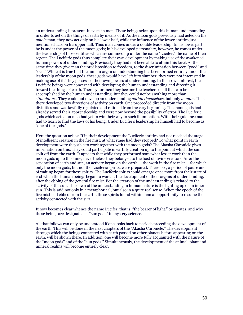an understanding is present. It exists in men. These beings seize upon this human understanding in order to act on the things of earth by means of it. As the moon gods previously had acted on the *whole* man, they now act only on his lower half, while the influence of the lower entities just mentioned acts on his upper half. Thus man comes under a double leadership. In his lower part he is under the power of the moon gods; in his developed personality, however, he comes under the leadership of those entities which are summed up under the name "Lucifer," the name of their regent. The Luciferic gods thus complete their own development by making use of the awakened human powers of understanding. Previously they had not been able to attain this level. At the same time they give man the predisposition to freedom, to the discrimination between "good" and "evil." While it is true that the human organ of understanding has been formed entirely under the leadership of the moon gods, these gods would have left it to slumber; they were not interested in making use of it. They possessed their own powers of understanding. In their own interest, the Luciferic beings were concerned with developing the human understanding and directing it toward the things of earth. Thereby for men they became the teachers of all that can be accomplished by the human understanding. But they could not be anything more than *stimulators*. They could not develop an understanding *within themselves*, but only *in man*. Thus there developed two directions of activity on earth. One proceeded directly from the moon divinities and was lawfully regulated and rational from the very beginning. The moon gods had already served their apprenticeship and were now beyond the possibility of error. The Luciferic gods which acted on men had yet to win their way to such illumination. With their guidance man had to learn to find the laws of his being. Under Lucifer's leadership he himself had to become as "one of the gods."

Here the question arises: If in their development the Luciferic entities had not reached the stage of intelligent creation in the fire mist, at what stage had they stopped? To what point in earth development were they able to work together with the moon gods? The Akasha Chronicle gives information on this. They could participate in earthly creation up to the point at which the sun split off from the earth. It appears that while they performed somewhat lesser work than the moon gods up to this time, nevertheless they belonged to the host of divine creators. After the separation of earth and sun, an activity began on the earth — the work in the fire mist — for which only the moon gods, but not the Luciferic spirits, were prepared. Therefore, a period of pause and of waiting began for these spirits. The Luciferic spirits could emerge once more from their state of rest when the human beings began to work at the development of their organs of understanding, after the ebbing of the general fire mist. For the creation of the understanding is related to the activity of the sun. The dawn of the understanding in human nature is the lighting up of an inner sun. This is said not only in a metaphorical, but also in a quite real sense. When the epoch of the fire mist had ebbed from the earth, these spirits found within man an opportunity to resume their activity connected with the *sun*.

It now becomes clear whence the name Lucifer, that is, "the bearer of light," originates, and why these beings are designated as "sun gods" in mystery science.

All that follows can only be understood if one looks back to periods preceding the development of the earth. This will be done in the next chapters of the "Akasha Chronicle." The development through which the beings connected with earth passed on other planets before appearing on the earth, will be shown there. In addition, one will become more fully acquainted with the nature of the "moon gods" and of the "sun gods." Simultaneously, the development of the animal, plant and mineral realms will become entirely clear.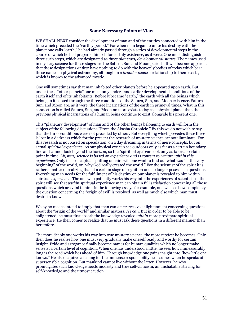### **Some Necessary Points of View**

WE SHALL NEXT consider the development of man and of the entities connected with him in the time which preceded the "earthly period." For when man began to unite his destiny with the planet one calls "earth," he had already passed through a series of developmental steps in the course of which he had prepared himself for earthly existence, as it were. One must distinguish three such steps, which are designated as *three planetary developmental stages*. The names used in mystery science for these stages are the Saturn, Sun and Moon periods. It will become apparent that these designations *at first* have nothing to do with the heavenly bodies of today which bear these names in physical astronomy, although in a *broader* sense a relationship to them exists, which is known to the advanced mystic.

One will sometimes say that man inhabited other planets before he appeared upon earth. But under these "other planets" one must only understand earlier developmental conditions of the earth itself and of its inhabitants. Before it became "earth," the earth with all the beings which belong to it passed through the three conditions of the Saturn, Sun, and Moon existence. Saturn Sun, and Moon are, as it were, the three incarnations of the earth in primeval times. What in this connection is called Saturn, Sun, and Moon no more exists today as a physical planet than the previous physical incarnations of a human being continue to exist alongside his present one.

This "planetary development" of man and of the other beings belonging to earth will form the subject of the following discussions "From the Akasha Chronicle." By this we do not wish to say that the three conditions were not preceded by others. But everything which precedes these three is lost in a darkness which for the present the research of mystery science cannot illuminate. For this research is not based on speculation, on a day dreaming in terms of mere concepts, but on actual *spiritual experience*. As our physical eye can see outdoors only as far as a certain boundary line and cannot look beyond the horizon, so the "spiritual eye" can look only as far as a certain point in time. *Mystery science is based on experience and is content to remain within this experience*. Only in a conceptual splitting of hairs will one want to find out what was "at the very beginning" of the world, or "why God really created the world." For the scientist of the spirit it is rather a matter of realizing that at a certain stage of cognition one no longer poses such questions. Everything man needs for the fulfillment of his destiny on our planet is revealed to him within spiritual *experience*. The one who patiently works his way into the experiences of scientists of the spirit will see that *within* spiritual experience man can obtain full satisfaction concerning all those questions which are vital to him. In the following essays for example, one will see how completely the question concerning the "origin of evil" is resolved, as well as much else which man must desire to know.

We by no means intend to imply that man can *never* receive enlightenment concerning questions about the "origin of the world" and similar matters. *He can*. But in order to be able to be enlightened, he must first absorb the knowledge revealed *within* more proximate spiritual experience. He then comes to realize that he must ask these questions in a different manner than heretofore.

The more deeply one works his way into true mystery science, the more *modest* he becomes. Only then does he realize how one must very gradually make oneself ready and worthy for certain insight. Pride and arrogance finally become names for human qualities which no longer make sense at a certain level of cognition. When one has understood a little, he sees how immeasurably long is the road which lies ahead of him. Through knowledge one gains insight into "how little one knows." He also acquires a feeling for the immense responsibility he assumes when he speaks of supersensible cognition. But mankind cannot live without the latter. However, he who promulgates such knowledge needs modesty and true self-criticism, an unshakable striving for self-knowledge and the utmost caution.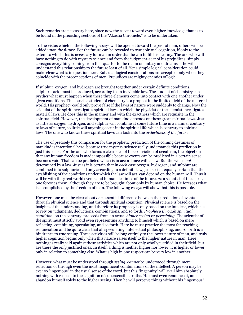Such remarks are necessary here, since now the ascent toward even higher knowledge than is to be found in the preceding sections of the "Akasha Chronicle," is to be undertaken.

To the vistas which in the following essays will be opened toward the past of man, others will be added *upon the future*. For the future can be revealed to true spiritual cognition, if only to the extent to which this is necessary for man in order that he can fulfill his destiny. The one who will have nothing to do with mystery science and from the judgment-seat of his prejudices, simply consigns everything coming from that quarter to the realm of fantasy and dreams — he will understand this relationship to the future least of all. Yet a simple logical consideration could make clear what is in question here. But such logical considerations are accepted only when they coincide with the preconceptions of men. Prejudices are mighty enemies of logic.

If sulphur, oxygen, and hydrogen are brought together under certain definite conditions, sulphuric acid must be produced, according to an inevitable law. The student of chemistry can *predict* what must happen when these three elements come into contact with one another under given conditions. Thus, such a student of chemistry is a prophet in the limited field of the material world. His prophecy could only prove false if the laws of nature were suddenly to change. Now the scientist of the spirit investigates spiritual laws in which the physicist or the chemist investigates material laws. He does this in the manner and with the exactness which are requisite in the spiritual field. However, the development of mankind depends on these great spiritual laws. Just as little as oxygen, hydrogen, and sulphur will combine at some future time in a manner contrary to laws of nature, so little will anything occur in the spiritual life which is contrary to spiritual laws. The one who knows these spiritual laws can look into the *orderliness of the future*.

The use of precisely this comparison for the prophetic prediction of the coming destinies of mankind is intentional here, because true mystery science really understands this prediction in just this sense. For the one who forms a clear idea of this conviction of occultism, the objection that any human freedom is made impossible because events can be predicted in a certain sense, becomes void. That can be predicted which is in accordance with a law. But the will is *not* determined by a law. Just as it is certain that in *each* case oxygen, hydrogen, and sulphur are combined into sulphuric acid only according to a definite law, just so is it equally certain that the establishing of the conditions under which the law will act, can depend on the human will. Thus it will be with the great world events and human destinies of the future. As a scientist of the spirit, one foresees them, although they are to be brought about only by human choice. He foresees what is accomplished by the freedom of man. The following essays will show that this is possible.

However, one must be clear about *one* essential difference between the prediction of events through physical science and that through spiritual cognition. Physical science is based on the insights of the understanding, and therefore its prophecy is only based on the intellect, which has to rely on judgments, deductions, combinations, and so forth. *Prophecy through spiritual cognition*, on the contrary, proceeds from an actual *higher seeing* or *perceiving*. The scientist of the spirit must strictly avoid even representing anything to himself which is based on mere reflecting, combining, speculating, and so forth. Here he must practice the most far-reaching renunciation and be quite clear that all speculating, intellectual philosophizing, and so forth is a hindrance to true seeing. These activities still belong entirely to the lower nature of man, and truly higher cognition begins only when this nature raises itself to the higher nature in man. Here nothing is really said against these activities which are not only wholly justified in their field, but are there the *only* justified ones. In itself, a thing is neither higher nor lower; it is higher or lower only in relation to something else. What is high in one respect can be very low in another.

However, what must be understood through *seeing*, *cannot* be understood through mere reflection or through even the most magnificent combinations of the intellect. A person may be ever so "ingenious" in the usual sense of the word, but this "ingenuity" will avail him absolutely nothing with respect to the cognition of supersensible truths. He must even renounce it, and abandon himself solely to the higher seeing. Then he will perceive things without his "ingenious"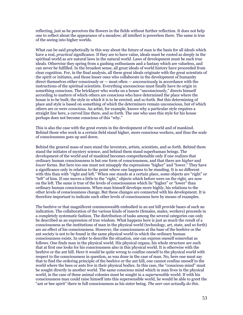reflecting, just as he perceives the flowers in the fields without further reflection. It does not help one to reflect about the appearance of a meadow; all intellect is powerless there. The same is true of the seeing into higher worlds.

What can be said prophetically in this way about the future of man is the basis for all *ideals* which have a real, *practical* significance. If they are to have value, ideals must be rooted as deeply in the spiritual world as are natural laws in the natural world. Laws of development must be such true ideals. Otherwise they spring from a gushing enthusiasm and a fantasy which are valueless, and can never be fulfilled. In the broadest sense, all great ideals of world history have proceeded from clear cognition. For, in the final analysis, all these great ideals originate with the great scientists of the spirit or initiates, and those lesser ones who collaborate in the development of humanity direct themselves either consciously or — most often — *unconsciously* in accordance with the instructions of the spiritual scientists. Everything unconscious must finally have its origin in something conscious. The bricklayer who works on a house "unconsciously," directs himself according to matters of which others are conscious who have determined the place where the house is to be built, the style in which it is to be erected, and so forth. But this determining of place and style is based on something of which the determiners remain unconscious, but of which others are or were *conscious*. An artist, for example, knows why a particular style requires a straight line here, a curved line there, and so forth. The one who uses this style for his house perhaps does not become conscious of this "why."

This is also the case with the great events in the development of the world and of mankind. Behind those who work in a certain field stand higher, more conscious workers, and thus the scale of consciousness goes up and down.

Behind the general mass of men stand the inventors, artists, scientists, and so forth. Behind them stand the initiates of mystery science, and behind them stand superhuman beings. The development of the world and of mankind becomes comprehensible only if one realizes that ordinary human consciousness is but *one* form of consciousness, and that there are *higher* and *lower* forms. But here too one must not misapply the expressions "higher" and "lower." They have a significance only in relation to the point where one happens to be standing. It is no different with this than with "right and left." When one stands at a certain place, some objects are "right" or "left" of him. If one moves a little to the "right," objects which before were on the right, are now on the left. The same is true of the levels of consciousness which lie "higher" or "lower" than ordinary human consciousness. When man himself develops more highly, his relations to the other levels of consciousness change. But these changes are connected with his development. It is therefore important to indicate such other levels of consciousness here by means of examples.

The beehive or that magnificent commonwealth embodied in an ant hill provide bases of such an indication. The collaboration of the various kinds of insects (females, males, workers) proceeds in a completely systematic fashion. The distribution of tasks among the several categories can only be described as an expression of true wisdom. What happens here is just as much the result of a consciousness as the institutions of man in the physical world (technology, art, state, and so forth) are an effect of his consciousness. However, the consciousness at the base of the beehive or the ant society is not to be found in the same physical world in which the ordinary human consciousness exists. In order to describe the situation, one can express oneself somewhat as follows. One finds man in the physical world. His physical organs, his whole structure are such that at first one looks for his consciousness also in this physical world. It is otherwise with the beehive or the ant hill. Here it would be quite wrong to confine oneself to the physical world with respect to the consciousness in question, as was done in the case of man. No, here one must say that to find the ordering principle of the beehive or the ant hill, one cannot confine oneself to the world where the bees or ants live in their physical bodies. In this case, the "conscious mind" must be sought directly in another world. The same conscious mind which in man lives in the physical world, in the case of these animal colonies must be sought in a *supersensible* world. If with his consciousness man could raise himself into this supersensible world, he would be able to greet the "ant or bee spirit" there in full consciousness as his sister being. *The seer can actually do this*.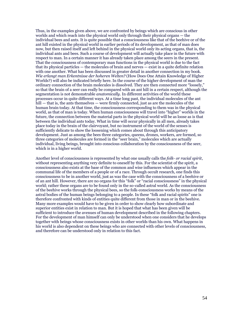Thus, in the examples given above, we are confronted by beings which are conscious in other worlds and which reach into the physical world only through their physical organs — the individual bees and ants. It is quite possible that a consciousness like that of the beehive or of the ant hill existed in the physical world in earlier periods of its development, as that of man does now, but then raised itself and left behind in the physical world only its acting organs, that is, the individual ants and bees. Such a course of development will actually take place in the future with respect to man. In a certain manner it has already taken place among the seers in the present. That the consciousness of contemporary man functions in the physical world is due to the fact that its physical particles — the molecules of brain and nerves — exist in a quite definite relation with one another. What has been discussed in greater detail in another connection in my book. *Wie erlangt man Erkentnisse der hoheren Welten?* (How Does One Attain Knowledge of Higher Worlds?) will also be indicated briefly here. In the course of the higher development of man the ordinary connection of the brain molecules is dissolved. They are then connected more "loosely," so that the brain of a seer can really be compared with an ant hill in a certain respect, although the segmentation is not demonstrable *anatomically*. In different activities of the world these processes occur in quite different ways. At a time long past, the individual molecules of the ant hill — that is, the ants themselves — were firmly connected, just as are the molecules of the human brain today. At that time, the consciousness corresponding to them was in the physical world, as that of man is today. When human consciousness will travel into "higher" worlds in the future, the connection between the material parts in the physical world will be as loose as is that between the individual ants today. What in time will occur physically in all men, already takes place today in the brain of the clairvoyant, but no instrument of the world of the senses is sufficiently delicate to show the loosening which comes about through this anticipatory development. Just as among the bees three categories, queens, drones, workers, are formed, so three categories of molecules are formed in the "seer brain," molecules which are actually individual, living beings, brought into conscious collaboration by the consciousness of the seer, which is in a higher world.

Another level of consciousness is represented by what one usually calls the *folk- or racial spirit*, without representing anything very definite to oneself by this. For the scientist of the spirit, a consciousness also exists at the base of the common and wise influences which appear in the communal life of the members of a people or of a race. Through occult research, one finds this consciousness to be in another world, just as was the case with the consciousness of a beehive or of an ant hill. However, there are no organs for this "folk" or "racial consciousness" in the physical world; rather these organs are to be found only in the so-called astral world. As the consciousness of the beehive works through the physical bees, so the folk-consciousness works by means of the astral bodies of the human beings belonging to a people. In these "folk and racial spirits" one is therefore confronted with kinds of entities quite different from those in man or in the beehive. Many more examples would have to be given in order to show clearly how subordinate and superior entities exist in relation to man. But it is hoped that what has been given will be sufficient to introduce the avenues of human development described in the following chapters. For the development of man himself can only be understood when one considers that he develops together with beings whose consciousness exists in other worlds than his own. What happens in his world is also dependent on these beings who are connected with other levels of consciousness, and therefore can be understood only in relation to this fact.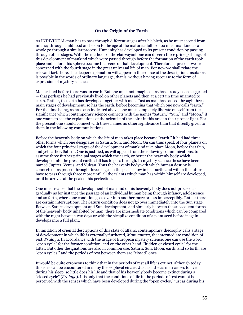# **On the Origin of the Earth**

As INDIVIDUAL man has to pass through different stages after his birth, as he must ascend from infancy through childhood and so on to the age of the mature adult, so too must mankind as a whole go through a similar process. Humanity has developed to its present condition by passing through other stages. With the methods of the clairvoyant one can discern three principal stags of this development of mankind which were passed through before the formation of the earth took place and before this sphere became the scene of that development. Therefore at present we are concerned with the fourth stage in the great universal life of man. For now we shall relate the relevant facts here. The deeper explanation will appear in the course of the description, insofar as is possible in the words of ordinary language, that is, without having recourse to the form of expression of mystery science.

Man existed before there was an earth. But one must not imagine — as has already been suggested — that perhaps he had previously lived on other planets and then at a certain time migrated to earth. Rather, the earth has developed together with man. Just as man has passed through three main stages of development, so has the earth, before becoming that which one now calls "earth." For the time being, as has been indicated above, one must completely liberate oneself from the significance which contemporary science connects with the names "Saturn," "Sun," and "Moon," if one wants to see the explanations of the scientist of the spirit in this area in their proper light. For the present one should connect with these names no other significance than that directly given to them in the following communications.

Before the heavenly body on which the life of man takes place became "earth," it had had three other forms which one designates as Saturn, Sun, and Moon. On can thus speak of four planets on which the four principal stages of the development of mankind take place Moon, before that Sun, and yet earlier, Saturn. One is justified, as will appear from the following communications, to assume three further principal stages which the earth, or better the heavenly body which developed into the present earth, still has to pass through. In mystery science these have been named Jupiter, Venus, and Vulcan. Thus the heavenly body with which human destiny is connected has passed through three stages in the past is now in its fourth, and will in the future have to pass through three more until all the talents which man has within himself are developed, until he arrives at the peak of his perfection.

One must realize that the development of man and of his heavenly body does not proceed as gradually as for instance the passage of an individual human being through infancy, adolescence and so forth, where one condition goes over into another more or less imperceptibly. Rather there are certain interruptions. The Saturn condition does not go over immediately into the Sun stage. Between Saturn development and Sun development, and similarly between the subsequent forms of the heavenly body inhabited by man, there are intermediate conditions which can be compared with the night between two days or with the sleeplike condition of a plant seed before it again develops into a full plant.

In imitation of oriental descriptions of this state of affairs, contemporary theosophy calls a stage of development in which life is externally furthered, *Manvantara*, the intermediate condition of rest, *Pralaya*. In accordance with the usage of European mystery science, one can use the word "open cycle" for the former condition, and on the other hand, "hidden or closed cycle" for the latter. But other designations are also in common use. Saturn, Sun, Moon, earth, and so forth, are "open cycles," and the periods of rest between them are "closed" ones.

It would be quite erroneous to think that in the periods of rest all life is extinct, although today this idea can be encountered in many theosophical circles. Just as little as man ceases to live during his sleep, so little does his life and that of his heavenly body become extinct during a "closed cycle" (*Pralaya*). It is only that the conditions of life in the periods of rest cannot be perceived with the senses which have been developed during the "open cycles," just as during his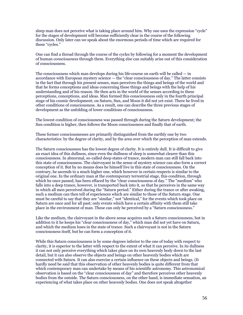sleep man does not perceive what is taking place around him. Why one uses the expression "cycle" for the stages of development will become sufficiently clear in the course of the following discussion. Only later can we speak about the enormous periods of time which are required for these "cycles."

One can find a thread through the course of the cycles by following for a moment the development of human *consciousness* through them. Everything else can suitably arise out of this consideration of consciousness.

The consciousness which man develops during his life-course on earth will be called — in accordance with European mystery science — the "clear consciousness of day." The latter consists in the fact that through his present senses, man perceives the things and beings of the world and that he forms conceptions and ideas concerning these things and beings with the help of his understanding and of his reason. He then acts in the world of the senses according to these perceptions, conceptions, and ideas. Man formed this consciousness only in the fourth principal stage of his cosmic development; on Saturn, Sun, and Moon it did not yet exist. There he lived in other conditions of consciousness. As a result, one can describe the three previous stages of development as the unfolding of lower conditions of consciousness.

The lowest condition of consciousness was passed through during the Saturn development; the Sun condition is higher, then follows the Moon consciousness and finally that of earth.

These former consciousnesses are primarily distinguished from the earthly one by two characteristics: by the degree of clarity, and by the area over which the perception of man extends.

The Saturn consciousness has the lowest degree of clarity. It is entirely dull. It is difficult to give an exact idea of this dullness, since even the dullness of sleep is somewhat clearer than this consciousness. In abnormal, so-called deep states of trance, modern man can still fall back into this state of consciousness. The clairvoyant in the sense of mystery science can also form a correct conception of it. But by no means does he himself live in this state of consciousness. On the contrary, he ascends to a much higher one, which however in certain respects is similar to the original one. In the ordinary man at the contemporary terrestrial stage, this condition, through which he once passed, has been effaced by the "clear consciousness of day." The "medium" who falls into a deep trance, however, is transported back into it, so that he perceives in the same way in which all men perceived during the "Saturn period." Either during the trance or after awaking, such a medium can then tell of experiences which are similar to those of the Saturn stage. One must be careful to say that they are "similar," not "identical," for the events which took place on Saturn are once and for all past; only events which have a certain affinity with them still take place in the environment of man. These can only be perceived by a "Saturn consciousness."

Like the medium, the clairvoyant in the above sense acquires such a Saturn consciousness, but in addition to it he keeps his "clear consciousness of day," which man did not yet have on Saturn, and which the medium loses in the state of trance. Such a clairvoyant is not in the Saturn consciousness itself, but he can form a conception of it.

While this Saturn consciousness is by some degrees inferior to the one of today with respect to clarity, it is superior to the latter with respect to the extent of what it can perceive. In its dullness it can not only perceive everything which takes place on its own heavenly body down to the last detail, but it can also observe the objects and beings on other heavenly bodies which are connected with Saturn. It can also exercise a certain influence on these objects and beings. (It hardly need be said that this observation of other heavenly bodies is quite different from that which contemporary man can undertake by means of his scientific astronomy. This astronomical observation is based on the "clear consciousness of day" and therefore perceives other heavenly bodies from the outside. The Saturn consciousness, on the other hand, is immediate sensation, an experiencing of what takes place on other heavenly bodies. One does not speak altogether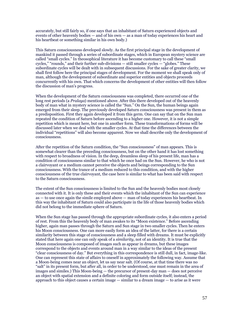accurately, but still fairly so, if one says that an inhabitant of Saturn experienced objects and events of other heavenly bodies — and of his own — as a man of today experiences his heart and his heartbeat or something similar in his own body.)

This Saturn consciousness developed slowly. As the first principal stage in the development of mankind it passed through a series of subordinate stages, which in European mystery science are called "small cycles." In theosophical literature it has become customary to call these "small cycles," "rounds," and their further sub-divisions — still smaller cycles — "globes." These subordinate cycles will be dealt with in subsequent discussions. For the sake of greater clarity, we shall first follow here the principal stages of development. For the moment we shall speak only of man, although the development of subordinate and superior entities and objects proceeds concurrently with his own. That which concerns the development of other entities will then follow the discussion of man's progress.

When the development of the Saturn consciousness was completed, there occurred one of the long rest periods (a *Pralaya*) mentioned above. After this there developed out of the heavenly body of man what in mystery science is called the "Sun." On the Sun, the human beings again emerged from their sleep. The previously developed Saturn consciousness was present in them as a predisposition. First they again developed it from this germ. One can say that on the Sun man repeated the condition of Saturn before ascending to a higher one. However, it is not a simple repetition which is meant here, but one in another form. These transformations of forms will be discussed later when we deal with the smaller cycles. At that time the differences between the individual "repetitions" will also become apparent. Now we shall describe only the development of consciousness.

After the repetition of the Saturn condition, the "Sun consciousness" of man appears. This is somewhat clearer than the preceding consciousness, but on the other hand it has lost something with respect to broadness of vision. In the deep, dreamless sleep of his present life, man has a condition of consciousness similar to that which he once had on the Sun. However, he who is not a clairvoyant or a medium cannot perceive the objects and beings corresponding to the Sun consciousness. With the trance of a medium reduced to this condition, and with the higher consciousness of the true clairvoyant, the case here is similar to what has been said with respect to the Saturn consciousness.

The extent of the Sun consciousness is limited to the Sun and the heavenly bodies most closely connected with it. It is only these and their events which the inhabitant of the Sun can experience as — to use once again the simile employed above — man of today experiences his heartbeat. In this way the inhabitant of Saturn could also participate in the life of those heavenly bodies which did not belong to the immediate sphere of Saturn.

When the Sun stage has passed through the appropriate subordinate cycles, it also enters a period of rest. From this the heavenly body of man awakes to its "Moon existence." Before ascending higher, again man passes through the Saturn and Sun stage in two smaller cycles. Then he enters his Moon consciousness. One can more easily form an idea of the latter, for there is a certain similarity between this stage of consciousness and a sleep filled with dreams. It must be explicitly stated that here again one can only speak of a *similarity*, not of an identity. It is true that the Moon consciousness is composed of images such as appear in dreams, but these images correspond to the objects and events around man in a way similar to the ideas of the present "clear consciousness of day." But everything in this correspondence is still dull, in fact, image-like. One can represent this state of affairs to oneself in approximately the following way. Assume that a Moon-being comes near an object, let us say near salt. (Of course, at that time there was no "salt" in its present form, but after all, in order to be understood, one must remain in the area of images and similes.) This Moon-being — the precursor of present-day man — does not perceive an object with spatial extension and a definite coloring and form outside itself; instead, the approach to this object causes a certain image  $-$  similar to a dream image  $-$  to arise as it were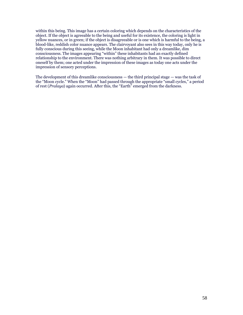within this being. This image has a certain coloring which depends on the characteristics of the object. If the object is agreeable to the being and useful for its existence, the coloring is light in yellow nuances, or in green; if the object is disagreeable or is one which is harmful to the being, a blood-like, reddish color nuance appears. The clairvoyant also sees in this way today, only he is fully conscious during this seeing, while the Moon inhabitant had only a dreamlike, dim consciousness. The images appearing "within" these inhabitants had an exactly defined relationship to the environment. There was nothing arbitrary in them. It was possible to direct oneself by them; one acted under the impression of these images as today one acts under the impression of sensory perceptions.

The development of this dreamlike consciousness — the third principal stage — was the task of the "Moon cycle." When the "Moon" had passed through the appropriate "small cycles," a period of rest (*Pralaya*) again occurred. After this, the "Earth" emerged from the darkness.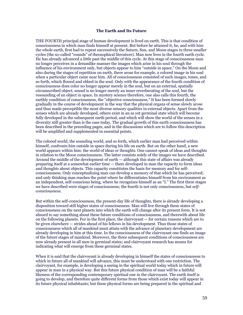## **The Earth and Its Future**

THE FOURTH principal stage of human development is lived on earth. This is that condition of consciousness in which man finds himself at present. But before he attained it, he, and with him the whole earth, first had to repeat successively the Saturn, Sun, and Moon stages in three smaller cycles (the so-called "rounds" of theosophical literature). Man now lives in the fourth earth cycle. He has already advanced a little past the middle of this cycle. At this stage of consciousness man no longer perceives in a dreamlike manner the images which arise in his soul through the influence of his environment only, but objects appear to him "outside in space." On the Moon and also during the stages of repetition on earth, there arose for example, a colored image in his soul when a particular object came near him. All of consciousness consisted of such images, tones, and so forth, which flowed and ebbed in the soul. Only with the appearance of the fourth condition of consciousness does color no longer appear merely in the soul, but on an external, spatially circumscribed object; sound is no longer merely an inner reverberating of the soul, but the resounding of an object in space. In mystery science therefore, one also calls this fourth, the earthly condition of consciousness, the "objective consciousness." It has been formed slowly gradually in the course of development in the way that the physical organs of sense slowly arose and thus made perceptible the most diverse sensory qualities in external objects. Apart from the senses which are already developed, others exist in an as yet germinal state which will become fully developed in the subsequent earth period, and which will show the world of the senses in a diversity still greater than is the case today. The gradual growth of this earth consciousness has been described in the preceding pages, and in the discussions which are to follow this description will be amplified and supplemented in essential points.

The colored world, the sounding world, and so forth, which earlier man had perceived within himself, confronts him outside in space during his life on earth. But on the other hand, a new world appears within him: the world of ideas or thoughts. One cannot speak of ideas and thoughts in relation to the Moon consciousness. The latter consists solely of the images we have described. Around the middle of the development of earth — although this state of affairs was already preparing itself at a somewhat earlier time — there developed in man the capacity to form ideas and thoughts about objects. This capacity constitutes the basis for memory and for selfconsciousness. Only conceptualizing man can develop a memory of that which he has perceived; and only thinking man reaches the point where he differentiates himself from his environment as an independent, self-conscious being, where he recognizes himself as an "I." The first three stages we have described were stages of consciousness; the fourth is not only consciousness, but *selfconsciousness*.

But within the self-consciousness, the present-day life of thoughts, there is already developing a disposition toward still higher states of consciousness. Man will live through these states of consciousness on the next planets into which the earth will change after its present form. It is not absurd to say something about these future conditions of consciousness, and therewith about life on the following planets. For in the first place, the clairvoyant — for certain reasons which are to be given elsewhere — strides ahead of his fellows in his development. Thus those states of consciousness which all of mankind must attain with the advance of planetary development are already developing in him at this time. In the consciousness of the clairvoyant one finds an image of the future stages of mankind. Moreover, the three subsequent conditions of consciousness are now already present in all men in germinal states; and clairvoyant research has means for indicating what will emerge from these germinal states.

When it is said that the clairvoyant is already developing in himself the states of consciousness to which in future all of mankind will advance, this must be understood with one restriction. The clairvoyant, for example, is developing a seeing in the spiritual world today which in future will appear in man in a physical way. But this future physical condition of man will be a faithful likeness of the corresponding contemporary spiritual one in the clairvoyant. The earth itself is going to develop, and therefore quite different forms from those which exist today will appear in its future physical inhabitants; but these physical forms are being prepared in the spiritual and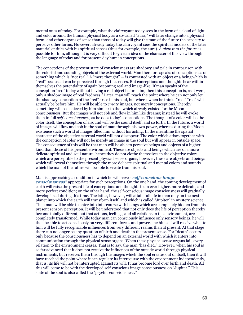mental ones of today. For example, what the clairvoyant today sees in the form of a cloud of light and color around the human physical body as a so-called "aura," will later change into a physical form; and other organs of sense than those of today will give the man of the future the capacity to perceive other forms. However, already today the clairvoyant sees the spiritual models of the later material entities with his spiritual senses (thus for example, the aura). *A view into the future* is possible for him, although it is very difficult to give an idea of the character of this view through the language of today and for present-day human conceptions.

The conceptions of the present state of consciousness are shadowy and pale in comparison with the colorful and sounding objects of the external world. Man therefore speaks of conceptions as of something which is "not real." A "mere thought"  $-$  is contrasted with an object or a being which is "real" because it can be perceived through the senses. But conceptions and thoughts bear within themselves the potentiality of again becoming real and image-like. If man speaks of the conception "red" today without having a red object before him, then this conception is, as it were, only a shadow image of real "redness." Later, man will reach the point where he can not only let the shadowy conception of the "red" arise in his soul, but where, when he thinks "red," "red" will actually be before him. He will be able to *create* images, not merely conceptions. Thereby something will be achieved by him similar to that which already existed for the Moon consciousness. But the images will not ebb and flow in him like dreams; instead he will evoke them in full *self-consciousness*, as he does today's conceptions. The thought of a color will be the color itself; the conception of a sound will be the sound itself, and so forth. In the future, a world of images will flow and ebb in the soul of man through his own power, whereas during the Moon existence such a world of images filled him without his acting. In the meantime the spatial character of the objective external world will not disappear. The color which arises together with the conception of color will not be merely an image in the soul but will appear in outside space. The consequence of this will be that man will be able to perceive beings and objects of a higher kind than those of his present environment. These are objects and beings which are of a more delicate spiritual and soul nature, hence they do not clothe themselves in the objective colors which are perceptible to the present physical sense organs; however, these are objects and beings which will reveal themselves through the more delicate spiritual and mental colors and sounds which the man of the future will be able to create from his soul.

#### Man is approaching a condition in which he will have a *self-conscious image*

*consciousness***\*** appropriate for such perceptions. On the one hand, the coming development of earth will raise the present life of conceptions and thoughts to an ever higher, more delicate, and more perfect condition; on the other hand, the self-conscious image consciousness will gradually develop itself during this time. The latter, however, will attain full life in man only on the next planet into which the earth will transform itself, and which is called "Jupiter" in mystery science. Then man will be able to enter into intercourse with beings which are completely hidden from his present sensory perception. It will be understood that not only does the life of perception thereby become totally different, but that actions, feelings, and all relations to the environment, are completely transformed. While today man can consciously influence only sensory beings, he will then be able to act consciously on very different forces and powers; he himself will receive what to him will be fully recognizable influences from very different realms than at present. At that stage there can no longer be any question of birth and death in the present sense. For "death" occurs only because the consciousness has to depend on an external world with which it enters into communication through the physical sense organs. When these physical sense organs fail, every relation to the environment ceases. That is to say, the man "has died." However, when his soul is so far advanced that it does not receive the influences of the outside world through physical instruments, but receives them through the images which the soul creates out of itself, then it will have reached the point where it can regulate its intercourse with the environment independently, that is, its life will not be interrupted against its will. It has become lord over birth and death. All this will come to be with the developed self-conscious image consciousness on "Jupiter." This state of the soul is also called the "psychic consciousness."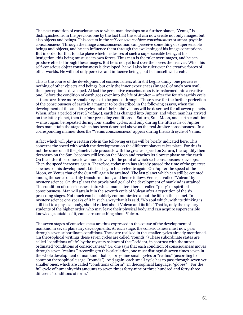The next condition of consciousness to which man develops on a further planet, "Venus," is distinguished from the previous one by the fact that the soul can now create not only images, but also objects and beings. This occurs in the *self-conscious object consciousness* or supra-psychic consciousness. Through the image consciousness man can perceive something of supersensible beings and objects, and he can influence them through the awakening of his image conceptions. But in order for that to take place which he desires of such a supersensible being, at his instigation, this being must use its own forces. Thus man is the ruler over images, and he can produce effects through these images. But he is not yet lord over the forces themselves. When his self-conscious object consciousness is developed, he will also be ruler over the creative forces of other worlds. He will not only perceive and influence beings, but he himself will create.

This is the course of the development of consciousness: at first it begins dimly; one perceives nothing of other objects and beings, but only the inner experiences (images) of one's own soul; then perception is developed. At last the perceptive consciousness is transformed into a creative one. Before the condition of earth goes over into the life of Jupiter — after the fourth earthly cycle — there are three more smaller cycles to be passed through. These serve for the further perfection of the consciousness of earth in a manner to be described in the following essays, when the development of the smaller cycles and of their subdivisions will be described for all seven planets. When, after a period of rest (*Pralaya*), earth has changed into Jupiter, and when man has arrived on the latter planet, then the four preceding conditions — Saturn, Sun, Moon, and earth condition — must again be repeated during four smaller cycles; and only during the fifth cycle of Jupiter does man attain the stage which has been described above as the real Jupiter consciousness. In a corresponding manner does the "Venus consciousness" appear during the sixth cycle of Venus.

A fact which will play a certain role in the following essays will be briefly indicated here. This concerns the speed with which the development on the different planets takes place. For this is not the same on all the planets. Life proceeds with the greatest speed on Saturn, the rapidity then decreases on the Sun, becomes still less on the Moon and reaches its slowest phase on the earth. On the latter it becomes slower and slower, to the point at which self-consciousness develops. Then the speed increases again. Therefore, today man has already passed the time of the greatest slowness of his development. Life has begun to accelerate again. On Jupiter the speed of the Moon, on Venus that of the Sun will again be attained. The last planet which can still be counted among the series of earthly transformations, and hence follows Venus, is called "Vulcan" by mystery science. On this planet the provisional goal of the development of mankind is attained. The condition of consciousness into which man enters there is called "piety" or spiritual consciousness. Man will attain it in the seventh cycle of Vulcan after a repetition of the six preceding stages. Not much can be publicly communicated about the life on this planet. In mystery science one speaks of it in such a way that it is said, "No soul which, with its thinking is still tied to a physical body, should reflect about Vulcan and its life." That is, only the mystery students of the higher order, who may leave their physical body and can acquire supersensible knowledge outside of it, can learn something about Vulcan.

The seven stages of consciousness are thus expressed in the course of the development of mankind in seven planetary developments. At each stage, the consciousness must now pass through seven subordinate conditions. These are realized in the smaller cycles already mentioned. (In theosophical writings these seven cycles are called "rounds.") These subordinate states are called "conditions of life" by the mystery science of the Occident, in contrast with the superordinated "conditions of consciousness." Or, one says that each condition of consciousness moves through seven "realms." According to this calculation, one must distinguish seven times seven in the whole development of mankind, that is, forty-nine small cycles or "realms" (according to common theosophical usage, "rounds"). And again, each small cycle has to pass through seven yet smaller ones, which are called "conditions of form" (in theosophical language, "globes"). For the full cycle of humanity this amounts to seven times forty-nine or three hundred and forty-three different "conditions of form."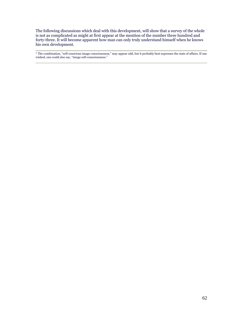The following discussions which deal with this development, will show that a survey of the whole is not as complicated as might at first appear at the mention of the number three hundred and forty-three. It will become apparent how man can only truly understand himself when he knows his own development.

\* The combination, "self-conscious image consciousness," may appear odd, but it probably best expresses the state of affairs. If one wished, one could also say, "image self-consciousness."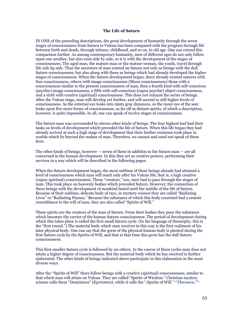## **The Life of Saturn**

IN ONE of the preceding descriptions, the great development of humanity through the seven stages of consciousness from Saturn to Vulcan has been compared with the progress through life between birth and death, through infancy, childhood, and so on, to old age. One can extend this comparison further. As among contemporary humanity, men of different ages do not only follow upon one another, but also exist side by side, so it is with the development of the stages of consciousness, The aged man, the mature man or the mature woman, the youth, travel through life *side by side*. Thus the ancestors of man existed on Saturn not only as beings with the dull Saturn consciousness, but also along with these as beings which had already developed the higher stages of consciousness. When the Saturn development began, there already existed natures with Sun consciousness, others with image consciousness (Moon consciousness) those with a consciousness similar to the present consciousness of man, then a fourth kind with self-conscious (psychic) image consciousness, a fifth with self-conscious (supra-psychic) object consciousness, and a sixth with creative (spiritual) consciousness. This does not exhaust the series of beings. After the Vulcan stage, man will develop yet further, and will ascend to still higher levels of consciousness. As the external eye looks into misty gray distances, so the inner eye of the seer looks upon five more forms of consciousness, as far off as distant spirits, of which a description, however, is quite impossible. In all, one can speak of *twelve* stages of consciousness.

The Saturn man was surrounded by eleven other kinds of beings. The four highest had had their tasks on levels of development which preceded the life of Saturn. When this life began they had already arrived at such a high stage of development that their further existence took place in worlds which lie beyond the realms of man. Therefore, we cannot and need not speak of them here.

The other kinds of beings, however — seven of them in addition to the Saturn man — are all concerned in the human development. In this they act as creative powers, performing their services in a way which will be described in the following pages.

When the Saturn development began, the most sublime of these beings already had attained a level of consciousness which man will reach only after his Vulcan life, that is, a high creative (supra-spiritual) consciousness. These "creators," too, once had to pass through the stages of man. This took place on heavenly bodies which preceded Saturn. However, the connection of these beings with the development of mankind lasted until the middle of the life of Saturn. Because of their sublime, delicate body of rays, in mystery science they are called "Radiating Lives" or "Radiating Flames." Because the substance of which this body consisted had a remote resemblance to the will of man, they are also called "Spirits of Will."

These spirits are the creators of the man of Saturn. From their bodies they pour the substance which becomes the carrier of the human Saturn consciousness. The period of development during which this takes place is called the first small Saturn cycle. (In the language of theosophy, this is the "first round.") The material body which man receives in this way is the first rudiment of his later physical body. One can say that the germ of the physical human body is planted during the first Saturn cycle by the Spirits of Will, and that at that time this germ has the dull Saturn consciousness.

This first smaller Saturn cycle is followed by six others. In the course of these cycles man does not attain a higher degree of consciousness. But the material body which he has received is further elaborated. The other kinds of beings indicated above participate in this elaboration in the most diverse ways.

After the "Spirits of Will" there follow beings with a creative (spiritual) consciousness, similar to that which man will attain on Vulcan. They are called "Spirits of Wisdom." Christian mystery science calls them "Dominions" (*Kyriotetes*), while it calls the ",Spirits of Will." **"Thrones."\***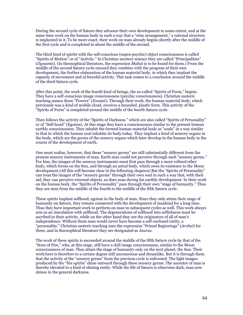During the second cycle of Saturn they advance their own development to some extent, and at the same time work on the human body in such a way that a "wise arrangement," a rational structure is implanted in it. To be more exact, their work on man already begins shortly after the middle of the first cycle and is completed in about the middle of the second.

The third kind of spirits with the self-conscious (supra-psychic) object consciousness is called "Spirits of Motion" or of "Activity." In Christian mystery science they are called "Principalities" (*Dynamis*). (In theosophical literature, the expression *Mahat* is to be found for them.) From the middle of the second Saturn cycle onward they combine with the progress of their own development, the further elaboration of the human material body, in which they implant the capacity of movement and of forceful activity. This task comes to a conclusion around the middle of the third Saturn cycle.

After this point, the work of the fourth kind of beings, the so-called "Spirits of Form," begins. They have a self-conscious image consciousness (psychic consciousness). Christian esoteric teaching names them "Powers" (*Exusiai*). Through their work, the human material body, which previously was a kind of mobile cloud, receives a bounded, plastic form. This activity of the "Spirits of Form" is completed around the middle of the fourth Saturn cycle.

Then follows the activity of the "Spirits of Darkness." which are also called "Spirits of Personality" or of "Self-hood" (Egoism). At this stage they have a consciousness similar to the present human earthly consciousness. They inhabit the formed human material body as "souls" in a way similar to that in which the human soul inhabits its body today. They implant a kind of sensory organs in the body, which are the germs of the sensory organs which later develop in the human body in the course of the development of earth.

One must realize, however, that these "sensory germs" are still substantially different from the present sensory instruments of man. Earth man could not perceive through such "sensory germs." For him, the images of the sensory instruments must first pass through a more refined ether body, which forms on the Sun, and through an astral body, which owes its existence to the Moon development (All this will become clear in the following chapters) But the "Spirits of Personality" can treat the images of the "sensory germs" through their own soul in such a way that, with their aid, they can perceive external objects, as does man during his earthly development. In their work on the human body, the "Spirits of Personality" pass through their own "stage of humanity." Thus they are men from the middle of the fourth to the middle of the fifth Saturn cycle.

These spirits implant selfhood, egoism in the body of man. Since they only attain their stage of humanity on Saturn, they remain connected with the development of mankind for a long time. Thus they have important work to perform on man in subsequent cycles as well. This work always acts as an inoculation with selfhood. The degenerations of selfhood into selfishness must be ascribed to their activity, while on the other hand they are the originators of all of man's independence. Without them man would never have become a self-enclosed entity, a "personality." Christian esoteric teaching uses the expression "Primal Beginnings" (*Archai*) for them, and in theosophical literature they are designated as *Asuras*.

The work of these spirits is succeeded around the middle of the fifth Saturn cycle by that of the "Sons of Fire," who, at this stage, still have a dull image consciousness, similar to the Moon consciousness of man. They attain the stage of humanity only on the next planet, the Sun. Their work here is therefore to a certain degree still unconscious and dreamlike. But it is through them that the activity of the "sensory germs" from the previous cycle is enlivened. The light images produced by the "fire spirits" shine outward through these sensory germs. The ancestor of man is thereby elevated to a kind of shining entity. While the life of Saturn is otherwise dark, man now shines in the general darkness.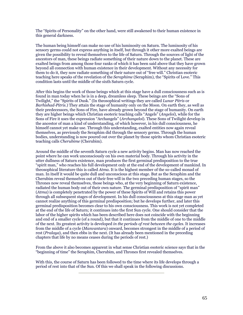The "Spirits of Personality" on the other hand, were still awakened to their human existence in this general darkness.

The human being himself can make no use of his luminosity on Saturn. The luminosity of his sensory germs could not express anything in itself, but through it other more exalted beings are given the possibility to reveal themselves to the life of Saturn. Through the sources of light of the ancestors of man, these beings radiate something of their nature down to the planet. These are exalted beings from among those four ranks of which it has been said above that they have grown beyond all connection with human existence in their development. Without any necessity for them to do it, they now radiate something of their nature out of "free will." Christian esoteric teaching here speaks of the revelation of the *Seraphime* (Seraphim), the "Spirits of Love." This condition lasts until the middle of the sixth Saturn cycle.

After this begins the work of those beings which at this stage have a dull consciousness such as is found in man today when he is in a deep, dreamless sleep. These beings are the "Sons of Twilight," the "Spirits of Dusk." (In theosophical writings they are called *Lunar Pitris* or *Barhishad-Pitris*.) They attain the stage of humanity only on the Moon. On earth they, as well as their predecessors, the Sons of Fire, have already grown beyond the stage of humanity. On earth they are higher beings which Christian esoteric teaching calls "Angels" (*Angeloi*), while for the Sons of Fire it uses the expression "Archangels" (*Archangeloi*). These Sons of Twilight develop in the ancestor of man a kind of understanding, of which however, in his dull consciousness, he himself cannot yet make use. Through this understanding, exalted entities now again reveal themselves, as previously the Seraphim did through the sensory germs. Through the human bodies, understanding is now poured out over the planet by those spirits whom Christian esoteric teaching calls *Cherubime* (Cherubim).

Around the middle of the seventh Saturn cycle a new activity begins. Man has now reached the point where he can work unconsciously on his own material body. Through his activity in the utter dullness of Saturn existence, man produces the first germinal predisposition to the true "spirit man," who reaches his full development only at the end of the development of mankind. In theosophical literature this is called *Atma*. It is the highest member of the so-called monad of man. In itself it would be quite dull and unconscious at this stage. But as the Seraphim and the Cherubim reveal themselves out of their free will in the two preceding human stages, so the Thrones now reveal themselves, those beings who, at the very beginning of Saturn existence, radiated the human body out of their own nature. The germinal predisposition of "spirit man" (*Atma*) is completely penetrated by the power of these Spirits of Will and retains this power through all subsequent stages of development. In his dull consciousness at this stage man as yet cannot realize anything of this germinal predisposition; but he develops further, and later this germinal predisposition becomes clear to his own consciousness. This work is not yet completed at the end of the life of Saturn; it continues into the first Sun cycle. One should consider that the labor of the higher spirits which has been described here does not coincide with the beginning and end of a smaller cycle (of a round), but that it continues from the middle of one to the middle of the next. Its greatest activity is developed *in the periods of rest between the cycles*. It increases from the middle of a cycle (*Manvantara*) onward, becomes strongest in the middle of a period of rest (*Pralaya*), and then ebbs in the next. (It has already been mentioned in the preceding chapters that life by no means ceases during the periods of rest.)

From the above it also becomes apparent in what sense Christian esoteric science says that in the "beginning of time" the Seraphim, Cherubim, and Thrones first revealed themselves.

With this, the course of Saturn has been followed to the time where its life develops through a period of rest into that of the Sun. Of this we shall speak in the following discussions.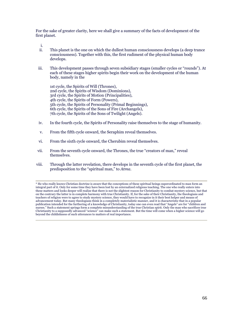For the sake of greater clarity, here we shall give a summary of the facts of development of the first planet.

- i.
- ii. This planet is the one on which the dullest human consciousness develops (a deep trance consciousness). Together with this, the first rudiment of the physical human body develops.
- iii. This development passes through seven subsidiary stages (smaller cycles or "rounds"). At each of these stages higher spirits begin their work on the development of the human body, namely in the

1st cycle, the Spirits of Will (Thrones), 2nd cycle, the Spirits of Wisdom (Dominions), 3rd cycle, the Spirits of Motion (Principalities), 4th cycle, the Spirits of Form (Powers), 5th cycle, the Spirits of Personality (Primal Beginnings), 6th cycle, the Spirits of the Sons of Fire (Archangels), 7th cycle, the Spirits of the Sons of Twilight (Angels).

- iv. In the fourth cycle, the Spirits of Personality raise themselves to the stage of humanity.
- v. From the fifth cycle onward, the Seraphim reveal themselves.
- vi. From the sixth cycle onward, the Cherubim reveal themselves.
- vii. From the seventh cycle onward, the Thrones, the true "creators of man," reveal themselves.
- viii. Through the latter revelation, there develops in the seventh cycle of the first planet, the predisposition to the "spiritual man," to *Atma*.

<sup>\*</sup> He who really knows Christian doctrine is aware that the conceptions of these spiritual beings superordinated to man form an integral part of it. Only for some time they have been lost by an externalized religious teaching. The one who really enters into these matters and looks deeper will realize that there is not the slightest reason for Christianity to combat mystery science, but that on the contrary the latter is in complete harmony with true Christianity. If, for the sake of their Christianity, the theologians and teachers of religion were to agree to study mystery science, they would have to recognize in it their best helper and means of advancement today. But many theologians think in a completely materialistic manner, and it is characteristic that in a popular publication intended for the furthering of a knowledge of Christianity, today one can even read that "Angels" are for "children and nurses." Such a statement springs form a complete misunderstanding of the true Christian spirit. Only the man who sacrifices true Christianity to a supposedly advanced "science" can make such a statement. But the time will come when a higher science will go beyond the childishness of such utterances to matters of real importance.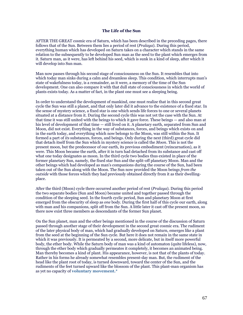## **The Life of the Sun**

AFTER THE GREAT cosmic era of Saturn, which has been described in the preceding pages, there follows that of the Sun. Between them lies a period of rest (*Pralaya*). During this period, everything human which has developed on Saturn takes on a character which stands in the same relation to the subsequently to be developed Sun man as the seed to the plant which emerges from it. Saturn man, as it were, has left behind his seed, which is sunk in a kind of sleep, after which it will develop into Sun man.

Man now passes through his second stage of consciousness on the Sun. It resembles that into which today man sinks during a calm and dreamless sleep. This condition, which interrupts man's state of wakefulness today, is a remainder, as it were, a memory of the time of the Sun development. One can also compare it with that dull state of consciousness in which the world of plants exists today. As a matter of fact, in the plant one must see a sleeping being.

In order to understand the development of mankind, one must realize that in this second great cycle the Sun was still a planet, and that only later did it advance to the existence of a fixed star. In the sense of mystery science, a fixed star is one which sends life forces to one or several planets situated at a distance from it. During the second cycle this was not yet the case with the Sun. At that time it was still united with the beings to which it gave force. These beings — and also man at his level of development of that time — still lived on it. A planetary earth, separated from Sun and Moon, did not exist. Everything in the way of substances, forces, and beings which exists on and in the earth today, and everything which now belongs to the Moon, was still within the Sun. It formed a part of *its* substances, forces, and beings. Only during the next (third) great cycle did that detach itself from the Sun which in mystery science is called the *Moon*. This is not the present moon, but the predecessor of our earth, its previous embodiment (reincarnation), as it were. This Moon became the earth, after it in turn had detached from its substance and cast off what one today designates as moon. In the third cycle two bodies thus existed in place of the former planetary Sun, namely, the fixed star Sun and the split-off planetary Moon. Man and the other beings which had developed as man's companions during the course of the Sun, had been taken out of the Sun along with the Moon. The Sun now provided the Moon beings *from the outside* with those forces which they had previously obtained directly from it as their dwellingplace.

After the third (Moon) cycle there occurred another period of rest (*Pralaya*). During this period the two separate bodies (Sun and Moon) became united and together passed through the condition of the sleeping seed. In the fourth cyclic period, Sun and planetary Moon at first emerged from the obscurity of sleep as *one* body. During the first half of this cycle our earth, along with man and his companions, split off from the Sun. A little later it cast off the present moon, so there now exist three members as descendants of the former Sun planet.

On the Sun planet, man and the other beings mentioned in the course of the discussion of Saturn passed through another stage of their development in the second great cosmic era. The rudiment of the later physical body of man, which had gradually developed on Saturn, emerges like a plant from the seed at the beginning of the Sun cycle. But here it does not remain in the same state in which it was previously. It is permeated by a second, more delicate, but in itself more powerful body, the ether body. While the Saturn body of man was a kind of automaton (quite lifeless), now, through the ether body which gradually permeates it completely, it becomes an animated being. Man thereby becomes a kind of plant. His appearance, however, is not that of the plants of today. Rather in his forms he already somewhat resembles present-day man. But, the rudiment of the head like the plant root of today, is turned downward, toward the center of the Sun, and the rudiments of the feet turned upward like the blossom of the plant. This plant-man organism has as yet no capacity of **voluntary movement.\***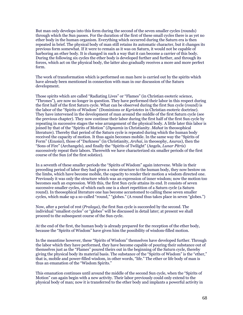But man only develops into this form during the second of the seven smaller cycles (rounds) through which the Sun passes. For the duration of the first of these small cycles there is as yet no ether body in the human organism. Everything which occurred during the Saturn era is then repeated in brief. The physical body of man still retains its automatic character, but it changes its previous form somewhat. If it were to remain as it was on Saturn, it would not be capable of harboring an ether body. It is changed in such a way that it can become a carrier of this body. During the following six cycles the ether body is developed further and further, and through its forces, which act on the physical body, the latter also gradually receives a more and more perfect form.

The work of transformation which is performed on man here is carried out by the spirits which have already been mentioned in connection with man in our discussion of the Saturn development.

Those spirits which are called "Radiating Lives" or "Flames" (in Christian esoteric science, "Thrones"), are now no longer in question. They have performed their labor in this respect during the first half of the first Saturn cycle. What can be observed during the first Sun cycle (round) is the labor of the "Spirits of Wisdom" (Dominions or *Kyriotetes* in Christian esoteric doctrine). They have intervened in the development of man around the middle of the first Saturn cycle (see the previous chapter). They now continue their labor during the first half of the first Sun cycle by repeating in successive stages the wise arrangement of the physical body. A little later this labor is joined by that of the "Spirits of Motion" (*Dynamis* in Christianity. *Mahat* in theosophical literature). Thereby that period of the Saturn cycle is repeated during which the human body received the capacity of motion. It thus again becomes mobile. In the same way the "Spirits of Form" (*Exusiai*), those of "Darkness" (in Christianity, *Archai*, in theosophy, *Asuras*), then the "Sons of Fire" (Archangels), and finally the "Spirits of Twilight" (Angels, *Lunar Pitris*) successively repeat their labors. Therewith we have characterized six smaller periods of the first course of the Sun (of the first solstice).

In a seventh of these smaller periods the "Spirits of Wisdom" again intervene. While in their preceding period of labor they had given a wise structure to the human body, they now bestow on the limbs, which have become mobile, the capacity to render their motion a wisdom directed one. Previously it was only the structure which was an expression of inner wisdom; now the motion too becomes such an expression. With this, the first Sun cycle attains its end. It consists of seven successive smaller cycles, of which each one is a short repetition of a Saturn cycle (a Saturn round). In theosophical literature one has become accustomed to calling these seven smaller cycles, which make up a so-called "round," "globes." (A round thus takes place in seven "globes.")

Now, after a period of rest (*Pralaya*), the first Sun cycle is succeeded by the second. The individual "smallest cycles" or "globes" will be discussed in detail later; at present we shall proceed to the subsequent course of the Sun cycle.

At the end of the first, the human body is already prepared for the reception of the ether body, because the "Spirits of Wisdom" have given him the possibility of wisdom-filled motion.

In the meantime however, these "Spirits of Wisdom" themselves have developed further. Through the labor which they have performed, they have become capable of pouring their substance out of themselves just as the "Flames" poured theirs out in the beginning of the Saturn cycle, thereby giving the physical body its material basis. The substance of the "Spirits of Wisdom" is the "ether," that is, mobile and power-filled wisdom, in other words, "life." The ether or life body of man is thus an emanation of the "Wisdom Spirits."

This emanation continues until around the middle of the second Sun cycle, when the "Spirits of Motion" can again begin with a new activity. Their labor previously could only extend to the physical body of man; now it is transferred to the ether body and implants a powerful activity in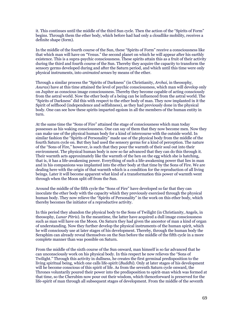it. This continues until the middle of the third Sun cycle. Then the action of the "Spirits of Form" begins. Through them the ether body, which before had had only a cloudlike mobility, receives a definite shape (form).

In the middle of the fourth course of the Sun, these "Spirits of Form" receive a consciousness like that which man will have on "Venus." the second planet on which he will appear after his earthly existence. This is a supra-psychic consciousness. These spirits attain this as a fruit of their activity during the third and fourth course of the Sun. Thereby they acquire the capacity to transform the sensory germs developed during and after the Saturn period, and which until this time were only physical instruments, into *animated senses* by means of the ether.

Through a similar process the "Spirits of Darkness" (in Christianity, *Archai*, in theosophy, *Asuras*) have at this time attained the level of psychic consciousness, which man will develop only on Jupiter as conscious image consciousness. Thereby they become capable of acting consciously from the astral world. Now the ether body of a being can be influenced from the astral world. The "Spirits of Darkness" did this with respect to the ether body of man. They now implanted in it the Spirit of selfhood (independence and selfishness), as they had previously done in the physical body. One can see how these spirits imparted egoism in all the members of the human entity in turn.

At the same time the "Sons of Fire" attained the stage of consciousness which man today possesses as his waking consciousness. One can say of them that they now become men. Now they can make use of the physical human body for a kind of intercourse with the outside world. In similar fashion the "Spirits of Personality" made use of the physical body from the middle of the fourth Saturn cycle on. But they had used the sensory germs for a kind of perception. The nature of the "Sons of Fire," however, is such that they pour the warmth of their soul out into their environment. The physical human body is now so far advanced that they can do this through it. Their warmth acts approximately like the warmth of the hen on the egg which she is hatching, that is, it has a life-awakening power. Everything of such a life-awakening power that lies in man and in his companions was implanted into the ether body at that time by the Sons of Fire. We are dealing here with the origin of that warmth which is a condition for the reproduction of all living beings. Later it will become apparent what kind of a transformation this power of warmth went through when the Moon split off from the Sun.

Around the middle of the fifth cycle the "Sons of Fire" have developed so far that they can inoculate the ether body with the capacity which they previously exercised through the physical human body. They now relieve the "Spirits of Personality" in the work on this ether body, which thereby becomes the initiator of a reproductive activity.

In this period they abandon the physical body to the Sons of Twilight (in Christianity, Angels, in theosophy, *Lunar Pitris*). In the meantime, the latter have acquired a dull image consciousness such as man will have on the Moon. On Saturn they had given the ancestor of man a kind of organ of understanding. Now they further develop the physical instruments of the human spirit, which he will consciously use at later stages of his development. Thereby, through the human body the Seraphim can already reveal themselves on the Sun before the middle of the fifth cycle in a more complete manner than was possible on Saturn.

From the middle of the sixth course of the Sun onward, man himself is so far advanced that he can unconsciously work on his physical body. In this respect he now relieves the "Sons of Twilight." Through this activity in dullness, he creates the first germinal predisposition to the living spiritual being, which one calls life-spirit (*Buddhi*). Only at later stages of his development will he become conscious of this spirit of life. As from the seventh Saturn cycle onward, the Thrones voluntarily poured their power into the predisposition to spirit-man which was formed at that time, so the Cherubim now pour out their wisdom, which thenceforward is preserved for the life-spirit of man through all subsequent stages of development. From the middle of the seventh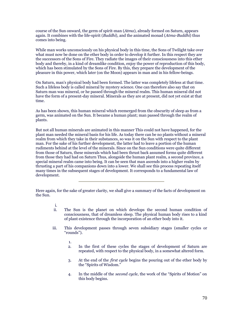course of the Sun onward, the germ of spirit-man (*Atma*), already formed on Saturn, appears again. It combines with the life-spirit (*Buddhi*), and the animated monad (*Atma-Buddhi*) thus comes into being.

While man works unconsciously on his physical body in this time, the Sons of Twilight take over what must now be done on the ether body in order to develop it further. In this respect they are the successors of the Sons of Fire. They radiate the images of their consciousness into this ether body and thereby, in a kind of dreamlike condition, enjoy the power of reproduction of this body, which has been stimulated by the Sons of Fire. By this, they prepare the development of the pleasure in this power, which later (on the Moon) appears in man and in his fellow-beings.

On Saturn, man's physical body had been formed. The latter was completely lifeless at that time. Such a lifeless body is called mineral by mystery science. One can therefore also say that on Saturn man was mineral, or he passed through the mineral realm. This human mineral did not have the form of a present-day mineral. Minerals as they are at present, did not yet exist at that time.

As has been shown, this human mineral which reemerged from the obscurity of sleep as from a germ, was animated on the Sun. It became a human plant; man passed through the realm of plants.

But not all human minerals are animated in this manner This could not have happened, for the plant man needed the mineral basis for his life. As today there can be no plants without a mineral realm from which they take in their substances, so was it on the Sun with respect to the plant man. For the sake of his further development, the latter had to leave a portion of the human rudiments behind at the level of the minerals. Since on the Sun conditions were quite different from those of Saturn, these minerals which had been thrust back assumed forms quite different from those they had had on Saturn Thus, alongside the human plant realm, a second province, a special mineral realm came into being. It can be seen that man ascends into a higher realm by thrusting a part of his companions down into a lower. We shall see this process repeating itself many times in the subsequent stages of development. It corresponds to a fundamental law of development.

Here again, for the sake of greater clarity, we shall give a summary of the facts of development on the Sun.

- i. ii. The Sun is the planet on which develops the second human condition of consciousness, that of dreamless sleep. The physical human body rises to a kind of plant existence through the incorporation of an ether body into it.
- iii. This development passes through seven subsidiary stages (smaller cycles or "rounds").
	- 1.
	- 2. In the first of these cycles the stages of development of Saturn are repeated, with respect to the physical body, in a somewhat altered form.
	- 3. At the end of the *first cycle* begins the pouring out of the ether body by the "Spirits of Wisdom."
	- 4. In the middle of the *second cycle*, the work of the "Spirits of Motion" on this body begins.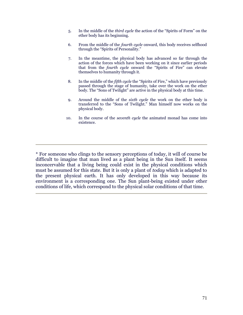- 5. In the middle of the *third cycle* the action of the "Spirits of Form" on the ether body has its beginning.
- 6. From the middle of the *fourth cycle* onward, this body receives selfhood through the "Spirits of Personality."
- 7. In the meantime, the physical body has advanced so far through the action of the forces which have been working on it since earlier periods that from the *fourth cycle* onward the "Spirits of Fire" can elevate themselves to humanity through it.
- 8. In the middle of the *fifth cycle* the "Spirits of Fire," which have previously passed through the stage of humanity, take over the work on the ether body. The "Sons of Twilight" are active in the physical body at this time.
- 9. Around the middle of the *sixth cycle* the work on the ether body is transferred to the "Sons of Twilight." Man himself now works on the physical body.
- 10. In the course of the *seventh cycle* the animated monad has come into existence.

\* For someone who clings to the sensory perceptions of today, it will of course be difficult to imagine that man lived as a plant being in the Sun itself. It seems inconcervable that a living being could exist in the physical conditions which must be assumed for this state. But it is only a plant of *today* which is adapted to the present physical earth. It has only developed in this way because its environment is a corresponding one. The Sun plant-being existed under other conditions of life, which correspond to the physical solar conditions of that time.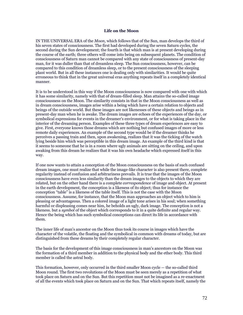#### **Life on the Moon**

IN THE UNIVERSAL ERA of the *Moon*, which follows that of the Sun, man develops the third of his seven states of consciousness. The first had developed during the seven Saturn cycles, the second during the Sun development; the fourth is that which man is at present developing during the course of the earth; three others will come into being on subsequent planets. The condition of consciousness of Saturn man cannot be compared with any state of consciousness of present-day man, for it was duller than that of dreamless sleep. The Sun consciousness, however, can be compared to this condition of dreamless sleep, or to the present consciousness of the sleeping plant world. But in all these instances one is dealing only with similarities. It would be quite erroneous to think that in the great universal eras anything repeats itself in a completely identical manner.

It is to be understood in this way if the Moon consciousness is now compared with one with which it has some similarity, namely with that of dream-filled sleep. Man attains the so-called image consciousness on the Moon. The similarity consists in that in the Moon consciousness as well as in dream consciousness, images arise within a being which have a certain relation to objects and beings of the outside world. But these images are not likenesses of these objects and beings as in present-day man when he is awake. The dream images are echoes of the experiences of the day, or symbolical expressions for events in the dreamer's environment, or for what is taking place in the interior of the dreaming person. Examples of these three types of dream experiences are easy to give. First, everyone knows those dreams which are nothing but confused images of more or less remote daily experiences. An example of the second type would be if the dreamer thinks he perceives a passing train and then, upon awakening, realizes that it was the ticking of the watch lying beside him which was perceptible in this dream image. An example of the third kind is that it seems to someone that he is in a room where ugly animals are sitting on the ceiling, and upon awaking from this dream he realizes that it was his own headache which expressed itself in this way.

If one now wants to attain a conception of the Moon consciousness on the basis of such confused dream images, one must realize that while the image-like character is also present there, complete regularity instead of confusion and arbitrariness prevails. It is true that the images of the Moon consciousness have even less similarity than the dream images to the objects to which they are related, but on the other hand there is a complete *correspondence* of image and object. At present in the earth development, the conception is a likeness of its object; thus for instance the conception "table" is a likeness of the table itself. This is not the case with the Moon consciousness. Assume, for instance, that the Moon man approaches an object which to him is pleasing or advantageous. Then a colored image of a light tone arises in his soul; when something harmful or displeasing comes near him, he beholds an ugly, dark image. The conception is not a likeness. but a *symbol* of the object which corresponds to it in a quite definite and regular way. Hence the being which has such symbolical conceptions can direct its life in accordance with them.

The inner life of man's ancestor on the Moon thus took its course in images which have the character of the volatile, the floating and the symbolical in common with dreams of today, but are distinguished from these dreams by their completely regular character.

The basis for the development of this image consciousness in man's ancestors on the Moon was the formation of a third member in addition to the physical body and the ether body. This third member is called the astral body.

This formation, however, only occurred in the third smaller Moon cycle — the so-called third Moon round. The first two revolutions of the Moon must be seen merely as a repetition of what took place on Saturn and on the Sun. But this repetition must not be imagined as a re-enactment of all the events which took place on Saturn and on the Sun. That which repeats itself, namely the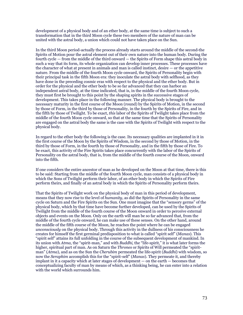development of a physical body and of an ether body, at the same time is subject to such a transformation that in the third Moon cycle these two members of the nature of man can be united with the astral body, a union which could not have taken place on the Sun.

In the third Moon period-actually the process already starts around the middle of the second-the Spirits of Motion pour the astral element out of their own nature into the human body. During the fourth cycle — from the middle of the third onward — the Spirits of Form shape this astral body in such a way that its form, its whole organization can develop inner processes. These processes have the character of what at present in animals and man is called instinct, desire — or the appetitive nature. From the middle of the fourth Moon cycle onward, the Spirits of Personality begin with their principal task in the fifth Moon era: they inoculate the astral body with selfhood, as they have done in the preceding cosmic eras with respect to the physical and the ether body. But in order for the physical and the ether body to be so far advanced that they can harbor an independent astral body, at the time indicated, that is, in the middle of the fourth Moon cycle, they must first be brought to this point by the shaping spirits in the successive stages of development. This takes place in the following manner. The physical body is brought to the necessary maturity in the first course of the Moon (round) by the Spirits of Motion, in the second by those of Form, in the third by those of Personality, in the fourth by the Spirits of Fire, and in the fifth by those of Twilight. To be exact, *this* labor of the Spirits of Twilight takes place from the middle of the fourth Moon cycle onward, so that at the same time that the Spirits of Personality are engaged on the astral body the same is the case with the Spirits of Twilight with respect to the physical body.

In regard to the ether body the following is the case. Its necessary qualities are implanted in it in the first course of the Moon by the Spirits of Wisdom, in the second by those of Motion, in the third by those of Form, in the fourth by those of Personality, and in the fifth by those of Fire. To be exact, this activity of the Fire Spirits takes place concurrently with the labor of the Spirits of Personality on the astral body, that is, from the middle of the fourth course of the Moon, onward into the fifth.

If one considers the entire ancestor of man as he developed on the Moon at that time, there is this to be said: Starting from the middle of the fourth Moon cycle, man consists of a physical body in which the Sons of Twilight perform their labor, of an ether body in which the Spirits of Fire perform theirs, and finally of an astral body in which the Spirits of Personality perform theirs.

That the Spirits of Twilight work on the physical body of man in this period of development, means that they now rise to the level of *humanity*, as did the Spirits of Personality in the same cycle on Saturn and the Fire Spirits on the Sun. One must imagine that the "sensory germs" of the physical body, which by that time have become further developed, can be used by the Spirits of Twilight from the middle of the fourth course of the Moon onward in order to perceive external objects and events on the Moon. Only on the earth will man be so far advanced that, from the middle of the fourth cycle onward, he can make use of these senses. On the other hand, around the middle of the fifth course of the Moon, he reaches the point where he can be engaged *unconsciously* on the physical body. Through this activity in the dullness of his consciousness he creates for himself the first germinal predisposition to what is called "spirit self" (*Manas*). This "spirit self" attains its full unfolding in the course of the subsequent development of mankind. In its union with *Atma*, the "spirit-man," and with *Buddhi*, the "life-spirit," it is what later forms the higher, spiritual part of man. As on Saturn the *Thrones* or Spirits of Will permeated the "spiritman" (*Atma*), and as on the Sun the *Cherubim* permeated the life-spirit (*Buddhi*) with wisdom, so now the *Seraphim* accomplish this for the "spirit-self" (*Manas*). They permeate it, and thereby implant in it a capacity which at later stages of development — on the earth — becomes that conceptualizing faculty of man by means of which, as a thinking being, he can enter into a relation with the world which surrounds him.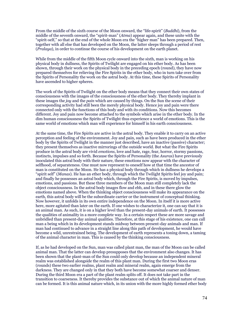From the middle of the sixth course of the Moon onward, the "life-spirit" (*Buddhi*), from the middle of the seventh onward, the "spirit-man" (*Atma*) appear again, and these unite with the "spirit-self," so that at the end of the whole Moon era the "higher man" has been prepared. Then, together with all else that has developed on the Moon, the latter sleeps through a period of rest (*Pralaya*), in order to continue the course of his development on the earth planet.

While from the middle of the fifth Moon cycle onward into the sixth, man is working on his physical body in dullness, the Spirits of Twilight are engaged on his ether body. As has been shown, through their work on the physical body in the preceding epoch (round), they have now prepared themselves for relieving the Fire Spirits in the ether body, who in turn take over from the Spirits of Personality the work on the astral body. At this time, these Spirits of Personality have ascended to higher spheres.

The work of the Spirits of Twilight on the ether body means that they connect their own states of consciousness with the images of the consciousness of the ether body. They thereby implant in these images the *joy* and the *pain* which are caused by things. On the Sun the scene of their corresponding activity had still been the merely physical body. Hence joy and pain were there connected only with the functions of this body and with *its* conditions. Now this becomes different. Joy and pain now become attached to the symbols which arise in the ether body. In the dim human consciousness the Spirits of Twilight thus experience a world of emotions. This is the same world of emotions which man will experience for himself in his earth consciousness.

At the same time, the Fire Spirits are active in the astral body. They enable it to carry on an active perception and feeling of the environment. Joy and pain, such as have been produced in the ether body by the Spirits of Twilight in the manner just described, have an inactive (passive) character; they present themselves as inactive mirrorings of the outside world. But what the Fire Spirits produce in the astral body are vivid *emotions*, love and hate, rage, fear, horror, stormy passions, instincts, impulses and so forth. Because the Spirits of Personality (the *Asuras*) have previously inoculated this astral body with their nature, these emotions now appear with the character of selfhood, of separateness. One must now represent to oneself how at that time the ancestor of man is constituted on the Moon. He has a physical body through which in dullness he develops a "spirit self" (*Manas*). He has an ether body, through which the Twilight Spirits feel joy and pain; and finally he possesses an astral body which, through the Fire Spirits, is moved by impulses, emotions, and passions. But these three members of the Moon man still completely lack the object consciousness. In the astral body images flow and ebb, and in these there glow the emotions named above. When the thinking object consciousness will make its appearance on the earth, this astral body will be the subordinate carrier or the instrument of conceptual thinking. Now however, it unfolds in its own entire independence on the Moon. In itself it is more active here, more agitated than later on the earth. If one wishes to characterize it, one can say that it is an animal man. As such, it is on a higher level than the present-day animals of earth. It possesses the qualities of animality in a more complete way. In a certain respect these are more savage and unbridled than present-day animal qualities. Therefore, at this stage of his existence, one can call man a being which in its development stands midway between present-day animals and man. If man had continued to advance in a straight line along this path of development, he would have become a wild, unrestrained being. The development of earth represents a toning down, a taming of the animal character in man. This is caused by the thinking consciousness.

If, as he had developed on the Sun, man was called plant man, the man of the Moon can be called animal man. That the latter can develop presupposes that the environment also changes. It has been shown that the plant-man of the Sun could only develop because an independent mineral realm was established alongside the realm of this plant man. During the first two Moon eras (rounds) these two earlier realms, plant realm and mineral realm, again emerge from the darkness. They are changed only in that they both have become somewhat coarser and denser. During the third Moon era a part of the plant realm splits off. It does not take part in the transition to coarseness. It thereby provides the substance out of which the animal nature of man can be formed. It is this animal nature which, in its union with the more highly formed ether body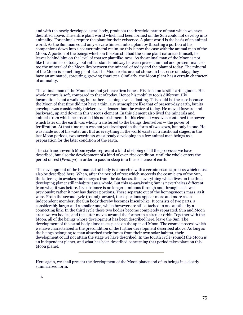and with the newly developed astral body, produces the threefold nature of man which we have described above. The entire plant world which had been formed on the Sun could not develop into animality. For animals require the plant for their existence. A plant world is the basis of an animal world. As the Sun man could only elevate himself into a plant by thrusting a portion of his companions down into a coarser mineral realm, so this is now the case with the animal man of the Moon. A portion of the beings which on the Sun still had the same plant nature as himself, he leaves behind him on the level of coarser plantlike-ness. As the animal man of the Moon is not like the animals of today, but rather stands midway between present animal and present man, so too the mineral of the Moon lies between the mineral of today and the plant of today. The mineral of the Moon is something plantlike. The Moon rocks are not stones in the sense of today; they have an animated, sprouting, growing character. Similarly, the Moon plant has a certain character of animality.

The animal man of the Moon does not yet have firm bones. His skeleton is still cartilaginous. His whole nature is soft, compared to that of today. Hence his mobility too is different. His locomotion is not a walking, but rather a leaping, even a floating. This could be the case because the Moon of that time did not have a thin, airy atmosphere like that of present-day earth, but its envelope was considerably thicker, even denser than the water of today. He moved forward and backward, up and down in this viscous element. In this element also lived the minerals and animals from which he absorbed his nourishment. In this element was even contained the power which later on the earth was wholly transferred to the beings themselves — the power of fertilization. At that time man was not yet developed in the form of two sexes, but only in one. He was made out of his water air. But as everything in the world exists in transitional stages, in the last Moon periods, two-sexedness was already developing in a few animal man beings as a preparation for the later condition of the earth.

The sixth and seventh Moon cycles represent a kind of ebbing of all the processes we have described, but also the development of a kind of over-ripe condition, until the whole enters the period of rest (*Pralaya*) in order to pass in sleep into the existence of earth.

The development of the human astral body is connected with a certain cosmic process which must also be described here. When, after the period of rest which succeeds the cosmic era of the Sun, the latter again awakes and emerges from the darkness, then everything which lives on the thus developing planet still inhabits it as a whole. But this re-awakening Sun is nevertheless different from what it was before. Its substance is no longer luminous through and through, as it was previously; rather it now has darker portions. These separate out of the homogeneous mass, as it were. From the second cycle (round) onward, these portions appear more and more as an independent member; the Sun body thereby becomes biscuit-like. It consists of two parts, a considerably larger and a smaller one, which however are still attached to one another by a connecting link. In the third cycle these two bodies become completely separated. Sun and Moon are now two bodies, and the latter moves around the former in a circular orbit. Together with the Moon, all of the beings whose development has been described here, leave the Sun. The development of the astral body alone takes place on the split-off Moon. The cosmic process which we have characterized is the precondition of the further development described above. As long as the beings belonging to man absorbed their forces from their own solar habitat, their development could not attain the stage we have described. In the fourth cycle (round) the Moon is an independent planet, and what has been described concerning that period takes place on this Moon planet.

Here again, we shall present the development of the Moon planet and of its beings in a clearly summarized form.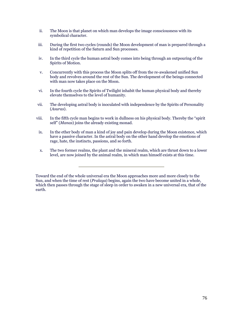- ii. The Moon is that planet on which man develops the image consciousness with its symbolical character.
- iii. During the first two cycles (rounds) the Moon development of man is prepared through a kind of repetition of the Saturn and Sun processes.
- iv. In the third cycle the human astral body comes into being through an outpouring of the Spirits of Motion.
- v. Concurrently with this process the Moon splits off from the re-awakened unified Sun body and revolves around the rest of the Sun. The development of the beings connected with man now takes place on the Moon.
- vi. In the fourth cycle the Spirits of Twilight inhabit the human physical body and thereby elevate themselves to the level of humanity.
- vii. The developing astral body is inoculated with independence by the Spirits of Personality (*Asuras*).
- viii. In the fifth cycle man begins to work in dullness on his physical body. Thereby the "spirit self" (*Manas*) joins the already existing monad.
- ix. In the ether body of man a kind of joy and pain develop during the Moon existence, which have a passive character. In the astral body on the other hand develop the emotions of rage, hate, the instincts, passions, and so forth.
- x. The two former realms, the plant and the mineral realm, which are thrust down to a lower level, are now joined by the animal realm, in which man himself exists at this time.

Toward the end of the whole universal era the Moon approaches more and more closely to the Sun, and when the time of rest (*Pralaya*) begins, again the two have become united in a whole, which then passes through the stage of sleep in order to awaken in a new universal era, that of the earth.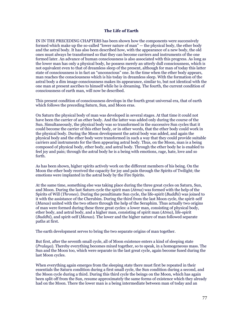## **The Life of Earth**

IN IN THE PRECEDING CHAPTERS has been shown how the components were successively formed which make up the so-called "lower nature of man" — the physical body, the ether body and the astral body. It has also been described how, with the appearance of a new body, the old ones must always be transformed so that they can become carriers and instruments of the one formed later. An advance of human consciousness is also associated with this progress. As long as the lower man has only a physical body, he possess merely an utterly dull consciousness, which is not equivalent even to that of dreamless sleep of the present, although for man of today this latter state of consciousness is in fact an "unconscious" one. In the time when the ether body appears, man reaches the consciousness which is his today in dreamless sleep. With the formation of the astral body a dim image consciousness makes its appearance, similar to, but not identical with the one man at present ascribes to himself while he is dreaming. The fourth, the current condition of consciousness of earth man, will now be described.

This present condition of consciousness develops in the fourth great universal era, that of earth which follows the preceding Saturn, Sun, and Moon eras.

On Saturn the physical body of man was developed in several stages. At that time it could not have been the carrier of an ether body. And the latter was added only during the course of the Sun. Simultaneously, the physical body was so transformed in the successive Sun cycles that it could become the carrier of this ether body, or in other words, that the ether body could work in the physical body. During the Moon development the astral body was added, and again the physical body and the ether body were transformed in such a way that they could provide suitable carriers and instruments for the then appearing astral body. Thus, on the Moon, man is a being composed of physical body, ether body, and astral body. Through the ether body he is enabled to feel joy and pain; through the astral body he is a being with emotions, rage, hate, love and so forth.

As has been shown, higher spirits actively work on the different members of his being. On the Moon the ether body received the capacity for joy and pain through the Spirits of Twilight; the emotions were implanted in the astral body by the Fire Spirits.

At the same time, something else was taking place during the three great cycles on Saturn, Sun, and Moon. During the last Saturn cycle the spirit man (*Atma*) was formed with the help of the Spirits of Will (*Thrones*). During the penultimate Sun cycle, the life-spirit (*Buddhi*) was joined to it with the assistance of the Cherubim. During the third from the last Moon cycle, the spirit-self (*Manas*) united with the two others through the help of the Seraphim. Thus actually two origins of man were formed during these three great cycles: a lower man, consisting of physical body, ether body, and astral body, and a higher man, consisting of spirit man (*Atma*), life-spirit (*Buddhi*), and spirit-self (*Manas*). The lower and the higher nature of man followed separate paths at first.

The earth development serves to bring the two separate origins of man together.

But first, after the seventh small cycle, all of Moon existence enters a kind of sleeping state (*Pralaya*). Thereby everything becomes mixed together, so to speak, in a homogeneous mass. The Sun and the Moon too, which were separate in the last great cycle, again become fused during the last Moon cycles.

When everything again emerges from the sleeping state there must first be repeated in their essentials the Saturn condition during a first small cycle, the Sun condition during a second, and the Moon cycle during a third. During this third cycle the beings on the Moon, which has again been split off from the Sun, resume approximately the same forms of existence which they already had on the Moon. There the lower man is a being intermediate between man of today and an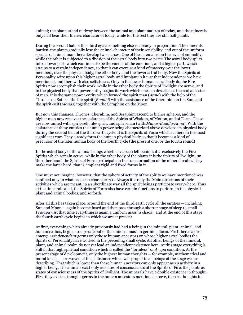animal; the plants stand midway between the animal and plant natures of today, and the minerals only half bear their lifeless character of today, while for the rest they are still half plants.

During the second half of this third cycle something else is already in preparation. The minerals harden, the plants gradually lose the animal character of their sensibility, and out of the uniform species of animal man there develop two classes. One of these remains on the level of animality, while the other is subjected to a division of the astral body into two parts. The astral body splits into a lower part, which continues to be the carrier of the emotions, and a higher part, which attains to a certain independence, so that it can exercise a kind of mastery over the lower members, over the physical body, the ether body, and the lower astral body. Now the Spirits of Personality seize upon this higher astral body and implant in it just that independence we have mentioned, and therewith also selfishness. Only in the lower human astral body do the Fire Spirits now accomplish their work, while in the ether body the Spirits of Twilight are active, and in the physical body that power entity begins its work which one can describe as the real ancestor of man. It is the same power entity which formed the spirit man (*Atma*) with the help of the Thrones on Saturn, the life-spirit (*Buddhi*) with the assistance of the Cherubim on the Sun, and the spirit-self (*Manas*) together with the Seraphim on the Moon.

But now this changes. Thrones, Cherubim, and Seraphim ascend to higher spheres, and the higher man now receives the assistance of the Spirits of Wisdom, of Motion, and of Form. These are now united with spirit-self, life-spirit, and spirit-man (with *Manas-Buddhi-Atma*). With the assistance of these entities the human power being characterized above develops its physical body during the second half of the third earth cycle. It is the Spirits of Form which act here in the most significant way. They already form the human physical body so that it becomes a kind of precursor of the later human body of the fourth cycle (the present one, or the fourth round)

In the astral body of the animal beings which have been left behind, it is exclusively the Fire Spirits which remain active, while in the ether body of the plants it is the Spirits of Twilight. 0n the other hand, the Spirits of Form participate in the transformation of the mineral realm. They make the latter hard, that is, implant rigid and fixed forms in it.

One must not imagine, however, that the sphere of activity of the spirits we have mentioned was confined only to what has been characterized. Always it is only the Main directions of their activities which are meant, in a subordinate way all the spirit beings participate everywhere. Thus at the time indicated, the Spirits of Form also have certain functions to perform in the physical plant and animal bodies, and so forth.

After all this has taken place, around the end of the third earth cycle all the entities — including Sun and Moon — again become fused and then pass through a shorter stage of sleep (a small *Pralaya*). At that time everything is again a uniform mass (a chaos), and at the end of this stage the fourth earth cycle begins in which we are at present.

At first, everything which already previously had had a being in the mineral, plant, animal, and human realms, begins to separate out of the uniform mass in germinal form. First there can reemerge as *independent* germs only those human ancestors on whose higher astral bodies the Spirits of Personality have worked in the preceding small cycle. All other beings of the mineral, plant, and animal realm do not yet lead an independent existence here. At this stage everything is still in that high spiritual condition which is called the "formless" or *Arupa* condition. At the present stage of development, only the highest human thoughts — for example, mathematical and moral ideals — are woven of that substance which was proper to all beings at the stage we are describing. That which is lower than these human ancestors can only appear as an activity in a higher being. The animals exist only as states of consciousness of the Spirits of Fire, the plants as states of consciousness of the Spirits of Twilight. The minerals have a double existence in thought. First they exist as thought germs in the human ancestors mentioned above, then as thoughts in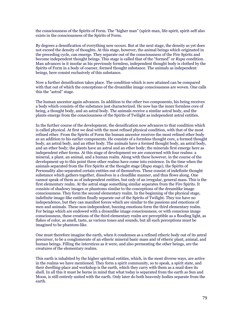the consciousness of the Spirits of Form. The "higher man" (spirit-man, life-spirit, spirit-self also exists in the consciousness of the Spirits of Form.

By degrees a densification of everything now occurs. But at the next stage, the density as yet does not exceed the density of thoughts. At this stage, however, the animal beings which originated in the preceding cycle, can emerge. They separate out of the consciousness of the Fire Spirits and become independent thought beings. This stage is called that of the "formed" or *Rupa* condition. Man advances in it insofar as his previously formless, independent thought body is clothed by the Spirits of Form in a body of coarser, formed thought substance. The animals as independent beings, here consist exclusively of this substance.

Now a further densification takes place. The condition which is now attained can be compared with that out of which the conceptions of the dreamlike image consciousness are woven. One calls this the "astral" stage.

The human ancestor again advances. In addition to the other two components, his being receives a body which consists of the substance just characterized. He now has the inner formless core of being, a thought body, and an astral body. The animals receive a similar astral body, and the plants emerge from the consciousness of the Spirits of Twilight as independent astral entities.

In the further course of the development, the densification now advances to that condition which is called physical. At first we deal with the most refined physical condition, with that of the most refined ether. From the Spirits of Form the human ancestor receives the most refined ether body as an addition to his earlier components. He consists of a formless thought core, a formed thought body, an astral body, and an ether body. The animals have a formed thought body, an astral body, and an ether body; the plants have an astral and an ether body; the minerals first emerge here as independent ether forms. At this stage of development we are concerned with four realms: a mineral, a plant, an animal, and a human realm. Along with these however, in the course of the development up to this point three other realms have come into existence. In the time when the animals separated from the Fire Spirits at the thought stage (*Rupa* stage), the Spirits of Personality also separated certain entities out of themselves. These consist of indefinite thought substance which gathers together, dissolves in a cloudlike manner, and thus flows along. One cannot speak of them as of independent entities, but only of an irregular, general mass. This is the first elementary realm. At the astral stage something similar separates from the Fire Spirits. It consists of shadowy images or phantoms similar to the conceptions of the dreamlike image consciousness. They form the second elementary realm. In the beginning of the physical stage, indefinite image-like entities finally separate out of the Spirits of Twilight. They too have no independence, but they can manifest forces which are similar to the passions and emotions of men and animals. These non-independent, buzzing emotions form the third elementary realm. For beings which are endowed with a dreamlike image consciousness, or with conscious image consciousness, these creations of the third elementary realm are perceptible as a flooding light, as flakes of color, as smell, taste, as various tones and sounds, but all such perceptions must be imagined to be phantom-like.

One must therefore imagine the earth, when it condenses as a refined etheric body out of its astral precursor, to be a conglomerate of an etheric mineral basic mass and of etheric plant, animal, and human beings. Filling the interstices as it were, and also permeating the other beings, are the creatures of the elementary realms.

This earth is inhabited by the higher spiritual entities, which, in the most diverse ways, are active in the realms we have mentioned. They form a spirit community, so to speak, a spirit state, and their dwelling-place and workshop is the earth, which they carry with them as a snail does its shell. In all this it must be borne in mind that what today is separated from the earth as Sun and Moon, is still entirely united with the earth. Only later do both heavenly bodies separate from the earth.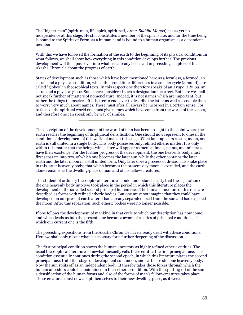The "higher man" (spirit-man, life-spirit, spirit-self, *Atma-Buddhi-Manas*) has as yet no independence at this stage. He still constitutes a member of the spirit state, and for the time being is bound to the Spirits of Form, as a human hand is bound to a human organism as a dependent member.

With this we have followed the formation of the earth to the beginning of its physical condition. In what follows, we shall show how everything in this condition develops further. The previous development will then pass over into what has already been said in preceding chapters of the Akasha Chronicle about the progress of earth.

States of development such as those which have been mentioned here as a formless, a formed, an astral, and a physical condition, which thus constitute differences in a smaller cycle (a round), are called "globes" in theosophical texts. In this respect one therefore speaks of an *Arupa*, a *Rupa*, an astral and a physical globe. Some have considered such a designation incorrect. But here we shall not speak further of matters of nomenclature. Indeed, it is not names which are important, but rather the things themselves. It is better to endeavor to describe the latter as well as possible than to worry very much about names. These must after all always be incorrect in a certain sense. For to facts of the spiritual world one must give names which have come from the world of the senses, and therefore one can speak only by way of similes.

The description of the development of the world of man has been brought to the point where the earth reaches the beginning of its physical densification. One should now represent to oneself the condition of development of this world of man at this stage. What later appears as sun, moon, and earth is still united in a single body. This body possesses only refined etheric matter. It is only within this matter that the beings which later will appear as men, animals, plants, and minerals have their existence, For the further progress of the development, the one heavenly body must first separate into two, of which one becomes the later sun, while the other contains the later earth and the later moon in a still united form. Only later does a process of division also take place in this latter heavenly body; that which becomes the present-day moon is extruded, and the earth alone remains as the dwelling-place of man and of his fellow-creatures.

The student of ordinary theosophical literature should understand clearly that the separation of the one heavenly body into two took place in the period in which this literature places the development of the so-called second principal human race. The human ancestors of this race are described as forms with refined etheric bodies. But one must not imagine that they could have developed on our present earth after it had already separated itself from the sun and had expelled the moon. After this separation, such etheric bodies were no longer possible.

If one follows the development of mankind in that cycle to which our description has now come, and which leads us into the present, one becomes aware of a series of principal conditions, of which our current one is the fifth.

The preceding expositions from the Akasha Chronicle have already dealt with these conditions. Here we shall only repeat what is necessary for a further deepening of the discussion.

The first principal condition shows the human ancestors as highly refined etheric entities. The usual theosophical literature somewhat inexactly calls these entities the first principal race. This condition essentially continues during the second epoch, in which this literature places the second principal race. Until this stage of development sun, moon, and earth are still one heavenly body. Now the sun splits off as an independent body. It thereby takes those forces through which the human ancestors could be maintained in their etheric condition. With the splitting-off of the sun a densification of the human forms and also of the forms of man's fellow-creatures takes place. These creatures must now adapt themselves to their new dwelling-place, as it were.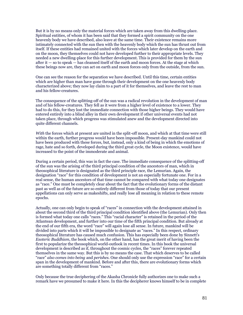But it is by no means only the material forces which are taken away from this dwelling-place. Spiritual entities, of whom it has been said that they formed a spirit community on the one heavenly body we have described, also leave at the same time. Their existence remains more intimately connected with the sun then with the heavenly body which the sun has thrust out from itself. If these entities had remained united with the forces which later develop on the earth and on the moon, they themselves could not have developed further to their appropriate levels. They needed a new dwelling-place for this further development. This is provided for them by the sun after it  $-$  so to speak  $-$  has cleansed itself of the earth and moon forces. At the stage at which these beings now are, they can act on earth and moon forces only from the outside, from the sun.

One can see the reason for the separation we have described. Until this time, certain entities which are higher than man have gone through their development on the one heavenly body characterized above; they now lay claim to a part of it for themselves, and leave the rest to man and his fellow-creatures.

The consequence of the splitting-off of the sun was a radical revolution in the development of man and of his fellow-creatures. They fell as it were from a higher level of existence to a lower. They had to do this, for they lost the immediate connection with those higher beings. They would have entered entirely into a blind alley in their own development if other universal events had not taken place, through which progress was stimulated anew and the development directed into quite different channels.

*With* the forces which at present are united in the split-off moon, and which at that time were still within the earth, further progress would have been impossible. Present-day mankind could not have been produced with these forces, but, instead, only a kind of being in which the emotions of rage, hate and so forth, developed during the third great cycle, the Moon existence, would have increased to the point of the immoderate and animal.

During a certain period, this was in fact the case. The immediate consequence of the splitting-off of the sun was the arising of the third principal condition of the ancestors of man, which in theosophical literature is designated as the third principle race, the Lemurian. Again, the designation "race" for this condition of development is not an especially fortunate one. For in a real sense, the human ancestors of that time cannot be compared with what today one designates as "race." One must be completely clear about the fact that the evolutionary forms of the distant past as well as of the future are so entirely different from those of today that our present appellations can only serve as makeshifts, and really lose all meaning in relation to these remote epochs.

Actually, one can only begin to speak of "races" in connection with the development attained in about the second third of the third principal condition identified above (the Lemurian). Only then is formed what today one calls "races." This "racial character" is retained in the period of the Atlantean development, and further into our time of the fifth principal condition. But already at the end of our fifth era, the word "race" will again lose all sense. In future, mankind will be divided into parts which it will be impossible to designate as "races." In this respect, ordinary theosophical literature has caused much confusion. This has especially been done by Sinnett's *Esoteric Buddhism*, the book which, on the other hand, has the great merit of having been the first to popularize the theosophical world-outlook in recent times. In this book the universal development is described as if, throughout the cosmic cycles, the "races" forever repeated themselves in the same way. But this is by no means the case. That which deserves to be called "race" *also comes into being* and *perishes*. One should only use the expression "race" for a certain span in the development of mankind. Before and after this, there are evolutionary forms which are something totally different from "races."

Only because the true deciphering of the Akasha Chronicle fully authorizes one to make such a remark have we presumed to make it here. In this the decipherer knows himself to be in complete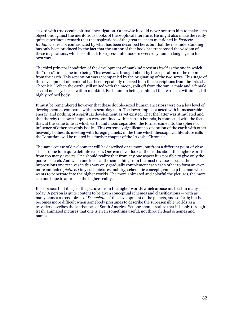accord with true occult spiritual investigation. Otherwise it could never occur to him to make such objections against the meritorious books of theosophical literature. He might also make the really quite superfluous remark that the inspirations of the great teachers mentioned in *Esoteric Buddhism* are not contradicted by what has been described here, but that the misunderstanding has only been produced by the fact that the author of that book has transposed the wisdom of these inspirations, which is difficult to express, into modern every-day human language, in his own way.

The third principal condition of the development of mankind presents itself as the one in which the "races" first came into being. This event was brought about by the separation of the moon from the earth. This separation was accompanied by the originating of the two sexes. This stage of the development of mankind has been repeatedly referred to in the descriptions from the "Akasha Chronicle." When the earth, still united with the moon, split off from the sun, a male and a female sex did not as yet exist within mankind. Each human being combined the two sexes within its still highly refined body.

It must be remembered however that these double-sexed human ancestors were on a low level of development as compared with present-day man. The lower impulses acted with immeasurable energy, and nothing of a spiritual development as yet existed. That the latter was stimulated and that thereby the lower impulses were confined within certain bounds, is connected with the fact that, at the same time at which earth and moon separated, the former came into the sphere of influence of other heavenly bodies. This extremely significant co-operation of the earth with other heavenly bodies, its meeting with foreign planets, in the time which theosophical literature calls the Lemurian, will be related in a further chapter of the "Akasha Chronicle."

The same course of development will be described once more, but from a different point of view. This is done for a quite definite reason. One can never look at the truths about the higher worlds from too many aspects. One should realize that from any one aspect it is possible to give only the poorest sketch. And when one looks at the same thing from the most diverse aspects, the impressions one receives in this way only gradually complement each each other to form an ever more animated *picture*. Only such pictures, not dry, schematic concepts, can help the man who wants to penetrate into the higher worlds. The more animated and colorful the pictures, the more can one hope to approach the higher reality.

It is obvious that it is just the pictures from the higher worlds which arouse mistrust in many today. A person is quite content to be given conceptual schemes and classifications — with as many names as possible — of *Devachan*, of the development of the planets, and so forth; but he becomes more difficult when somebody presumes to describe the supersensible worlds as a traveller describes the landscapes of South America. Yet one should realize that it is only through fresh, animated pictures that one is given something useful, not through dead schemes and names.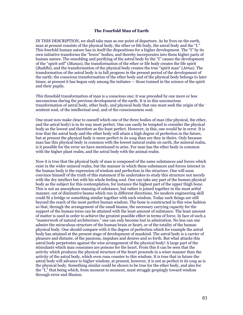#### **The Fourfold Man of Earth**

IN THIS DESCRIPTION, we shall take man as our point of departure. As he lives on the earth, man at present consists of the physical body, the ether or life body, the astral body and the "I." This fourfold human nature has in itself the dispositions for a higher development. The "I" by its own initiative transforms the "lower" bodies, and thereby incorporates into them higher parts of human nature. The ennobling and purifying of the astral body by the "I" causes the development of the "spirit self" (*Manas*), the transformation of the ether or life body creates the life spirit (*Buddhi*), and the transformation of the physical body creates the true "spirit man" (*Atma*). The transformation of the astral body is in full progress in the present period of the development of the earth; the conscious transformation of the ether body and of the physical body belongs to later times; at present it has begun only among the initiates — those trained in the science of the spirit and their pupils.

*This* threefold transformation of man is a conscious one; it was preceded by one more or less unconscious during the previous development of the earth. It is in this unconscious transformation of astral body, ether body, and physical body that one must seek the origin of the sentient soul, of the intellectual soul, and of the consciousness soul.

One must now make clear to oneself which one of the three bodies of man (the physical, the ether, and the astral body) is in its way most perfect. One can easily be tempted to consider the physical body as the lowest and therefore as the least perfect. However, in this, one would be in error. It is true that the astral body and the ether body will attain a high degree of perfection in the future, but at present the physical body is more perfect *in its way* than are they in theirs. Only because man has this physical body in common with the lowest natural realm on earth, the mineral realm, is it possible for the error we have mentioned to arise. For man has the ether body in common with the higher plant realm, and the astral body with the animal realm.

Now it is true that the physical body of man is composed of the same substances and forces which exist in the wider mineral realm, but the manner in which these substances and forces interact in the human body is the expression of wisdom and perfection in the structure. One will soon convince himself of the truth of this statement if he undertakes to study this structure not merely with the dry intellect but with his whole feeling soul. One can take any part of the human physical body as the subject for this contemplation, for instance the highest part of the upper thigh bone. This is not an amorphous massing of substance, but rather is joined together in the most artful manner, out of diminutive beams which run in different directions. No modern engineering skill could fit a bridge or something similar together with such wisdom. Today such things are still beyond the reach of the most perfect human wisdom. The bone is constructed in this wise fashion so that, through the arrangement of the small beams, the necessary carrying capacity for the support of the human torso can be attained with the least amount of substance. The least amount of matter is used in order to achieve the greatest possible effect in terms of force. In face of such a "masterwork of natural architecture," one can only become lost in admiration. No less can one admire the miraculous structure of the human brain or heart, or of the totality of the human physical body. One should compare with it the degree of perfection which for example the astral body has attained at the present stage of development of mankind. The astral body is a carrier of pleasure and distaste, of the passions, impulses and desires and so forth. But what attacks this astral body perpetrates against the wise arrangement of the physical body! A large part of the stimulants which man consumes are poisons for the heart. From this it can be seen that the activity which produces the physical structure of the heart proceeds in a wiser manner than the activity of the astral body, which even runs counter to this wisdom. It is true that in future the astral body will advance to higher wisdom; at present, however, it is not as perfect *in its way* as is the physical body. Something similar could be shown to be true for the ether body, and also for the "I," that being which, from moment to moment, must struggle gropingly toward wisdom through error and illusion.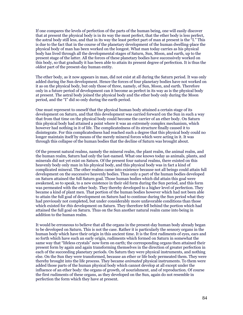If one compares the levels of perfection of the parts of the human being, one will easily discover that at present the physical body is in its way the most perfect, that the ether body is less perfect, the astral body still less, and that in its way the least perfect part of man at present is the "I." This is due to the fact that in the course of the planetary development of the human dwelling-place the physical body of man has been worked on the longest. What man today carries as his physical body has lived through all the developmental stages of Saturn, Sun, Moon, and earth, up to the present stage of the latter. All the forces of these planetary bodies have successively worked on this body, so that gradually it has been able to attain its present degree of perfection. It is thus the *oldest* part of the present-day human entity.

The ether body, as it now appears in man, did not exist at all during the Saturn period. It was only added during the Sun development. Hence the forces of four planetary bodies have not worked on it as on the physical body, but only those of three, namely, of Sun, Moon, and earth. Therefore only in a future period of development can it become as perfect in its way as is the physical body at present. The astral body joined the physical body and the ether body only during the Moon period, and the "I" did so only during the earth period.

One must represent to oneself that the physical human body attained a certain stage of its development on Saturn, and that this development was carried forward on the Sun in such a way that from that time on the physical body could become the carrier of an ether body. On Saturn this physical body had attained a point where it was an extremely complex mechanism, which however had nothing in it of life. The complicatedness of its structure finally caused it to disintegrate. For this complicatedness had reached such a degree that this physical body could no longer maintain itself by means of the merely mineral forces which were acting in it. It was through this collapse of the human bodies that the decline of Saturn was brought about.

Of the present natural realms, namely the mineral realm, the plant realm, the animal realm, and the human realm, Saturn had only the last-named. What one knows today as animals, plants, and minerals did not yet exist on Saturn. Of the present four natural realms, there existed on this heavenly body only man in his physical body, and this physical body was in fact a kind of complicated mineral. The other realms came into existence because not all beings could attain full development on the successive heavenly bodies. Thus only a part of the human bodies developed on Saturn attained the full Saturn goal. Those human bodies which did attain this goal were awakened, so to speak, to a new existence in their old form during the Sun period, and this form was permeated with the ether body. They thereby developed to a higher level of perfection. They became a kind of plant men. That portion of the human bodies however which had not been able to attain the full goal of development on Saturn had to continue during the Sun period what they had previously not completed, but under considerably more unfavorable conditions than those which existed for *this* development on Saturn. They therefore fell behind the portion which had attained the full goal on Saturn. Thus on the Sun another natural realm came into being in addition to the human realm.

It would be erroneous to believe that all the organs in the present-day human body already began to be developed on Saturn. This is not the case. Rather it is particularly the sensory organs in the human body which have their origin in this ancient time. It is the first rudiments of eyes, ears and so forth which have such an early origin, rudiments which formed on Saturn in somewhat the same way that "lifeless crystals" now form on earth; the corresponding organs then attained their present form by again and again transforming themselves in the direction of greater perfection in each of the succeeding planetary periods. On Saturn they were physical instruments, and nothing else. On the Sun they were transformed, because an ether or life body permeated them. They were thereby brought into the life process. They became *animated* physical instruments. To them were added those parts of the human physical body which cannot develop at all except under the influence of an ether body: the organs of growth, of nourishment, and of reproduction. Of course the first rudiments of these organs, as they developed on the Sun, again do not resemble in perfection the form which they have at present.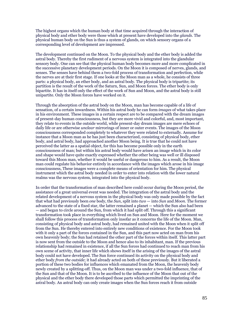The highest organs which the human body at that time acquired through the interaction of physical body and ether body were those which at present have developed into the *glands*. The physical human body on the Sun is thus a system of glands, on which sensory organs of a corresponding level of development are impressed.

The development continued on the Moon. To the physical body and the ether body is added the astral body. Thereby the first rudiment of a nervous system is integrated into the glandular sensory body. One can see that the physical human body becomes more and more complicated in the successive planetary development periods. On the Moon it is composed of nerves, glands, and senses. The senses have behind them a two-fold process of transformation and perfection, while the nerves are at their first stage. If one looks at the Moon man as a whole, he consists of three parts: a physical body, an ether body, and an astral body. The physical body is tripartite; its partition is the result of the work of the Saturn, Sun, and Moon forces. The ether body is only bipartite. It has in itself only the effect of the work of Sun and Moon, and the astral body is still unipartite. Only the Moon forces have worked on it.

Through the absorption of the astral body on the Moon, man has become capable of a life of sensation, of a certain inwardness. Within his astral body he can form *images* of what takes place in his environment. These images in a certain respect are to be compared with the dream images of present-day human consciousness, but they are more vivid and colorful, and, most important, they relate to events in the outside world, while present-day dream images are mere echoes of daily life or are otherwise *unclear* mirrorings of inner or outer events. The images of the Moon consciousness corresponded completely to whatever they were related to externally. Assume for instance that a Moon man as he has just been characterized, consisting of physical body, ether body, and astral body, had approached another Moon being. It is true that he could not have perceived the latter as a spatial object, for this has become possible only in the earth consciousness of man; but within his astral body would have arisen an image which in its color and shape would have quite exactly expressed whether the other being was well or ill disposed toward this Moon man, whether it would be useful or dangerous to him. As a result, the Moon man could regulate his behavior entirely in accordance with the images which arose in his image consciousness, These images were a complete means of orientation for him. The physical instrument which the astral body needed in order to enter into relation with the lower natural realms was the nervous system, integrated into the physical body.

In order that the transformation of man described here could occur during the Moon period, the assistance of a great universal event was needed. The integration of the astral body and the related development of a nervous system in the physical body was only made possible by the fact that what had previously been *one* body, the *Sun*, split into *two* — into *Sun* and *Moon*. The former advanced to the state of a fixed star, the latter remained a planet — which the Sun also had been — and began to circle around the Sun, from which it had split off. Through this a significant transformation took place in everything which lived on Sun and Moon. Here for the moment we shall follow this process of transformation only insofar as it concerns the life of the Moon. Man, consisting of physical body and astral body, had remained united with the Moon when it split off from the Sun. He thereby entered into entirely new conditions of existence. For the Moon took with it only a part of the forces contained in the Sun, and this part now acted on man from his own heavenly body; the Sun had retained the other part of the forces within itself. This latter part is now sent from the outside to the Moon and hence also to its inhabitant, man. If the previous relationship had remained in existence, if all the Sun forces had continued to reach man from his own scene of activity, that inner life which shows itself in the arising of the images of the astral body could not have developed. The Sun force continued its activity on the physical body and ether body *from the outside*; it had already acted on both of these previously. But it liberated a portion of these two bodies for influences which emanated from the Moon, the heavenly body newly created by a splitting-off. Thus, on the Moon man was under a two-fold influence, that of the Sun and that of the Moon. It is to be ascribed to the influence of the Moon that out of the physical and the ether body there developed those parts which permitted the imprinting of the astral body. An astral body can only create images when the Sun forces reach it from outside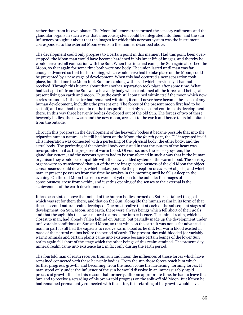rather than from its own planet. The Moon influences transformed the sensory rudiments and the glandular organs in such a way that a nervous system could be integrated into them; and the sun influences brought it about that the images for which this nervous system was the instrument corresponded to the external Moon events in the manner described above.

The development could only progress to a certain point in this manner. Had this point been overstepped, the Moon man would have become hardened in his inner life of images, and thereby he would have lost all connection with the Sun. When the time had come, the Sun again absorbed the Moon, so that again for some time both were one body. The union lasted until man was far enough advanced so that his hardening, which would have had to take place on the Moon, could be prevented by a new stage of development. When this had occurred a new separation took place, but this time the Moon took Sun forces along with itself which previously it had not received. Through this it came about that another separation took place after some time. What had last split off from the Sun was a heavenly body which contained all the forces and beings at present living on earth and moon. Thus the earth still contained within itself the moon which now circles around it. If the latter had remained within it, it could never have become the scene of any human development, including the present one. The forces of the present moon first had to be cast off, and man had to remain on the thus purified earthly scene and continue his development there. In this way three heavenly bodies developed out of the old Sun. The forces of two of these heavenly bodies, the new sun and the new moon, are sent to the earth and hence to its inhabitant from the outside.

Through this progress in the development of the heavenly bodies it became possible that into the tripartite human nature, as it still had been on the Moon, the *fourth part*, the "I," integrated itself. This integration was connected with a perfecting of the physical body, the ether body, and the astral body. The perfecting of the physical body consisted in that the system of the heart was incorporated in it as the preparer of warm blood. Of course, now the sensory system, the glandular system, and the nervous system had to be transformed in such a way that in the human organism they would be compatible with the newly added system of the warm blood. The sensory organs were so transformed that out of the mere image consciousness of the old Moon the object consciousness could develop, which makes possible the perception of *external* objects, and which man at present possesses from the time he awakes in the morning until he falls asleep in the evening. On the old Moon the senses were not yet open to the outside; the images of consciousness arose from within, and just this opening of the senses to the external is the achievement of the earth development.

It has been stated above that not all of the human bodies formed on Saturn attained the goal which was set for them there, and that on the Sun, alongside the human realm in its form of that time, a second natural realm developed. One must realize that at each of the subsequent stages of development, on Sun, Moon, and earth, there were always beings which fell short of their goals and that through this the lower natural realms came into existence. The animal realm, which is closest to man, had already fallen behind on Saturn, but partially made up the development under unfavorable conditions on Sun and Moon, so that while on the earth it was not as far advanced as man, in part it still had the capacity to receive warm blood as he did. For warm blood existed in *none* of the natural realms before the period of earth. The present-day cold-blooded (or variably warm) animals and certain plants came into existence because certain beings of the lower Sun realm again fell short of the stage which the other beings of this realm attained. The present-day mineral realm came into existence last, in fact only during the earth period.

The fourfold man of earth receives from sun and moon the influences of those forces which have remained connected with these heavenly bodies. From the sun those forces reach him which further progress, growth, and becoming; from the moon come the hardening, forming forces. If man stood only under the influence of the sun he would dissolve in an immeasurably rapid process of growth It is for this reason that formerly, after an appropriate time, he had to leave the Sun and to receive a retarding of his over-rapid progress on the split-off old Moon. But if then he had remained permanently connected with the latter, this retarding of his growth would have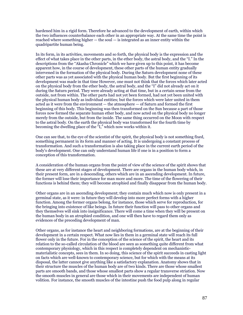hardened him in a rigid form. Therefore he advanced to the development of earth, within which the two influences counterbalance each other in an appropriate way. At the same time the point is reached where something higher — the soul — is integrated as an inner entity within the quadripartite human being.

In its form, in its activities, movements and so forth, the physical body is the expression and the effect of what takes place in the other parts, in the ether body, the astral body, and the "I." In the descriptions from the "Akasha Chronicle" which we have given up to this point, it has become apparent how, in the course of development, these other parts of the human entity gradually intervened in the formation of the physical body. During the Saturn development none of these other parts was as yet associated with the physical human body. But the first beginning of its development was made in that time However, one must not think that the forces which later acted on the physical body from the ether body, the astral body, and the "I" did not already act on it during the Saturn period. They were already acting at that time, but in a certain sense from the outside, not from within. The other parts had not yet been formed, had not yet been united with the physical human body as individual entities; but the forces which were later united in them acted as it were from the environment — the atmosphere — of Saturn and formed the first beginning of this body. This beginning was then transformed on the Sun because a part of those forces now formed the separate human ether body, and now acted on the physical body no longer merely from the outside, but from the inside. The same thing occurred on the Moon with respect to the astral body. On the earth the physical body was transformed for the fourth time by becoming the dwelling place of the "I," which now works within it.

One can see that, to the eye of the scientist of the spirit, the physical body is not something fixed, something permanent in its form and manner of acting. It is undergoing a constant process of transformation. And such a transformation is also taking place in the current earth period of the body's development. One can only understand human life if one is in a position to form a conception of this transformation.

A consideration of the human organs from the point of view of the science of the spirit shows that these are at very different stages of development. There are organs in the human body which, in their present form, are in a descending, others which are in an ascending development. In future, the former will lose their importance for man more and more. The time of the flowering of their functions is behind them; they will become atrophied and finally disappear from the human body.

Other organs are in an ascending development; they contain much which now is only present in a germinal state, as it were: in future they will develop into more perfect forms with a higher function. Among the former organs belong, for instance, those which serve for reproduction, for the bringing into existence of like beings. In future their function will pass to other organs and they themselves will sink into insignificance. There will come a time when they will be present on the human body in an atrophied condition, and one will then have to regard them only as evidences of the preceding development of man.

Other organs, as for instance the heart and neighboring formations, are at the beginning of their development in a certain respect. What now lies in them in a germinal state will reach its full flower only in the future. For in the conception of the science of the spirit, the heart and its relation to the so-called circulation of the blood are seen as something quite different from what contemporary physiology, which in this respect is completely dependent on mechanisticmaterialistic concepts, sees in them. In so doing, this science of the spirit succeeds in casting light on facts which are well-known to contemporary science, but for which with the means at its disposal, the latter cannot give anything like a satisfactory explanation. Anatomy shows that in their structure the muscles of the human body are of two kinds. There are those whose smallest parts are smooth bands, and those whose smallest parts show a regular transverse striation. Now the smooth muscles in general are those which in their movements are independent of human volition. For instance, the smooth muscles of the intestine push the food pulp along in regular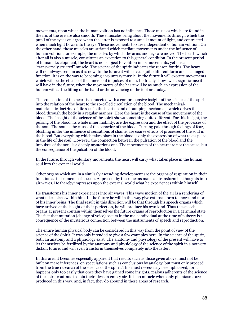movements, upon which the human volition has no influence. Those muscles which are found in the iris of the eye are also smooth. These muscles bring about the movements through which the pupil of the eye is enlarged when the latter is exposed to a small amount of light, and contracted when much light flows into the eye. These movements too are independent of human volition. On the other hand, those muscles are striated which mediate movements under the influence of human volition, for example, the muscles by which the arms and legs are moved. The heart, which after all is also a muscle, constitutes an exception to this general condition. In the present period of human development, the heart is not subject to volition in its movements, yet it is a "transversely striated" muscle. The science of the spirit indicates the reason for this. The heart will not always remain as it is now. In the future it will have a quite different form and a changed function. It is on the way to becoming a voluntary muscle. In the future it will execute movements which will be the effects of the inner soul impulses of man. It already shows what significance it will have in the future, when the movements of the heart will be as much an expression of the human will as the lifting of the hand or the advancing of the foot are today.

This conception of the heart is connected with a comprehensive insight of the science of the spirit into the relation of the heart to the so-called circulation of the blood. The mechanicalmaterialistic doctrine of life sees in the heart a kind of pumping mechanism which drives the blood through the body in a regular manner. Here the heart is the cause of the movement of the blood. The insight of the science of the spirit shows something quite different. For this insight, the pulsing of the blood, its whole inner mobility, are the expression and the effect of the processes of the soul. The soul is the cause of the behavior of the blood. Turning pale through feelings of fear, blushing under the influence of sensations of shame, are coarse effects of processes of the soul in the blood. But everything which takes place in the blood is only the expression of what takes place in the life of the soul. However, the connection between the pulsation of the blood and the impulses of the soul is a deeply mysterious one. The movements of the heart are not the cause, but the consequence of the pulsation of the blood.

In the future, through voluntary movements, the heart will carry what takes place in the human soul into the external world.

Other organs which are in a similarly ascending development are the organs of respiration in their function as instruments of speech. At present by their means man can transform his thoughts into air waves. He thereby impresses upon the external world what he experiences within himself.

He transforms his inner experiences into air waves. This wave motion of the air is a rendering of what takes place within him. In the future he will in this way give external form to more and more of his inner being. The final result in this direction will be that through his speech organs which have arrived at the height of their perfection, he will produce his own kind. Thus the speech organs at present contain within themselves the future organs of reproduction in a germinal state. The fact that mutation (change of voice) occurs in the male individual at the time of puberty is a consequence of the mysterious connection between the instruments of speech and reproduction.

The entire human physical body can be considered in this way from the point of view of the science of the Spirit. It was only intended to give a few examples here. In the science of the spirit, both an anatomy and a physiology exist. The anatomy and physiology of the present will have to let themselves be fertilized by the anatomy and physiology of the science of the spirit in a not very distant future, and will even transform themselves completely into the latter.

In this area it becomes especially apparent that results such as those given above must not be built on mere inferences, on speculations such as conclusions by analogy, but must only proceed from the true research of the science of the spirit. This must necessarily be emphasized, for it happens only too easily that once they have gained some insights, zealous adherents of the science of the spirit continue to spin their ideas in empty air. It is no miracle when only phantasms are produced in this way, and, in fact, they do abound in these areas of research.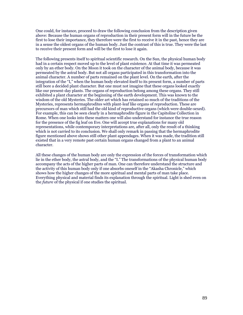One could, for instance, proceed to draw the following conclusion from the description given above: Because the human organs of reproduction in their present form will in the future be the first to lose their importance, they therefore were the first to receive it in the past, hence they are in a sense the oldest organs of the human body. Just the contrast of this is true. They were the last to receive their present form and will be the first to lose it again.

The following presents itself to spiritual scientific research. On the Sun, the physical human body had in a certain respect moved up to the level of plant existence. At that time it was permeated only by an ether body. On the Moon it took on the character of the animal body, because it was permeated by the astral body. But not all organs participated in this transformation into the animal character. A number of parts remained on the plant level. On the earth, after the integration of the "I," when the human body elevated itself to its present form, a number of parts still bore a decided plant character. But one must not imagine that these organs looked exactly like our present-day plants. The organs of reproduction belong among these organs. They still exhibited a plant character at the beginning of the earth development. This was known to the wisdom of the old Mysteries. The older art which has retained so much of the traditions of the Mysteries, represents hermaphrodites with plant-leaf like organs of reproduction. These are precursors of man which still had the old kind of reproductive organs (which were double-sexed). For example, this can be seen clearly in a hermaphrodite figure in the Capitoline Collection in Rome. When one looks into these matters one will also understand for instance the true reason for the presence of the fig leaf on Eve. One will accept true explanations for many old representations, while contemporary interpretations are, after all, only the result of a thinking which is not carried to its conclusion. We shall only remark in passing that the hermaphrodite figure mentioned above shows still other plant appendages. When it was made, the tradition still existed that in a very remote past certain human organs changed from a plant to an animal character.

All these changes of the human body are only the expression of the forces of transformation which lie in the ether body, the astral body, and the "I." The transformations of the physical human body accompany the acts of the higher parts of man. One can therefore understand the structure and the activity of this human body only if one absorbs oneself in the "Akasha Chronicle," which shows how the higher changes of the more spiritual and mental parts of man take place. Everything physical and material finds its explanation through the spiritual. Light is shed even on the *future* of the physical if one studies the spiritual.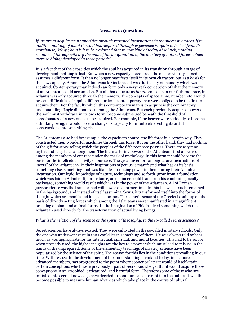#### **Answers to Questions**

*If we are to acquire new capacities through repeated incarnations in the successive races, if in addition nothing of what the soul has acquired through experience is again to be lost from its storehouse, &\$151; how is it to be explained that in mankind of today absolutely nothing remains of the capacities of the will, of the imagination, of the mastery of natural forces which were so highly developed in those periods?*

It is a fact that of the capacities which the soul has acquired in its transition through a stage of development, nothing is lost. But when a new capacity is acquired, the one previously gained assumes a different form. It then no longer manifests itself in its own character, but as a *basis* for the new capacity. Among the Atlanteans for instance, it was the faculty of memory which was acquired. Contemporary man indeed can form only a very weak conception of what the memory of an Atlantean could accomplish. But all that appears as *innate* concepts in our fifth root race, in Atlantis was only acquired through the memory. The concepts of space, time, number, etc. would present difficulties of a quite different order if contemporary man were obliged to be the first to acquire them. For the faculty which this contemporary man is to acquire is the combinatory understanding. Logic did not exist among the Atlanteans. But each previously acquired power of the soul must withdraw, in its own form, become submerged beneath the threshold of consciousness if a new one is to be acquired. For example, if the beaver were suddenly to become a thinking being, it would have to change its capacity for intuitively erecting its artful constructions into something else.

The Atlanteans also had for example, the capacity to control the life force in a certain way. They constructed their wonderful machines through this force. But on the other hand, they had nothing of the gift for story-telling which the peoples of the fifth root race possess. There are as yet no myths and fairy tales among them. The life-mastering power of the Atlanteans first appeared among the members of our race under the mask of mythology. In this form it could become the basis for the intellectual activity of our race. The great inventors among us are incarnations of "seers" of the Atlanteans. In their inspirations of genius is manifested what has as its basis something else, something that was like life-producing power in them during their Atlantean incarnation. Our logic, knowledge of nature, technology and so forth, grow from a foundation which was laid in Atlantis. If, for instance, an engineer could transform his combining faculty backward, something would result which was in the power of the Atlantean. All of Roman jurisprudence was the transformed will power of a former time. In this the will as such remained in the background, and instead of itself assuming *forms*, it transformed itself into the forms of thought which are manifested in legal concepts. The esthetic sense of the Greeks is built up on the basis of directly acting forces which among the Atlanteans were manifested in a magnificent breeding of plant and animal forms. In the imagination of Phidias lived something which the Atlantean used directly for the transformation of actual living beings.

#### *What is the relation of the science of the spirit, of theosophy, to the so-called secret sciences?*

Secret sciences have always existed. They were cultivated in the so-called mystery schools. Only the one who underwent certain tests could learn something of them. He was always told only as much as was appropriate for his intellectual, spiritual, and moral faculties. This had to be so, for when properly used, the higher insights are the key to a power which must lead to misuse in the hands of the unprepared. Some of the elementary teachings of mystery science have been popularized by the science of the spirit. The reason for this lies in the conditions prevailing in our time. With respect to the development of the understanding, mankind today, in its more advanced members, has progressed to the point where sooner or later it would of itself attain certain conceptions which were previously a part of secret knowledge. But it would acquire these conceptions in an atrophied, caricatured, and harmful form. Therefore some of those who are initiated into secret knowledge have decided to communicate a part of it to the public. It will thus become possible to measure human advances which take place in the course of cultural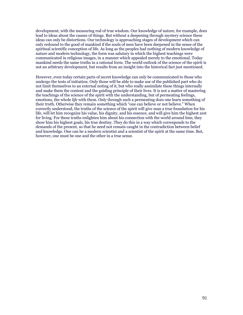development, with the measuring rod of true wisdom. Our knowledge of nature, for example, does lead to ideas about the causes of things. But without a deepening through mystery science these ideas can only be distortions. Our technology is approaching stages of development which can only redound to the good of mankind if the souls of men have been deepened in the sense of the spiritual scientific conception of life. As long as the peoples had nothing of modern knowledge of nature and modern technology, the form was salutary in which the highest teachings were communicated in religious images, in a manner which appealed merely to the emotional. Today mankind needs the same truths in a rational form. The world outlook of the science of the spirit is not an arbitrary development, but results from an insight into the historical fact just mentioned.

However, even today certain parts of secret knowledge can only be communicated to those who undergo the tests of initiation. Only those will be able to make use of the published part who do not limit themselves to an external noting of it, but who really assimilate these things internally and make them the content and the guiding principle of their lives. It is not a matter of mastering the teachings of the science of the spirit with the understanding, but of permeating feelings, emotions, the whole *life* with them. Only through such a permeating does one learn something of their truth. Otherwise they remain something which "one can believe or not believe." When correctly understood, the truths of the science of the spirit will give man a true foundation for his life, will let him recognize his value, his dignity, and his essence, and will give him the highest zest for living. For these truths enlighten him about his connection with the world around him; they show him his highest goals, his true destiny. They do this in a way which corresponds to the demands of the present, so that he need not remain caught in the contradiction between belief and knowledge. One can be a modern scientist and a scientist of the spirit at the same time. But, however, one must be one and the other in a true sense.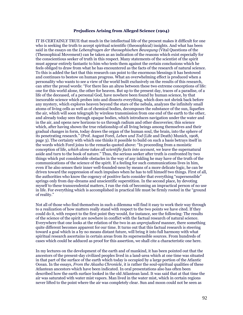### **Prejudices Arising from Alleged Science (1904)**

IT IS CERTAINLY TRUE that much in the intellectual life of the present makes it difficult for one who is seeking the truth to accept spiritual scientific (theosophical) insights. And what has been said in the essays on the *Lebensfragen der theosophischen Bewegung* (Vital Questions of the (Theosophical Movement) can be taken as an indication of the reasons which exist especially for the conscientious seeker of truth in this respect. Many statements of the scientist of the spirit must appear entirely fantastic to him who tests them against the certain conclusions which he feels obliged to draw from what he has encountered as the facts of the research of natural science. To this is added the fact that this research can point to the enormous blessings it has bestowed and continues to bestow on human progress. What an overwhelming effect is produced when a personality who wants to see a view of the world built exclusively on the results of this research, can utter the proud words: "For there lies an abyss between these two extreme conceptions of life: one for this world alone, the other for heaven. But up to the present day, traces of a paradise, of a life of the deceased, of a personal God, have nowhere been found by human science, by that inexorable science which probes into and dissects everything, which does not shrink back before any mystery, which explores heaven beyond the stars of the nebula, analyzes the infinitely small atoms of living cells as well as of chemical bodies, decomposes the substance of the sun, liquefies the air, which will soon telegraph by wireless transmission from one end of the earth to the other, and already today sees through opaque bodies, which introduces navigation under the water and in the air, and opens new horizons to us through radium and other discoveries; this science which, after having shown the true relationship of all living beings among themselves and their gradual changes in form, today draws the organ of the human soul, the brain, into the sphere of its penetrating research." (Prof. August Forel, *Leben und Tod* (Life and Death) Munich, 1908, page 3). The certainty with which one thinks it possible to build on such a basis betrays itself in the words which Forel joins to the remarks quoted above: "In proceeding from a monistic conception of life, *which alone takes all scientific facts into account*, we leave the supernatural aside and turn to the book of nature." Thus, the serious seeker after truth is confronted by two things which put considerable obstacles in the way of any inkling he may have of the truth of the communications of the science of the spirit. If a feeling for such communications lives in him, even if he also senses their inner well-founded-ness by means of a more delicate logic, he can be driven toward the suppression of such impulses when he has to tell himself two things. First of all, the authorities who know the cogency of positive facts consider that everything "supersensible" springs only from day-dreams and unscientific superstition. In the second place, by devoting myself to these transcendental matters, I run the risk of becoming an impractical person of no use in life. For everything which is accomplished in practical life must be firmly rooted in the "ground of reality."

Not all of those who find themselves in such a dilemma will find it easy to work their way through to a realization of how matters really stand with respect to the two points we have cited. If they could do it, with respect to the first point they would, for instance, see the following: The results of the science of the spirit are nowhere in conflict with the factual research of natural science. Everywhere that one looks at the relation of the two in an *unprejudiced* manner, there something quite different becomes apparent for our time. It turns out that this factual research is steering toward a goal which in a by no means distant future, will bring it into full harmony with what spiritual research ascertains in certain areas from its supersensible sources. From hundreds of cases which could be adduced as proof for this assertion, we shall cite a characteristic one here.

In my lectures on the development of the earth and of mankind, it has been pointed out that the ancestors of the present-day civilized peoples lived in a land-area which at one time was situated in that part of the surface of the earth which today is occupied by a large portion of the Atlantic Ocean. In the essays, *From the Akasha Chronicle*, it is rather the soul-spiritual qualities of these Atlantean ancestors which have been indicated. In oral presentations also has often been described how the earth surface looked in the old Atlantean land. It was said that at that time the air was saturated with water mist vapors. Man lived in the water mist, which in certain regions never lifted to the point where the air was completely clear. Sun and moon could not be seen as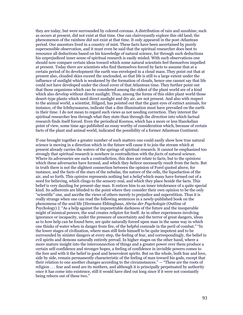they are today, but were surrounded by colored coronas. A distribution of rain and sunshine, such as occurs at present, did not exist at that time. One can clairvoyantly explore this old land; the phenomenon of the rainbow did not exist at that time. It only appeared in the post-Atlantean period. Our ancestors lived in a country of mist. These facts have been ascertained by purely supersensible observation, and it must even be said that the spiritual researcher does best to renounce all deductions based on his knowledge of natural science, for through such deductions his unprejudiced inner sense of spiritual research is easily misled. With such observations one should now compare certain ideas toward which some natural scientists feel themselves impelled at present. Today there are scientists who find themselves forced by facts to assume that at a certain period of its development the earth was enveloped in a cloud mass. They point out that at present also, clouded skies exceed the unclouded, so that life is still to a large extent under the influence of sunlight which is weakened by the formation of clouds, hence one cannot say that life could not have developed under the cloud cover of that Atlantean time. They further point out that those organisms which can be considered among the oldest of the plant world are of a kind which also develop without direct sunlight. Thus, among the forms of this older plant world those desert-type plants which need direct sunlight and dry air, are not present. And also with respect to the animal world, a scientist, Hilgard, has pointed out that the giant eyes of extinct animals, for instance, of the Ichthyosaurus, indicate that a dim illumination must have prevailed on the earth in their time. I do not mean to regard such views as not needing correction. They interest the spiritual researcher less through what they state than through the *direction* into which factual research finds itself forced. Even the periodical *Kosmos*, which has a more or less Haeckelian point of view, some time ago published an essay worthy of consideration which, because of certain facts of the plant and animal world, indicated the possibility of a former Atlantean Continent.

If one brought together a greater number of such matters one could easily show how true natural science is moving in a direction which in the future will cause it to join the stream which at present already carries the waters of the springs of spiritual research. It cannot be emphasized too strongly that spiritual research is nowhere in contradiction with the *facts* of natural science. Where its adversaries see such a contradiction, this does not relate to facts, but to the *opinions* which these adversaries have formed, and which they *believe* necessarily result from the facts. But in truth there is not the slightest connection between the opinion of Forel quoted above, for instance, and the facts of the stars of the nebulas, the nature of the cells, the liquefaction of the air, and so forth. This *opinion* represents nothing but a *belief* which many have formed out of a need for believing, which clings to the sensory-real, and which they place *beside* the facts. This belief is very dazzling for present-day man. It entices him to an inner intolerance of a quite special kind. Its adherents are blinded to the point where they consider their own opinion to be the only "scientific" one, and ascribe the views of others merely to prejudice and superstition. Thus it is really strange when one can read the following sentences in a newly-published book on the phenomena of the soul life [Hermann Ebbinghaus, *Abriss der Psychologie* (Outline of Psychology) ]: "As a help against the impenetrable darkness of the future and the insuperable might of inimical powers, the soul creates *religion* for itself. As in other experiences involving ignorance or incapacity, under the pressure of uncertainty and the terror of great dangers, ideas as to how help can be found here, are quite naturally forced upon man in the same way in which one thinks of water when in danger from fire, of the helpful comrade in the peril of combat." "In the lower stages of civilization, where man still feels himself to be quite impotent and to be surrounded by sinister dangers at every step, the feeling of fear, and correspondingly, the belief in evil spirits and demons naturally entirely prevail. In higher stages on the other hand, where a more mature insight into the interconnection of things and a greater power over them produce a certain self-confidence and stronger hopes, a feeling of confidence in invisible powers comes to the fore and with it the belief in good and benevolent spirits. But on the whole, both fear and love, side by side, remain permanently characteristic of the feeling of man toward his gods, except that their relation to one another changes according to the circumstances." — "These are the roots of religion . . . fear and need are its mothers, and although it is principally perpetuated by authority once it has come into existence, still it would have died out long since if it were not constantly being reborn out of these two."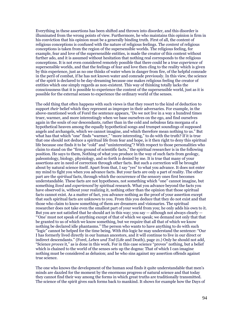Everything in these assertions has been shifted and thrown into disorder, and this disorder is illuminated from the wrong points of view. Furthermore, he who maintains this opinion is firm in his conviction that his opinion must be a generally binding truth. First of all, the content of religious conceptions is confused with the nature of religious feelings. The *content* of religious conceptions is taken from the region of the supersensible worlds. The religious feeling, for example, fear and love of the supersensible entities, is made the creator of this content without further ado, and it is assumed without hesitation that nothing real corresponds to the religious conceptions. It is not even considered remotely possible that there could be a true *experience* of supersensible worlds, and that the feelings of fear and love then cling to the reality which is given by this experience, just as no one thinks of water when in danger from fire, of the helpful comrade in the peril of combat, if he has not known water and comrade previously. In this view, the science of the spirit is declared to be day-dreaming because one makes religious feeling the creator of entities which one simply regards as non-existent. This way of thinking totally lacks the consciousness that it is possible to experience the content of the supersensible world, just as it is possible for the external senses to experience the ordinary world of the senses.

The odd thing that often happens with such views is that they resort to the kind of deduction to support *their* belief which they represent as improper in their adversaries. For example, in the above-mentioned work of Forel the sentence appears, "Do we not live in a way a hundred times truer, warmer, and more interestingly when we base ourselves on the ego, and find ourselves again in the souls of our descendants, rather than in the cold and nebulous fata morgana of a hypothetical heaven among the equally hypothetical songs and trumpet soundings of supposed angels and archangels, which we cannot imagine, and which therefore mean nothing to us." But what has that which "one" finds "warmer," "more interesting," to do with the truth? If it is true that one should not deduce a spiritual life from fear and hope, is it then right to deny this spiritual life because one finds it to be "cold" and "uninteresting"? With respect to those personalities who claim to stand on the "firm ground of scientific facts," the spiritual researcher is in the following position. He says to them, Nothing of what you produce in the way of such facts from geology, paleontology, biology, physiology, and so forth is denied by me. It is true that many of your assertions are in need of correction through other facts. But such a correction will be brought about by natural science itself. Apart from that, I say "yes" to what you advance. It does not enter my mind to fight you when you advance facts. But your facts are only a part of reality. The other part are the *spiritual* facts, through which the occurrence of the sensory ones first becomes understandable. These facts are not hypotheses, not something which "one" cannot imagine, but something *lived* and *experienced* by spiritual research. What you advance beyond the facts you have observed is, without your realizing it, nothing other than the opinion that those spiritual facts cannot exist. As a matter of fact, you advance nothing as the proof of your assertion except that such spiritual facts are unknown to you. From this you deduce that they do not exist and that those who claim to know something of them are dreamers and visionaries. The spiritual researcher does not take even the smallest part of your world from you; he only adds his own to it. But you are not satisfied that he should act in this way; you say  $-$  although not always clearly  $-$ "'One' must not speak of anything except of that of which we speak; we demand not only that that be granted to us of which we know something, but we require that all that of which we know nothing be declared idle phantasms." The person who wants to have anything to do with such "logic" cannot be helped for the time being. With *this* logic he may understand the sentence: "Our I has formerly lived directly in our human ancestors, and it will continue to live in our direct or indirect descendants." (Forel, *Leben und Tod* (Life and Death), page 21.) Only he should not add, "Science *proves* it," as is done in this work. For in this case science "proves" nothing, but a belief which is chained to the world of the senses sets up the dogma: That of which I can imagine nothing must be considered as delusion; and he who sins against my assertion offends against true science.

The one who knows the development of the human soul finds it quite understandable that men's minds are dazzled for the moment by the enormous progress of natural science and that today they cannot find their way among the forms in which great truths are traditionally transmitted. The science of the spirit gives such forms back to mankind. It shows for example how the Days of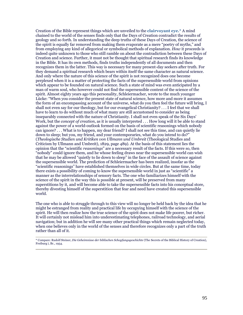Creation of the Bible represent things which are unveiled to the **clairvoyant eye.\*** A mind chained to the world of the senses finds only that the Days of Creation contradict the results of geology and so forth. In understanding the deep truths of these Days of Creation, the science of the spirit is equally far removed from making them evaporate as a mere "poetry of myths," and from employing any kind of allegorical or symbolical methods of explanation. *How* it proceeds is indeed quite unknown to those who still ramble on about the contradiction between these Days of Creation and science. Further, it must not be thought that spiritual research finds its knowledge in the Bible. It has its own methods, finds truths independently of all documents and then recognizes them in the latter. This way is necessary for many present-day seekers after truth. For they demand a spiritual research which bears within itself the same character as natural science. And only where the nature of this science of the spirit is not recognized does one become perplexed when it is a matter of protecting the facts of the supersensible world from opinions which appear to be founded on natural science. Such a state of mind was even anticipated by a man of warm soul, who however could not find the supersensible content of the science of the spirit. Almost eighty years ago this personality, Schleiermacher, wrote to the much younger Lücke: "When you consider the present state of natural science, how more and more it assumes the form of an encompassing account of the universe, what do you then feel the future will bring, I shall not even say for our theology, but for our evangelical Christianity? . . . I feel that we shall have to learn to do without much of what many are still accustomed to consider as being inseparably connected with the nature of Christianity. I shall not even speak of the Six Days' Work, but the *concept of creation*, as it is usually interpreted . . . How long will it be able to stand against the power of a world-outlook formed on the basis of scientific reasonings which nobody can ignore? . . . What is to happen, my dear friend? I shall not see this time, and can quietly lie down to sleep; but you, my friend, and your contemporaries, what do you intend to do?" (*Theologische Studien und Kritiken von Ullmann und Umbreit* (Theological Studies and Criticism by Ullmann and Umbreit), 1829, page 489). At the basis of this statement lies the opinion that the "scientific *reasonings*" are a necessary result of the facts. If this were so, then "nobody" could ignore them, and he whose feeling draws near the supersensible world can wish that he may be allowed "quietly to lie down to sleep" in the face of the assault of science against the supersensible world. The prediction of Schleiermacher has been realized, insofar as the "scientific reasonings" have established themselves in wide circles. But at the same time, today there exists a possibility of coming to know the supersensible world in just as "scientific" a manner as the interrelationships of sensory facts. The one who familiarizes himself with the science of the spirit in the way this is possible at present, will be preserved from many superstitions by it, and will become able to take the supersensible facts into his conceptual store, thereby divesting himself of the superstition that fear and need have created this supersensible world.

The one who is able to struggle through to this view will no longer be held back by the idea that he might be estranged from reality and practical life by occupying himself with the science of the spirit. He will then realize how the true science of the spirit does not make life poorer, but richer. It will certainly not mislead him into underestimating telephones, railroad technology, and aerial navigation; but in addition he will see many other practical things which remain neglected today, when one believes only in the world of the senses and therefore recognizes only a part of the truth rather than all of it.

<sup>\*</sup> Compare: Rudolf Steiner, *Die Geheimnisse der biblischen Schopfungsgeschichte* (The Secrets of the Biblical History of Creation), Freiburg i, Br., 1954.